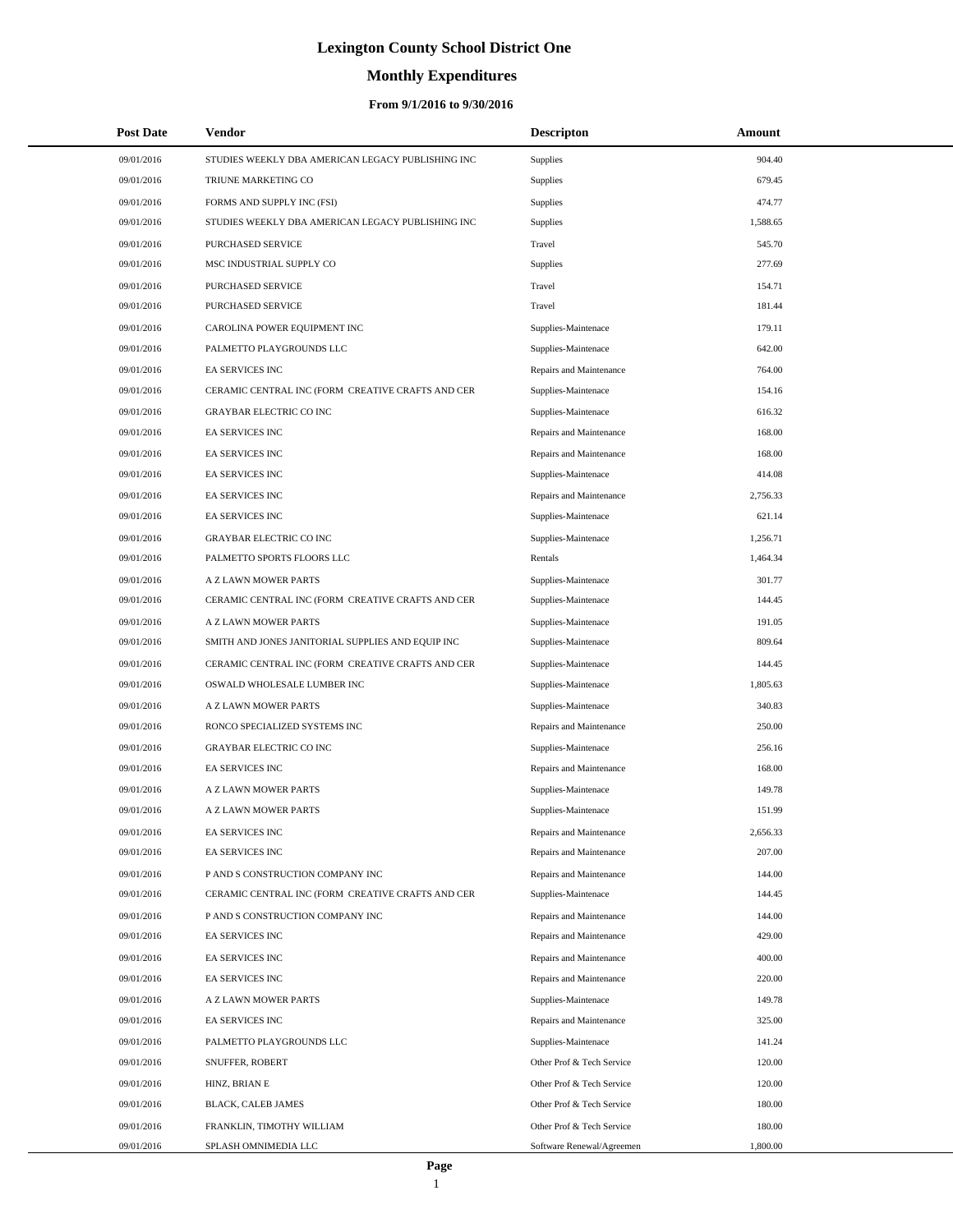# **Monthly Expenditures**

| <b>Post Date</b> | Vendor                                            | <b>Descripton</b>         | Amount   |  |
|------------------|---------------------------------------------------|---------------------------|----------|--|
| 09/01/2016       | STUDIES WEEKLY DBA AMERICAN LEGACY PUBLISHING INC | Supplies                  | 904.40   |  |
| 09/01/2016       | TRIUNE MARKETING CO                               | Supplies                  | 679.45   |  |
| 09/01/2016       | FORMS AND SUPPLY INC (FSI)                        | Supplies                  | 474.77   |  |
| 09/01/2016       | STUDIES WEEKLY DBA AMERICAN LEGACY PUBLISHING INC | Supplies                  | 1,588.65 |  |
| 09/01/2016       | PURCHASED SERVICE                                 | Travel                    | 545.70   |  |
| 09/01/2016       | MSC INDUSTRIAL SUPPLY CO                          | Supplies                  | 277.69   |  |
| 09/01/2016       | PURCHASED SERVICE                                 | Travel                    | 154.71   |  |
| 09/01/2016       | PURCHASED SERVICE                                 | Travel                    | 181.44   |  |
| 09/01/2016       | CAROLINA POWER EQUIPMENT INC                      | Supplies-Maintenace       | 179.11   |  |
| 09/01/2016       | PALMETTO PLAYGROUNDS LLC                          | Supplies-Maintenace       | 642.00   |  |
| 09/01/2016       | EA SERVICES INC                                   | Repairs and Maintenance   | 764.00   |  |
| 09/01/2016       | CERAMIC CENTRAL INC (FORM CREATIVE CRAFTS AND CER | Supplies-Maintenace       | 154.16   |  |
| 09/01/2016       | <b>GRAYBAR ELECTRIC CO INC</b>                    | Supplies-Maintenace       | 616.32   |  |
| 09/01/2016       | <b>EA SERVICES INC</b>                            | Repairs and Maintenance   | 168.00   |  |
| 09/01/2016       | EA SERVICES INC                                   | Repairs and Maintenance   | 168.00   |  |
| 09/01/2016       | EA SERVICES INC                                   | Supplies-Maintenace       | 414.08   |  |
| 09/01/2016       | EA SERVICES INC                                   | Repairs and Maintenance   | 2,756.33 |  |
| 09/01/2016       | <b>EA SERVICES INC</b>                            | Supplies-Maintenace       | 621.14   |  |
| 09/01/2016       | <b>GRAYBAR ELECTRIC CO INC</b>                    | Supplies-Maintenace       | 1,256.71 |  |
| 09/01/2016       | PALMETTO SPORTS FLOORS LLC                        | Rentals                   | 1,464.34 |  |
| 09/01/2016       | A Z LAWN MOWER PARTS                              | Supplies-Maintenace       | 301.77   |  |
| 09/01/2016       | CERAMIC CENTRAL INC (FORM CREATIVE CRAFTS AND CER | Supplies-Maintenace       | 144.45   |  |
| 09/01/2016       | A Z LAWN MOWER PARTS                              | Supplies-Maintenace       | 191.05   |  |
| 09/01/2016       | SMITH AND JONES JANITORIAL SUPPLIES AND EQUIP INC | Supplies-Maintenace       | 809.64   |  |
| 09/01/2016       | CERAMIC CENTRAL INC (FORM CREATIVE CRAFTS AND CER | Supplies-Maintenace       | 144.45   |  |
| 09/01/2016       | OSWALD WHOLESALE LUMBER INC                       | Supplies-Maintenace       | 1,805.63 |  |
| 09/01/2016       | A Z LAWN MOWER PARTS                              | Supplies-Maintenace       | 340.83   |  |
| 09/01/2016       | RONCO SPECIALIZED SYSTEMS INC                     | Repairs and Maintenance   | 250.00   |  |
| 09/01/2016       | <b>GRAYBAR ELECTRIC CO INC</b>                    | Supplies-Maintenace       | 256.16   |  |
| 09/01/2016       | EA SERVICES INC                                   | Repairs and Maintenance   | 168.00   |  |
| 09/01/2016       | A Z LAWN MOWER PARTS                              | Supplies-Maintenace       | 149.78   |  |
| 09/01/2016       | A Z LAWN MOWER PARTS                              | Supplies-Maintenace       | 151.99   |  |
| 09/01/2016       | EA SERVICES INC                                   | Repairs and Maintenance   | 2,656.33 |  |
| 09/01/2016       | EA SERVICES INC                                   | Repairs and Maintenance   | 207.00   |  |
| 09/01/2016       | P AND S CONSTRUCTION COMPANY INC                  | Repairs and Maintenance   | 144.00   |  |
| 09/01/2016       | CERAMIC CENTRAL INC (FORM CREATIVE CRAFTS AND CER | Supplies-Maintenace       | 144.45   |  |
| 09/01/2016       | P AND S CONSTRUCTION COMPANY INC                  | Repairs and Maintenance   | 144.00   |  |
| 09/01/2016       | EA SERVICES INC                                   | Repairs and Maintenance   | 429.00   |  |
| 09/01/2016       | EA SERVICES INC                                   | Repairs and Maintenance   | 400.00   |  |
| 09/01/2016       | EA SERVICES INC                                   | Repairs and Maintenance   | 220.00   |  |
| 09/01/2016       | A Z LAWN MOWER PARTS                              | Supplies-Maintenace       | 149.78   |  |
| 09/01/2016       | EA SERVICES INC                                   | Repairs and Maintenance   | 325.00   |  |
| 09/01/2016       | PALMETTO PLAYGROUNDS LLC                          | Supplies-Maintenace       | 141.24   |  |
| 09/01/2016       | SNUFFER, ROBERT                                   | Other Prof & Tech Service | 120.00   |  |
| 09/01/2016       | HINZ, BRIAN E                                     | Other Prof & Tech Service | 120.00   |  |
| 09/01/2016       | BLACK, CALEB JAMES                                | Other Prof & Tech Service | 180.00   |  |
| 09/01/2016       | FRANKLIN, TIMOTHY WILLIAM                         | Other Prof & Tech Service | 180.00   |  |
| 09/01/2016       | SPLASH OMNIMEDIA LLC                              | Software Renewal/Agreemen | 1,800.00 |  |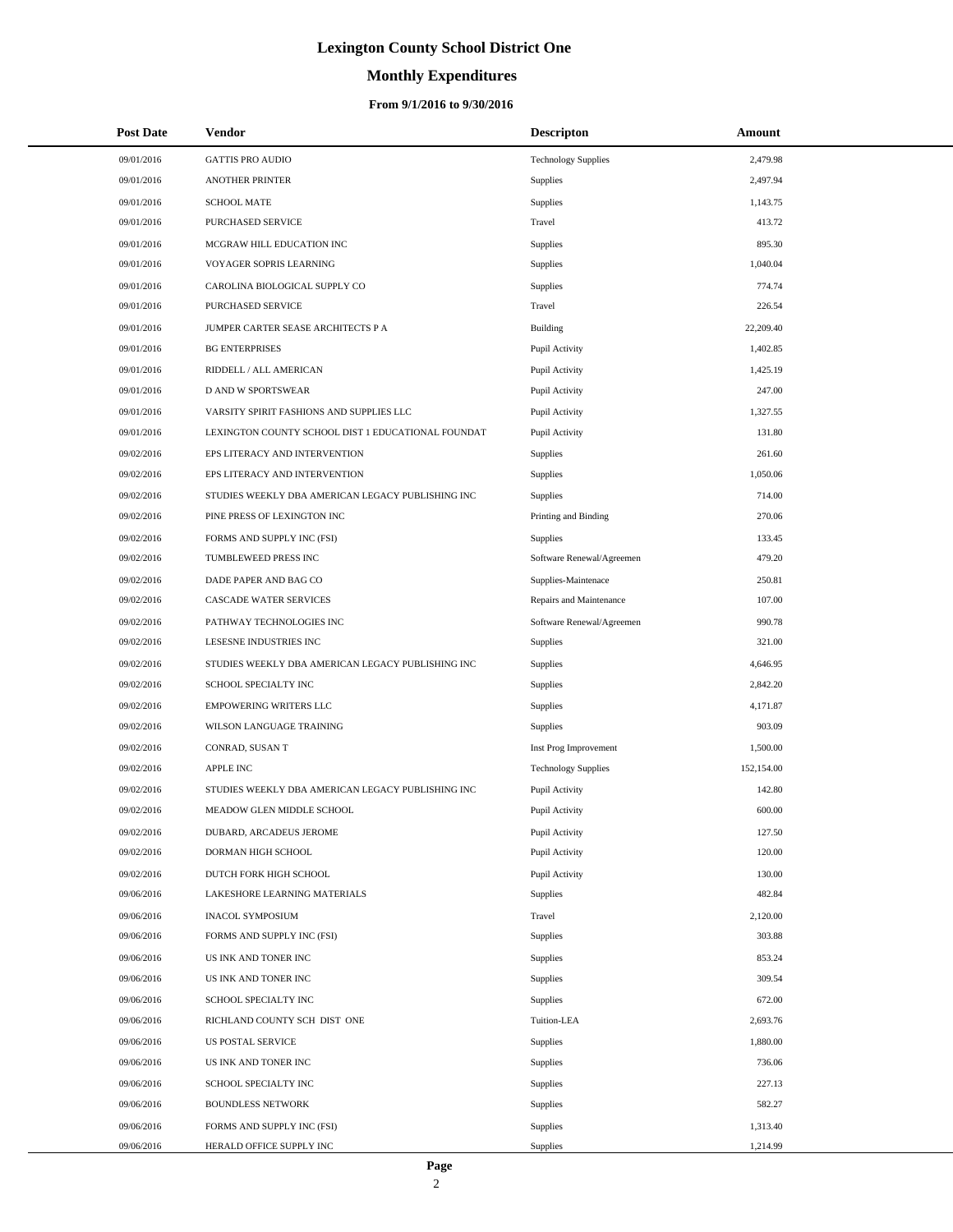# **Monthly Expenditures**

### **From 9/1/2016 to 9/30/2016**

| <b>Post Date</b> | Vendor                                             | <b>Descripton</b>          | Amount     |  |
|------------------|----------------------------------------------------|----------------------------|------------|--|
| 09/01/2016       | <b>GATTIS PRO AUDIO</b>                            | <b>Technology Supplies</b> | 2,479.98   |  |
| 09/01/2016       | <b>ANOTHER PRINTER</b>                             | Supplies                   | 2,497.94   |  |
| 09/01/2016       | <b>SCHOOL MATE</b>                                 | Supplies                   | 1,143.75   |  |
| 09/01/2016       | PURCHASED SERVICE                                  | Travel                     | 413.72     |  |
| 09/01/2016       | MCGRAW HILL EDUCATION INC                          | Supplies                   | 895.30     |  |
| 09/01/2016       | VOYAGER SOPRIS LEARNING                            | Supplies                   | 1,040.04   |  |
| 09/01/2016       | CAROLINA BIOLOGICAL SUPPLY CO                      | Supplies                   | 774.74     |  |
| 09/01/2016       | PURCHASED SERVICE                                  | Travel                     | 226.54     |  |
| 09/01/2016       | JUMPER CARTER SEASE ARCHITECTS P A                 | <b>Building</b>            | 22,209.40  |  |
| 09/01/2016       | <b>BG ENTERPRISES</b>                              | Pupil Activity             | 1,402.85   |  |
| 09/01/2016       | RIDDELL / ALL AMERICAN                             | Pupil Activity             | 1,425.19   |  |
| 09/01/2016       | D AND W SPORTSWEAR                                 | Pupil Activity             | 247.00     |  |
| 09/01/2016       | VARSITY SPIRIT FASHIONS AND SUPPLIES LLC           | Pupil Activity             | 1,327.55   |  |
| 09/01/2016       | LEXINGTON COUNTY SCHOOL DIST 1 EDUCATIONAL FOUNDAT | Pupil Activity             | 131.80     |  |
| 09/02/2016       | EPS LITERACY AND INTERVENTION                      | Supplies                   | 261.60     |  |
| 09/02/2016       | EPS LITERACY AND INTERVENTION                      | Supplies                   | 1,050.06   |  |
| 09/02/2016       | STUDIES WEEKLY DBA AMERICAN LEGACY PUBLISHING INC  | Supplies                   | 714.00     |  |
| 09/02/2016       | PINE PRESS OF LEXINGTON INC                        | Printing and Binding       | 270.06     |  |
| 09/02/2016       | FORMS AND SUPPLY INC (FSI)                         | Supplies                   | 133.45     |  |
| 09/02/2016       | TUMBLEWEED PRESS INC                               | Software Renewal/Agreemen  | 479.20     |  |
| 09/02/2016       | DADE PAPER AND BAG CO                              | Supplies-Maintenace        | 250.81     |  |
| 09/02/2016       | CASCADE WATER SERVICES                             | Repairs and Maintenance    | 107.00     |  |
| 09/02/2016       | PATHWAY TECHNOLOGIES INC                           | Software Renewal/Agreemen  | 990.78     |  |
| 09/02/2016       | LESESNE INDUSTRIES INC                             | Supplies                   | 321.00     |  |
| 09/02/2016       | STUDIES WEEKLY DBA AMERICAN LEGACY PUBLISHING INC  | Supplies                   | 4,646.95   |  |
| 09/02/2016       | SCHOOL SPECIALTY INC                               | Supplies                   | 2,842.20   |  |
| 09/02/2016       | <b>EMPOWERING WRITERS LLC</b>                      | Supplies                   | 4,171.87   |  |
| 09/02/2016       | WILSON LANGUAGE TRAINING                           | Supplies                   | 903.09     |  |
| 09/02/2016       | CONRAD, SUSAN T                                    | Inst Prog Improvement      | 1,500.00   |  |
| 09/02/2016       | <b>APPLE INC</b>                                   | <b>Technology Supplies</b> | 152,154.00 |  |
| 09/02/2016       | STUDIES WEEKLY DBA AMERICAN LEGACY PUBLISHING INC  | Pupil Activity             | 142.80     |  |
| 09/02/2016       | MEADOW GLEN MIDDLE SCHOOL                          | Pupil Activity             | 600.00     |  |
| 09/02/2016       | DUBARD, ARCADEUS JEROME                            | Pupil Activity             | 127.50     |  |
| 09/02/2016       | DORMAN HIGH SCHOOL                                 | Pupil Activity             | 120.00     |  |
| 09/02/2016       | DUTCH FORK HIGH SCHOOL                             | Pupil Activity             | 130.00     |  |
| 09/06/2016       | LAKESHORE LEARNING MATERIALS                       | <b>Supplies</b>            | 482.84     |  |
| 09/06/2016       | <b>INACOL SYMPOSIUM</b>                            | Travel                     | 2,120.00   |  |
| 09/06/2016       | FORMS AND SUPPLY INC (FSI)                         | <b>Supplies</b>            | 303.88     |  |
| 09/06/2016       | US INK AND TONER INC                               | Supplies                   | 853.24     |  |
| 09/06/2016       | US INK AND TONER INC                               | Supplies                   | 309.54     |  |
| 09/06/2016       | SCHOOL SPECIALTY INC                               | Supplies                   | 672.00     |  |
| 09/06/2016       | RICHLAND COUNTY SCH DIST ONE                       | Tuition-LEA                | 2,693.76   |  |
| 09/06/2016       | US POSTAL SERVICE                                  | Supplies                   | 1,880.00   |  |
| 09/06/2016       | US INK AND TONER INC                               | Supplies                   | 736.06     |  |
| 09/06/2016       | SCHOOL SPECIALTY INC                               | Supplies                   | 227.13     |  |
| 09/06/2016       | <b>BOUNDLESS NETWORK</b>                           | Supplies                   | 582.27     |  |
| 09/06/2016       | FORMS AND SUPPLY INC (FSI)                         | Supplies                   | 1,313.40   |  |
| 09/06/2016       | HERALD OFFICE SUPPLY INC                           | Supplies                   | 1,214.99   |  |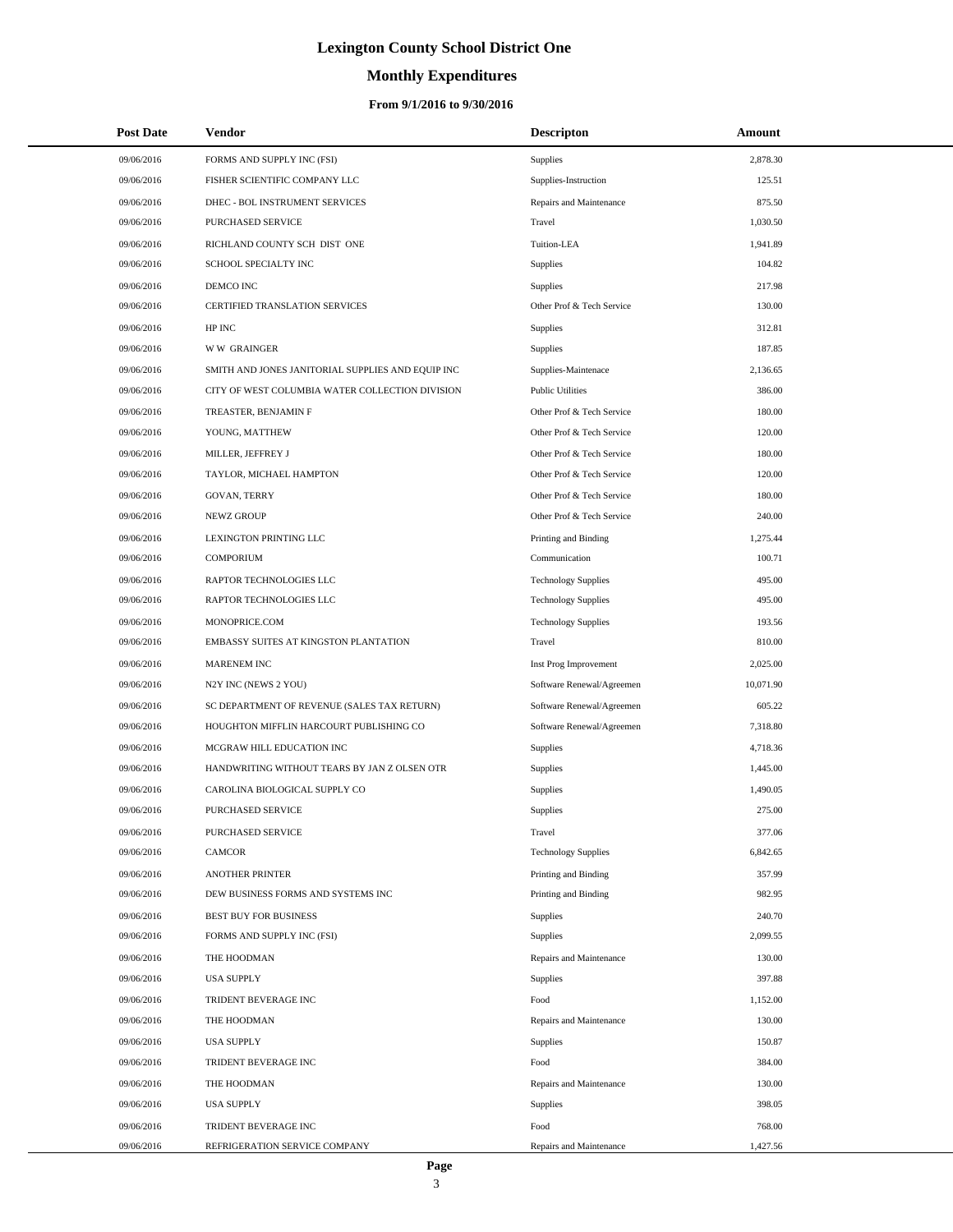# **Monthly Expenditures**

### **From 9/1/2016 to 9/30/2016**

| <b>Post Date</b> | Vendor                                            | <b>Descripton</b>          | Amount    |  |
|------------------|---------------------------------------------------|----------------------------|-----------|--|
| 09/06/2016       | FORMS AND SUPPLY INC (FSI)                        | Supplies                   | 2,878.30  |  |
| 09/06/2016       | FISHER SCIENTIFIC COMPANY LLC                     | Supplies-Instruction       | 125.51    |  |
| 09/06/2016       | DHEC - BOL INSTRUMENT SERVICES                    | Repairs and Maintenance    | 875.50    |  |
| 09/06/2016       | PURCHASED SERVICE                                 | Travel                     | 1,030.50  |  |
| 09/06/2016       | RICHLAND COUNTY SCH DIST ONE                      | Tuition-LEA                | 1,941.89  |  |
| 09/06/2016       | SCHOOL SPECIALTY INC                              | Supplies                   | 104.82    |  |
| 09/06/2016       | DEMCO INC                                         | Supplies                   | 217.98    |  |
| 09/06/2016       | CERTIFIED TRANSLATION SERVICES                    | Other Prof & Tech Service  | 130.00    |  |
| 09/06/2016       | HP INC                                            | Supplies                   | 312.81    |  |
| 09/06/2016       | <b>WW GRAINGER</b>                                | Supplies                   | 187.85    |  |
| 09/06/2016       | SMITH AND JONES JANITORIAL SUPPLIES AND EQUIP INC | Supplies-Maintenace        | 2,136.65  |  |
| 09/06/2016       | CITY OF WEST COLUMBIA WATER COLLECTION DIVISION   | <b>Public Utilities</b>    | 386.00    |  |
| 09/06/2016       | TREASTER, BENJAMIN F                              | Other Prof & Tech Service  | 180.00    |  |
| 09/06/2016       | YOUNG, MATTHEW                                    | Other Prof & Tech Service  | 120.00    |  |
| 09/06/2016       | MILLER, JEFFREY J                                 | Other Prof & Tech Service  | 180.00    |  |
| 09/06/2016       | TAYLOR, MICHAEL HAMPTON                           | Other Prof & Tech Service  | 120.00    |  |
| 09/06/2016       | <b>GOVAN, TERRY</b>                               | Other Prof & Tech Service  | 180.00    |  |
| 09/06/2016       | <b>NEWZ GROUP</b>                                 | Other Prof & Tech Service  | 240.00    |  |
| 09/06/2016       | LEXINGTON PRINTING LLC                            | Printing and Binding       | 1,275.44  |  |
| 09/06/2016       | <b>COMPORIUM</b>                                  | Communication              | 100.71    |  |
| 09/06/2016       | RAPTOR TECHNOLOGIES LLC                           | <b>Technology Supplies</b> | 495.00    |  |
| 09/06/2016       | RAPTOR TECHNOLOGIES LLC                           | <b>Technology Supplies</b> | 495.00    |  |
| 09/06/2016       | MONOPRICE.COM                                     | <b>Technology Supplies</b> | 193.56    |  |
| 09/06/2016       | EMBASSY SUITES AT KINGSTON PLANTATION             | Travel                     | 810.00    |  |
| 09/06/2016       | MARENEM INC                                       | Inst Prog Improvement      | 2,025.00  |  |
| 09/06/2016       | N2Y INC (NEWS 2 YOU)                              | Software Renewal/Agreemen  | 10,071.90 |  |
| 09/06/2016       | SC DEPARTMENT OF REVENUE (SALES TAX RETURN)       | Software Renewal/Agreemen  | 605.22    |  |
| 09/06/2016       | HOUGHTON MIFFLIN HARCOURT PUBLISHING CO           | Software Renewal/Agreemen  | 7,318.80  |  |
| 09/06/2016       | MCGRAW HILL EDUCATION INC                         | Supplies                   | 4,718.36  |  |
| 09/06/2016       | HANDWRITING WITHOUT TEARS BY JAN Z OLSEN OTR      | Supplies                   | 1,445.00  |  |
| 09/06/2016       | CAROLINA BIOLOGICAL SUPPLY CO                     | Supplies                   | 1,490.05  |  |
| 09/06/2016       | <b>PURCHASED SERVICE</b>                          | Supplies                   | 275.00    |  |
| 09/06/2016       | PURCHASED SERVICE                                 | Travel                     | 377.06    |  |
| 09/06/2016       | <b>CAMCOR</b>                                     | <b>Technology Supplies</b> | 6,842.65  |  |
| 09/06/2016       | <b>ANOTHER PRINTER</b>                            | Printing and Binding       | 357.99    |  |
| 09/06/2016       | DEW BUSINESS FORMS AND SYSTEMS INC                | Printing and Binding       | 982.95    |  |
| 09/06/2016       | <b>BEST BUY FOR BUSINESS</b>                      | Supplies                   | 240.70    |  |
| 09/06/2016       | FORMS AND SUPPLY INC (FSI)                        | Supplies                   | 2,099.55  |  |
| 09/06/2016       | THE HOODMAN                                       | Repairs and Maintenance    | 130.00    |  |
| 09/06/2016       | <b>USA SUPPLY</b>                                 | Supplies                   | 397.88    |  |
| 09/06/2016       | TRIDENT BEVERAGE INC                              | Food                       | 1,152.00  |  |
| 09/06/2016       | THE HOODMAN                                       | Repairs and Maintenance    | 130.00    |  |
| 09/06/2016       | <b>USA SUPPLY</b>                                 | Supplies                   | 150.87    |  |
| 09/06/2016       | TRIDENT BEVERAGE INC                              | Food                       | 384.00    |  |
| 09/06/2016       | THE HOODMAN                                       | Repairs and Maintenance    | 130.00    |  |
| 09/06/2016       | <b>USA SUPPLY</b>                                 | Supplies                   | 398.05    |  |
| 09/06/2016       | TRIDENT BEVERAGE INC                              | Food                       | 768.00    |  |
| 09/06/2016       | REFRIGERATION SERVICE COMPANY                     | Repairs and Maintenance    | 1,427.56  |  |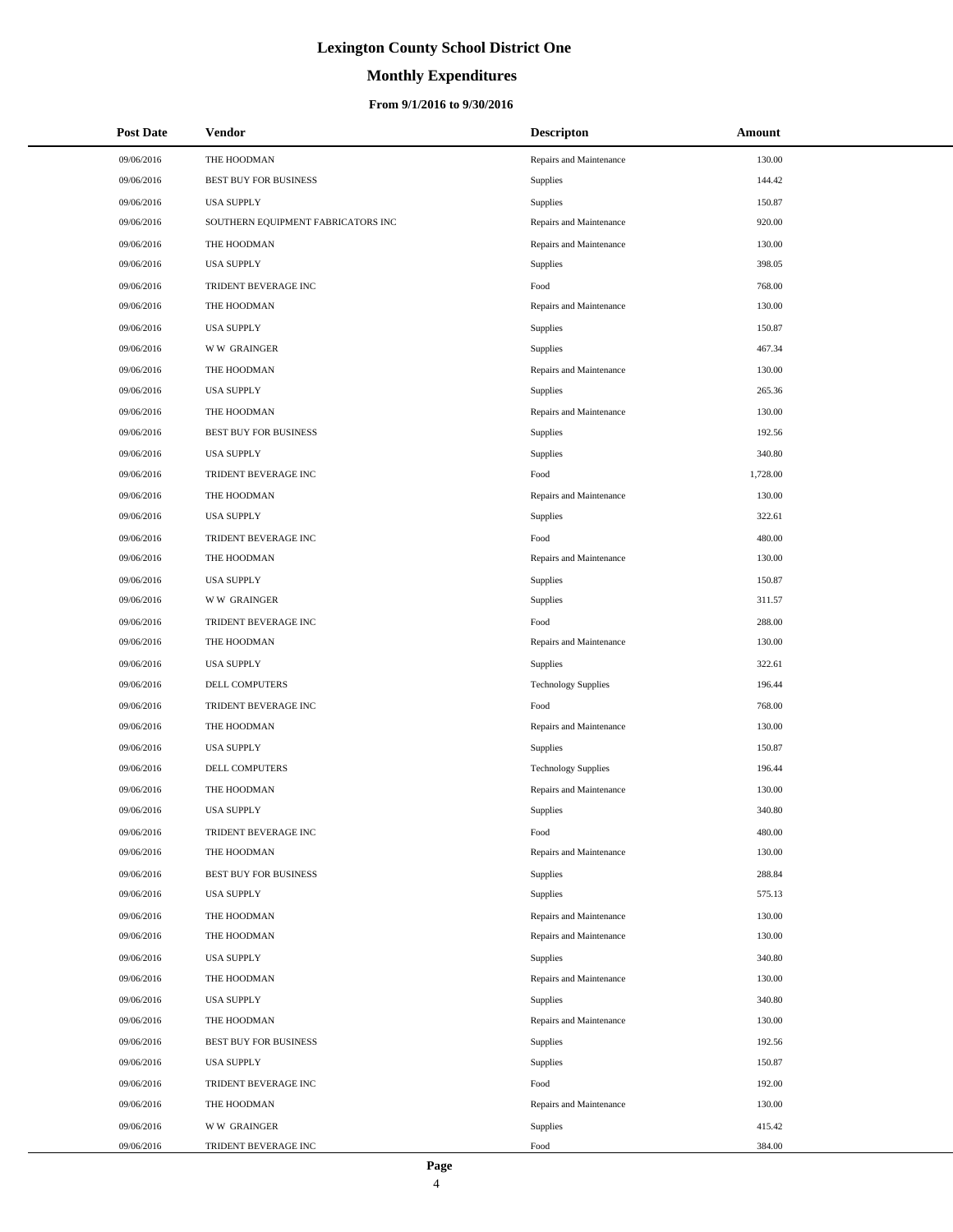# **Monthly Expenditures**

### **From 9/1/2016 to 9/30/2016**

| <b>Post Date</b> | Vendor                             | <b>Descripton</b>          | Amount   |
|------------------|------------------------------------|----------------------------|----------|
| 09/06/2016       | THE HOODMAN                        | Repairs and Maintenance    | 130.00   |
| 09/06/2016       | <b>BEST BUY FOR BUSINESS</b>       | Supplies                   | 144.42   |
| 09/06/2016       | <b>USA SUPPLY</b>                  | Supplies                   | 150.87   |
| 09/06/2016       | SOUTHERN EQUIPMENT FABRICATORS INC | Repairs and Maintenance    | 920.00   |
| 09/06/2016       | THE HOODMAN                        | Repairs and Maintenance    | 130.00   |
| 09/06/2016       | <b>USA SUPPLY</b>                  | Supplies                   | 398.05   |
| 09/06/2016       | TRIDENT BEVERAGE INC               | Food                       | 768.00   |
| 09/06/2016       | THE HOODMAN                        | Repairs and Maintenance    | 130.00   |
| 09/06/2016       | <b>USA SUPPLY</b>                  | Supplies                   | 150.87   |
| 09/06/2016       | <b>WW GRAINGER</b>                 | Supplies                   | 467.34   |
| 09/06/2016       | THE HOODMAN                        | Repairs and Maintenance    | 130.00   |
| 09/06/2016       | <b>USA SUPPLY</b>                  | Supplies                   | 265.36   |
| 09/06/2016       | THE HOODMAN                        | Repairs and Maintenance    | 130.00   |
| 09/06/2016       | <b>BEST BUY FOR BUSINESS</b>       | Supplies                   | 192.56   |
| 09/06/2016       | <b>USA SUPPLY</b>                  | Supplies                   | 340.80   |
| 09/06/2016       | TRIDENT BEVERAGE INC               | Food                       | 1,728.00 |
| 09/06/2016       | THE HOODMAN                        | Repairs and Maintenance    | 130.00   |
| 09/06/2016       | <b>USA SUPPLY</b>                  | Supplies                   | 322.61   |
| 09/06/2016       | TRIDENT BEVERAGE INC               | Food                       | 480.00   |
| 09/06/2016       | THE HOODMAN                        | Repairs and Maintenance    | 130.00   |
| 09/06/2016       | <b>USA SUPPLY</b>                  | Supplies                   | 150.87   |
| 09/06/2016       | <b>WW GRAINGER</b>                 | Supplies                   | 311.57   |
| 09/06/2016       | TRIDENT BEVERAGE INC               | Food                       | 288.00   |
| 09/06/2016       | THE HOODMAN                        | Repairs and Maintenance    | 130.00   |
| 09/06/2016       | <b>USA SUPPLY</b>                  | Supplies                   | 322.61   |
| 09/06/2016       | DELL COMPUTERS                     | <b>Technology Supplies</b> | 196.44   |
| 09/06/2016       | TRIDENT BEVERAGE INC               | Food                       | 768.00   |
| 09/06/2016       | THE HOODMAN                        | Repairs and Maintenance    | 130.00   |
| 09/06/2016       | <b>USA SUPPLY</b>                  | Supplies                   | 150.87   |
| 09/06/2016       | DELL COMPUTERS                     | <b>Technology Supplies</b> | 196.44   |
| 09/06/2016       | THE HOODMAN                        | Repairs and Maintenance    | 130.00   |
| 09/06/2016       | <b>USA SUPPLY</b>                  | Supplies                   | 340.80   |
| 09/06/2016       | TRIDENT BEVERAGE INC               | Food                       | 480.00   |
| 09/06/2016       | THE HOODMAN                        | Repairs and Maintenance    | 130.00   |
| 09/06/2016       | BEST BUY FOR BUSINESS              | Supplies                   | 288.84   |
| 09/06/2016       | <b>USA SUPPLY</b>                  | Supplies                   | 575.13   |
| 09/06/2016       | THE HOODMAN                        | Repairs and Maintenance    | 130.00   |
| 09/06/2016       | THE HOODMAN                        | Repairs and Maintenance    | 130.00   |
| 09/06/2016       | <b>USA SUPPLY</b>                  | Supplies                   | 340.80   |
| 09/06/2016       | THE HOODMAN                        | Repairs and Maintenance    | 130.00   |
| 09/06/2016       | <b>USA SUPPLY</b>                  | Supplies                   | 340.80   |
| 09/06/2016       | THE HOODMAN                        | Repairs and Maintenance    | 130.00   |
| 09/06/2016       | BEST BUY FOR BUSINESS              | Supplies                   | 192.56   |
| 09/06/2016       | <b>USA SUPPLY</b>                  | Supplies                   | 150.87   |
| 09/06/2016       | TRIDENT BEVERAGE INC               | Food                       | 192.00   |
| 09/06/2016       | THE HOODMAN                        | Repairs and Maintenance    | 130.00   |
| 09/06/2016       | <b>WW GRAINGER</b>                 | Supplies                   | 415.42   |
| 09/06/2016       | TRIDENT BEVERAGE INC               | Food                       | 384.00   |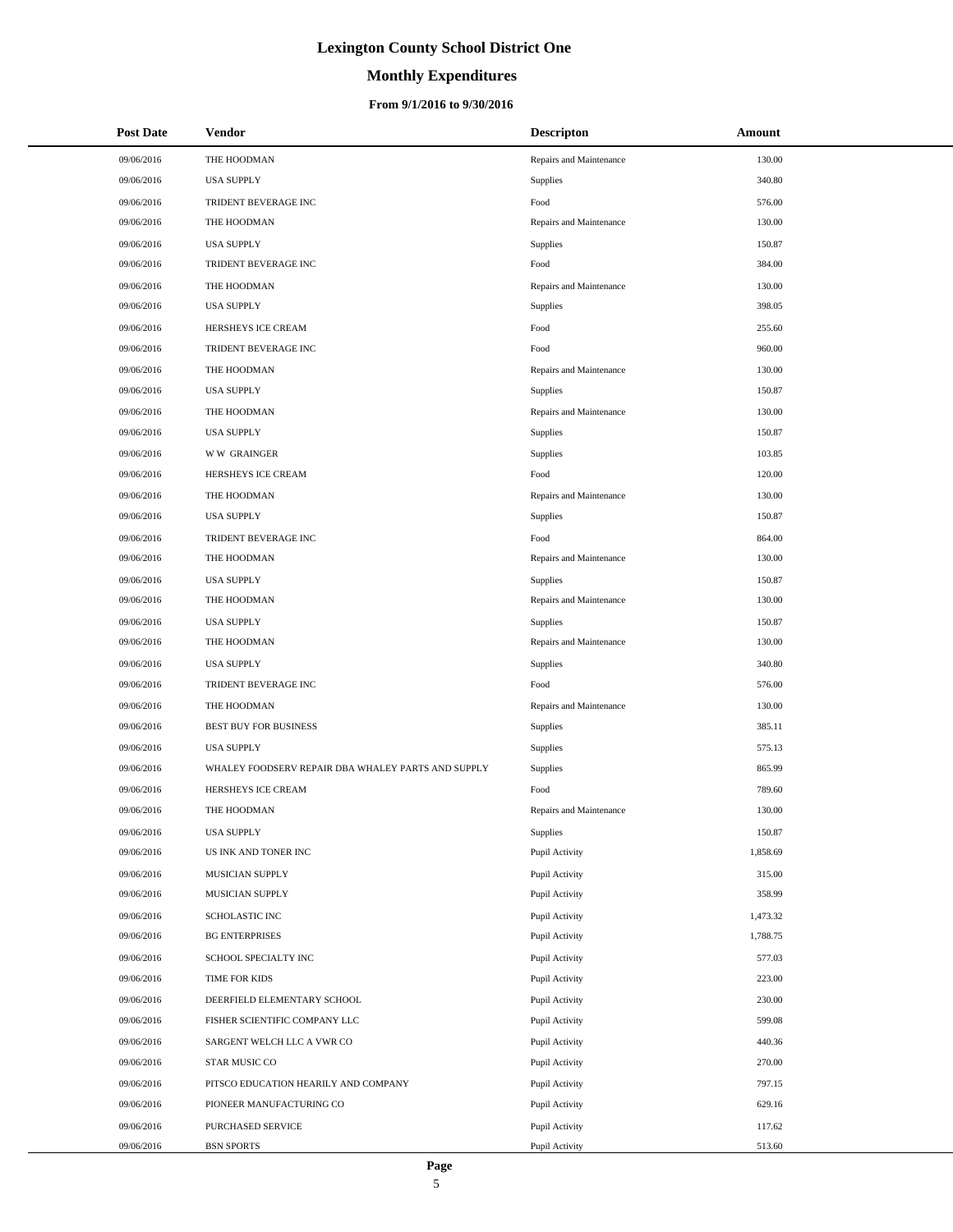# **Monthly Expenditures**

### **From 9/1/2016 to 9/30/2016**

| <b>Post Date</b> | Vendor                                             | <b>Descripton</b>       | Amount   |
|------------------|----------------------------------------------------|-------------------------|----------|
| 09/06/2016       | THE HOODMAN                                        | Repairs and Maintenance | 130.00   |
| 09/06/2016       | <b>USA SUPPLY</b>                                  | Supplies                | 340.80   |
| 09/06/2016       | TRIDENT BEVERAGE INC                               | Food                    | 576.00   |
| 09/06/2016       | THE HOODMAN                                        | Repairs and Maintenance | 130.00   |
| 09/06/2016       | <b>USA SUPPLY</b>                                  | Supplies                | 150.87   |
| 09/06/2016       | TRIDENT BEVERAGE INC                               | Food                    | 384.00   |
| 09/06/2016       | THE HOODMAN                                        | Repairs and Maintenance | 130.00   |
| 09/06/2016       | <b>USA SUPPLY</b>                                  | Supplies                | 398.05   |
| 09/06/2016       | HERSHEYS ICE CREAM                                 | Food                    | 255.60   |
| 09/06/2016       | TRIDENT BEVERAGE INC                               | Food                    | 960.00   |
| 09/06/2016       | THE HOODMAN                                        | Repairs and Maintenance | 130.00   |
| 09/06/2016       | <b>USA SUPPLY</b>                                  | Supplies                | 150.87   |
| 09/06/2016       | THE HOODMAN                                        | Repairs and Maintenance | 130.00   |
| 09/06/2016       | <b>USA SUPPLY</b>                                  | Supplies                | 150.87   |
| 09/06/2016       | <b>WW GRAINGER</b>                                 | Supplies                | 103.85   |
| 09/06/2016       | HERSHEYS ICE CREAM                                 | Food                    | 120.00   |
| 09/06/2016       | THE HOODMAN                                        | Repairs and Maintenance | 130.00   |
| 09/06/2016       | <b>USA SUPPLY</b>                                  | Supplies                | 150.87   |
| 09/06/2016       | TRIDENT BEVERAGE INC                               | Food                    | 864.00   |
| 09/06/2016       | THE HOODMAN                                        | Repairs and Maintenance | 130.00   |
| 09/06/2016       | <b>USA SUPPLY</b>                                  | Supplies                | 150.87   |
| 09/06/2016       | THE HOODMAN                                        | Repairs and Maintenance | 130.00   |
| 09/06/2016       | <b>USA SUPPLY</b>                                  | Supplies                | 150.87   |
| 09/06/2016       | THE HOODMAN                                        | Repairs and Maintenance | 130.00   |
| 09/06/2016       | <b>USA SUPPLY</b>                                  | Supplies                | 340.80   |
| 09/06/2016       | TRIDENT BEVERAGE INC                               | Food                    | 576.00   |
| 09/06/2016       | THE HOODMAN                                        | Repairs and Maintenance | 130.00   |
| 09/06/2016       | <b>BEST BUY FOR BUSINESS</b>                       | Supplies                | 385.11   |
| 09/06/2016       | <b>USA SUPPLY</b>                                  | Supplies                | 575.13   |
| 09/06/2016       | WHALEY FOODSERV REPAIR DBA WHALEY PARTS AND SUPPLY | Supplies                | 865.99   |
| 09/06/2016       | HERSHEYS ICE CREAM                                 | Food                    | 789.60   |
| 09/06/2016       | THE HOODMAN                                        | Repairs and Maintenance | 130.00   |
| 09/06/2016       | <b>USA SUPPLY</b>                                  | Supplies                | 150.87   |
| 09/06/2016       | US INK AND TONER INC                               | Pupil Activity          | 1,858.69 |
| 09/06/2016       | MUSICIAN SUPPLY                                    | Pupil Activity          | 315.00   |
| 09/06/2016       | MUSICIAN SUPPLY                                    | Pupil Activity          | 358.99   |
| 09/06/2016       | SCHOLASTIC INC                                     | Pupil Activity          | 1,473.32 |
| 09/06/2016       | <b>BG ENTERPRISES</b>                              | Pupil Activity          | 1,788.75 |
| 09/06/2016       | SCHOOL SPECIALTY INC                               | Pupil Activity          | 577.03   |
| 09/06/2016       | TIME FOR KIDS                                      | Pupil Activity          | 223.00   |
| 09/06/2016       | DEERFIELD ELEMENTARY SCHOOL                        | Pupil Activity          | 230.00   |
| 09/06/2016       | FISHER SCIENTIFIC COMPANY LLC                      | Pupil Activity          | 599.08   |
| 09/06/2016       | SARGENT WELCH LLC A VWR CO                         | Pupil Activity          | 440.36   |
| 09/06/2016       | STAR MUSIC CO                                      | Pupil Activity          | 270.00   |
| 09/06/2016       | PITSCO EDUCATION HEARILY AND COMPANY               | Pupil Activity          | 797.15   |
| 09/06/2016       | PIONEER MANUFACTURING CO                           | Pupil Activity          | 629.16   |
| 09/06/2016       | PURCHASED SERVICE                                  | Pupil Activity          | 117.62   |
| 09/06/2016       | <b>BSN SPORTS</b>                                  | Pupil Activity          | 513.60   |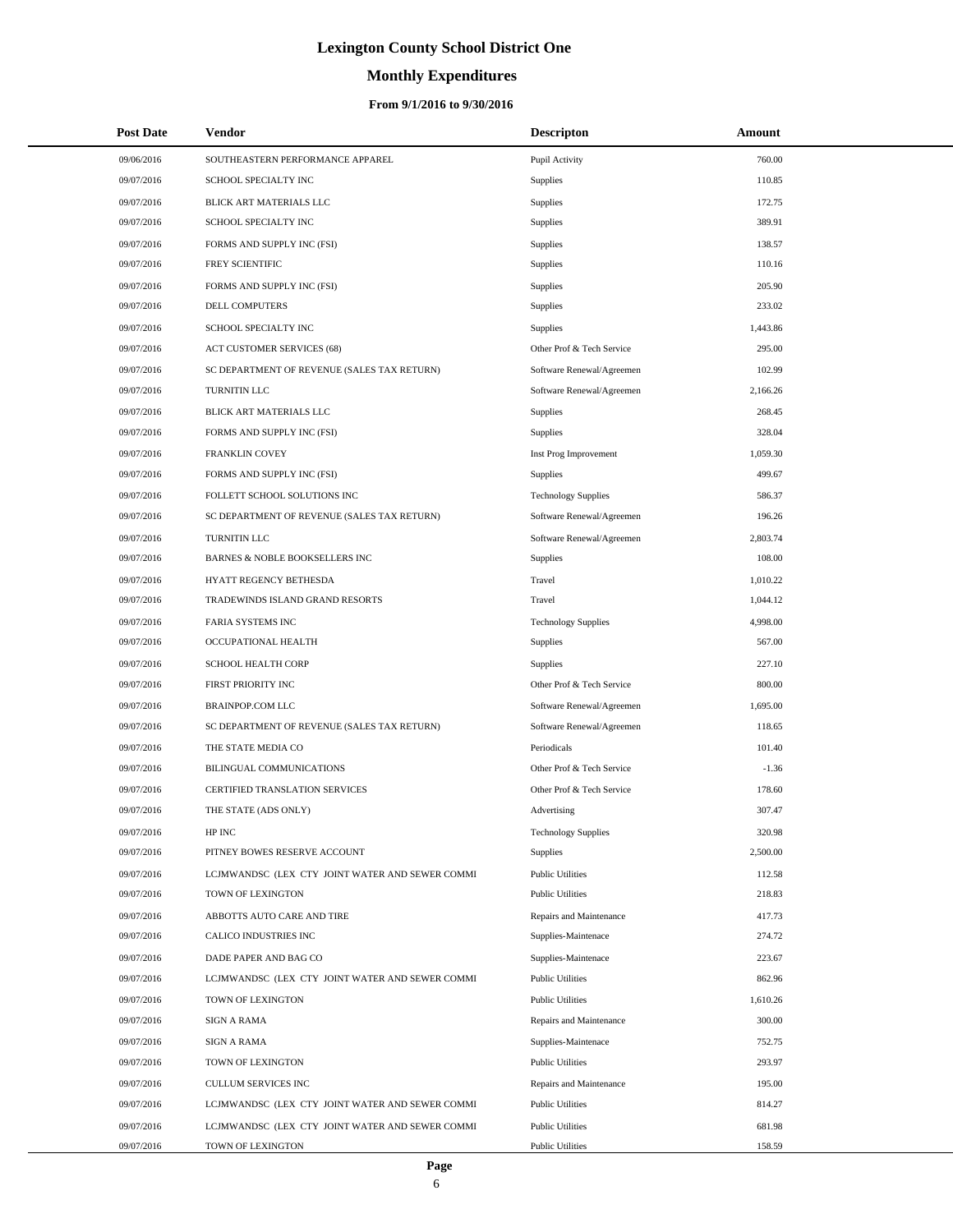# **Monthly Expenditures**

| <b>Post Date</b> | <b>Vendor</b>                                   | <b>Descripton</b>          | Amount   |
|------------------|-------------------------------------------------|----------------------------|----------|
| 09/06/2016       | SOUTHEASTERN PERFORMANCE APPAREL                | Pupil Activity             | 760.00   |
| 09/07/2016       | SCHOOL SPECIALTY INC                            | Supplies                   | 110.85   |
| 09/07/2016       | BLICK ART MATERIALS LLC                         | Supplies                   | 172.75   |
| 09/07/2016       | SCHOOL SPECIALTY INC                            | Supplies                   | 389.91   |
| 09/07/2016       | FORMS AND SUPPLY INC (FSI)                      | Supplies                   | 138.57   |
| 09/07/2016       | FREY SCIENTIFIC                                 | Supplies                   | 110.16   |
| 09/07/2016       | FORMS AND SUPPLY INC (FSI)                      | Supplies                   | 205.90   |
| 09/07/2016       | DELL COMPUTERS                                  | Supplies                   | 233.02   |
| 09/07/2016       | SCHOOL SPECIALTY INC                            | Supplies                   | 1,443.86 |
| 09/07/2016       | ACT CUSTOMER SERVICES (68)                      | Other Prof & Tech Service  | 295.00   |
| 09/07/2016       | SC DEPARTMENT OF REVENUE (SALES TAX RETURN)     | Software Renewal/Agreemen  | 102.99   |
| 09/07/2016       | TURNITIN LLC                                    | Software Renewal/Agreemen  | 2,166.26 |
| 09/07/2016       | BLICK ART MATERIALS LLC                         | Supplies                   | 268.45   |
| 09/07/2016       | FORMS AND SUPPLY INC (FSI)                      | Supplies                   | 328.04   |
| 09/07/2016       | FRANKLIN COVEY                                  | Inst Prog Improvement      | 1,059.30 |
| 09/07/2016       | FORMS AND SUPPLY INC (FSI)                      | Supplies                   | 499.67   |
| 09/07/2016       | FOLLETT SCHOOL SOLUTIONS INC                    | <b>Technology Supplies</b> | 586.37   |
| 09/07/2016       | SC DEPARTMENT OF REVENUE (SALES TAX RETURN)     | Software Renewal/Agreemen  | 196.26   |
| 09/07/2016       | TURNITIN LLC                                    | Software Renewal/Agreemen  | 2,803.74 |
| 09/07/2016       | BARNES & NOBLE BOOKSELLERS INC                  | Supplies                   | 108.00   |
| 09/07/2016       | HYATT REGENCY BETHESDA                          | Travel                     | 1,010.22 |
| 09/07/2016       | TRADEWINDS ISLAND GRAND RESORTS                 | Travel                     | 1,044.12 |
| 09/07/2016       | FARIA SYSTEMS INC                               | <b>Technology Supplies</b> | 4,998.00 |
| 09/07/2016       | OCCUPATIONAL HEALTH                             | Supplies                   | 567.00   |
| 09/07/2016       | SCHOOL HEALTH CORP                              | Supplies                   | 227.10   |
| 09/07/2016       | FIRST PRIORITY INC                              | Other Prof & Tech Service  | 800.00   |
| 09/07/2016       | <b>BRAINPOP.COM LLC</b>                         | Software Renewal/Agreemen  | 1,695.00 |
| 09/07/2016       | SC DEPARTMENT OF REVENUE (SALES TAX RETURN)     | Software Renewal/Agreemen  | 118.65   |
| 09/07/2016       | THE STATE MEDIA CO                              | Periodicals                | 101.40   |
| 09/07/2016       | BILINGUAL COMMUNICATIONS                        | Other Prof & Tech Service  | $-1.36$  |
| 09/07/2016       | <b>CERTIFIED TRANSLATION SERVICES</b>           | Other Prof & Tech Service  | 178.60   |
| 09/07/2016       | THE STATE (ADS ONLY)                            | Advertising                | 307.47   |
| 09/07/2016       | HP INC                                          | <b>Technology Supplies</b> | 320.98   |
| 09/07/2016       | PITNEY BOWES RESERVE ACCOUNT                    | Supplies                   | 2,500.00 |
| 09/07/2016       | LCJMWANDSC (LEX CTY JOINT WATER AND SEWER COMMI | <b>Public Utilities</b>    | 112.58   |
| 09/07/2016       | TOWN OF LEXINGTON                               | <b>Public Utilities</b>    | 218.83   |
| 09/07/2016       | ABBOTTS AUTO CARE AND TIRE                      | Repairs and Maintenance    | 417.73   |
| 09/07/2016       | CALICO INDUSTRIES INC                           | Supplies-Maintenace        | 274.72   |
| 09/07/2016       | DADE PAPER AND BAG CO                           | Supplies-Maintenace        | 223.67   |
| 09/07/2016       | LCJMWANDSC (LEX CTY JOINT WATER AND SEWER COMMI | <b>Public Utilities</b>    | 862.96   |
| 09/07/2016       | TOWN OF LEXINGTON                               | <b>Public Utilities</b>    | 1,610.26 |
| 09/07/2016       | <b>SIGN A RAMA</b>                              | Repairs and Maintenance    | 300.00   |
| 09/07/2016       | SIGN A RAMA                                     | Supplies-Maintenace        | 752.75   |
| 09/07/2016       | TOWN OF LEXINGTON                               | <b>Public Utilities</b>    | 293.97   |
| 09/07/2016       | CULLUM SERVICES INC                             | Repairs and Maintenance    | 195.00   |
| 09/07/2016       | LCJMWANDSC (LEX CTY JOINT WATER AND SEWER COMMI | <b>Public Utilities</b>    | 814.27   |
| 09/07/2016       | LCJMWANDSC (LEX CTY JOINT WATER AND SEWER COMMI | <b>Public Utilities</b>    | 681.98   |
| 09/07/2016       | TOWN OF LEXINGTON                               | <b>Public Utilities</b>    | 158.59   |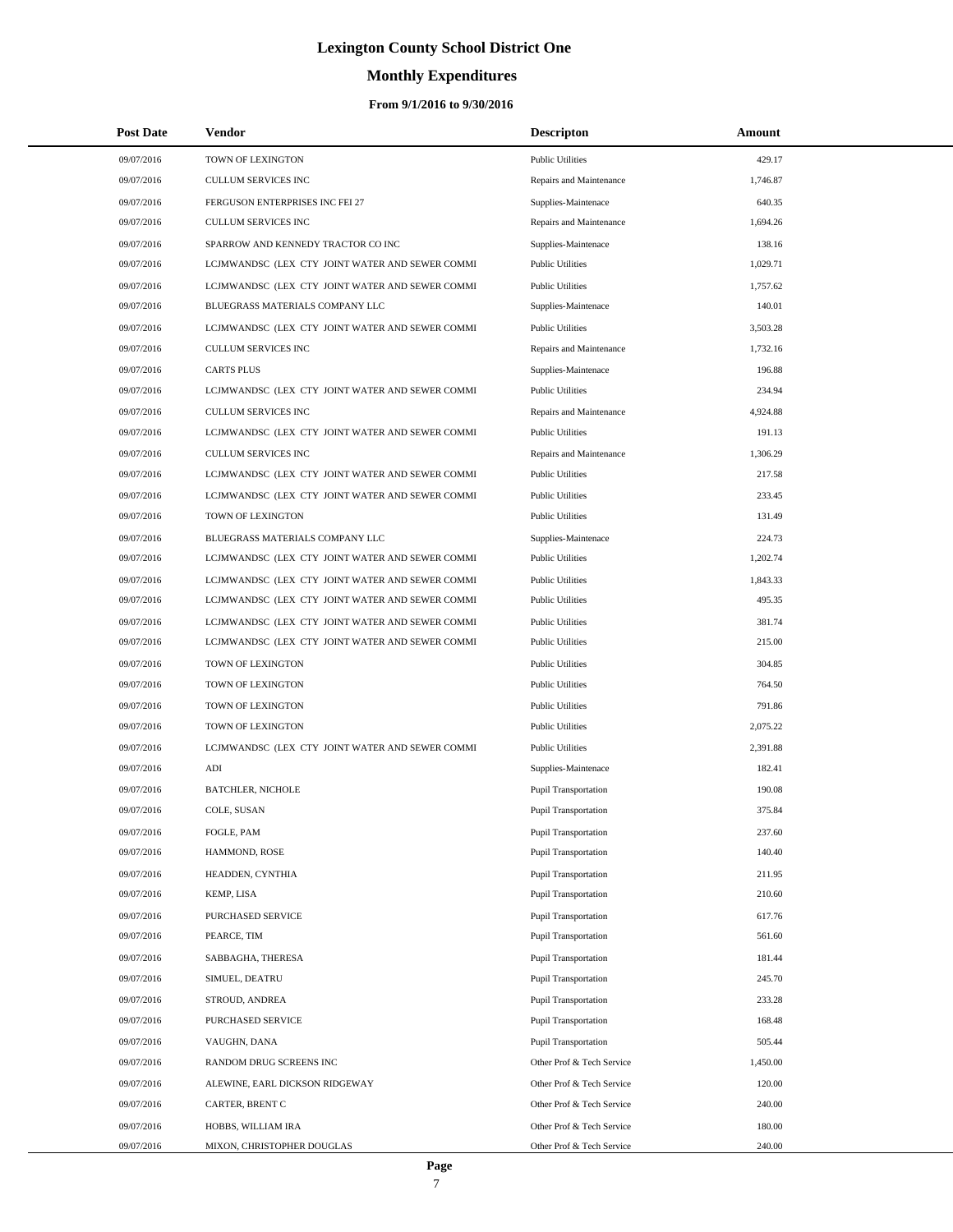# **Monthly Expenditures**

| <b>Post Date</b> | Vendor                                          | <b>Descripton</b>           | Amount   |
|------------------|-------------------------------------------------|-----------------------------|----------|
| 09/07/2016       | TOWN OF LEXINGTON                               | <b>Public Utilities</b>     | 429.17   |
| 09/07/2016       | <b>CULLUM SERVICES INC</b>                      | Repairs and Maintenance     | 1,746.87 |
| 09/07/2016       | FERGUSON ENTERPRISES INC FEI 27                 | Supplies-Maintenace         | 640.35   |
| 09/07/2016       | <b>CULLUM SERVICES INC</b>                      | Repairs and Maintenance     | 1,694.26 |
| 09/07/2016       | SPARROW AND KENNEDY TRACTOR CO INC              | Supplies-Maintenace         | 138.16   |
| 09/07/2016       | LCJMWANDSC (LEX CTY JOINT WATER AND SEWER COMMI | <b>Public Utilities</b>     | 1,029.71 |
| 09/07/2016       | LCJMWANDSC (LEX CTY JOINT WATER AND SEWER COMMI | <b>Public Utilities</b>     | 1,757.62 |
| 09/07/2016       | BLUEGRASS MATERIALS COMPANY LLC                 | Supplies-Maintenace         | 140.01   |
| 09/07/2016       | LCJMWANDSC (LEX CTY JOINT WATER AND SEWER COMMI | <b>Public Utilities</b>     | 3,503.28 |
| 09/07/2016       | CULLUM SERVICES INC                             | Repairs and Maintenance     | 1,732.16 |
| 09/07/2016       | <b>CARTS PLUS</b>                               | Supplies-Maintenace         | 196.88   |
| 09/07/2016       | LCJMWANDSC (LEX CTY JOINT WATER AND SEWER COMMI | <b>Public Utilities</b>     | 234.94   |
| 09/07/2016       | CULLUM SERVICES INC                             | Repairs and Maintenance     | 4,924.88 |
| 09/07/2016       | LCJMWANDSC (LEX CTY JOINT WATER AND SEWER COMMI | <b>Public Utilities</b>     | 191.13   |
| 09/07/2016       | <b>CULLUM SERVICES INC</b>                      | Repairs and Maintenance     | 1,306.29 |
| 09/07/2016       | LCJMWANDSC (LEX CTY JOINT WATER AND SEWER COMMI | <b>Public Utilities</b>     | 217.58   |
| 09/07/2016       | LCJMWANDSC (LEX CTY JOINT WATER AND SEWER COMMI | <b>Public Utilities</b>     | 233.45   |
| 09/07/2016       | TOWN OF LEXINGTON                               | <b>Public Utilities</b>     | 131.49   |
| 09/07/2016       | BLUEGRASS MATERIALS COMPANY LLC                 | Supplies-Maintenace         | 224.73   |
| 09/07/2016       | LCJMWANDSC (LEX CTY JOINT WATER AND SEWER COMMI | <b>Public Utilities</b>     | 1,202.74 |
| 09/07/2016       | LCJMWANDSC (LEX CTY JOINT WATER AND SEWER COMMI | <b>Public Utilities</b>     | 1,843.33 |
| 09/07/2016       | LCJMWANDSC (LEX CTY JOINT WATER AND SEWER COMMI | <b>Public Utilities</b>     | 495.35   |
| 09/07/2016       | LCJMWANDSC (LEX CTY JOINT WATER AND SEWER COMMI | <b>Public Utilities</b>     | 381.74   |
| 09/07/2016       | LCJMWANDSC (LEX CTY JOINT WATER AND SEWER COMMI | <b>Public Utilities</b>     | 215.00   |
| 09/07/2016       | TOWN OF LEXINGTON                               | <b>Public Utilities</b>     | 304.85   |
| 09/07/2016       | TOWN OF LEXINGTON                               | <b>Public Utilities</b>     | 764.50   |
| 09/07/2016       | TOWN OF LEXINGTON                               | <b>Public Utilities</b>     | 791.86   |
| 09/07/2016       | TOWN OF LEXINGTON                               | <b>Public Utilities</b>     | 2,075.22 |
| 09/07/2016       | LCJMWANDSC (LEX CTY JOINT WATER AND SEWER COMMI | <b>Public Utilities</b>     | 2,391.88 |
| 09/07/2016       | ADI                                             | Supplies-Maintenace         | 182.41   |
| 09/07/2016       | <b>BATCHLER, NICHOLE</b>                        | Pupil Transportation        | 190.08   |
| 09/07/2016       | COLE, SUSAN                                     | Pupil Transportation        | 375.84   |
| 09/07/2016       | FOGLE, PAM                                      | <b>Pupil Transportation</b> | 237.60   |
| 09/07/2016       | HAMMOND, ROSE                                   | <b>Pupil Transportation</b> | 140.40   |
| 09/07/2016       | HEADDEN, CYNTHIA                                | Pupil Transportation        | 211.95   |
| 09/07/2016       | KEMP, LISA                                      | Pupil Transportation        | 210.60   |
| 09/07/2016       | PURCHASED SERVICE                               | <b>Pupil Transportation</b> | 617.76   |
| 09/07/2016       | PEARCE, TIM                                     | Pupil Transportation        | 561.60   |
| 09/07/2016       | SABBAGHA, THERESA                               | <b>Pupil Transportation</b> | 181.44   |
| 09/07/2016       | SIMUEL, DEATRU                                  | <b>Pupil Transportation</b> | 245.70   |
| 09/07/2016       | STROUD, ANDREA                                  | <b>Pupil Transportation</b> | 233.28   |
| 09/07/2016       | PURCHASED SERVICE                               | Pupil Transportation        | 168.48   |
| 09/07/2016       | VAUGHN, DANA                                    | Pupil Transportation        | 505.44   |
| 09/07/2016       | RANDOM DRUG SCREENS INC                         | Other Prof & Tech Service   | 1,450.00 |
| 09/07/2016       | ALEWINE, EARL DICKSON RIDGEWAY                  | Other Prof & Tech Service   | 120.00   |
| 09/07/2016       | CARTER, BRENT C                                 | Other Prof & Tech Service   | 240.00   |
| 09/07/2016       | HOBBS, WILLIAM IRA                              | Other Prof & Tech Service   | 180.00   |
| 09/07/2016       | MIXON, CHRISTOPHER DOUGLAS                      | Other Prof & Tech Service   | 240.00   |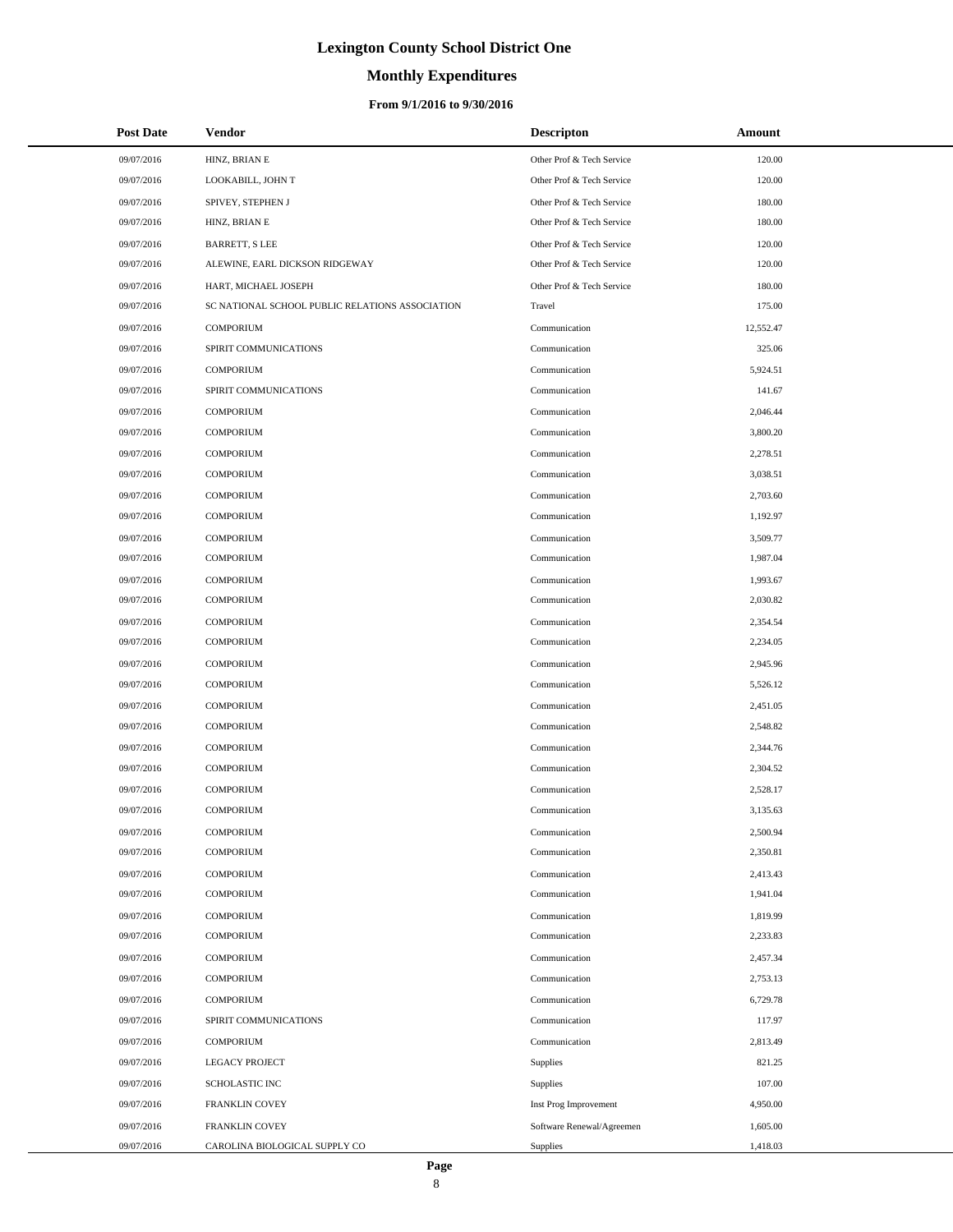# **Monthly Expenditures**

### **From 9/1/2016 to 9/30/2016**

| <b>Post Date</b> | <b>Vendor</b>                                   | <b>Descripton</b>         | Amount    |
|------------------|-------------------------------------------------|---------------------------|-----------|
| 09/07/2016       | HINZ, BRIAN E                                   | Other Prof & Tech Service | 120.00    |
| 09/07/2016       | LOOKABILL, JOHN T                               | Other Prof & Tech Service | 120.00    |
| 09/07/2016       | SPIVEY, STEPHEN J                               | Other Prof & Tech Service | 180.00    |
| 09/07/2016       | HINZ, BRIAN E                                   | Other Prof & Tech Service | 180.00    |
| 09/07/2016       | <b>BARRETT, S LEE</b>                           | Other Prof & Tech Service | 120.00    |
| 09/07/2016       | ALEWINE, EARL DICKSON RIDGEWAY                  | Other Prof & Tech Service | 120.00    |
| 09/07/2016       | HART, MICHAEL JOSEPH                            | Other Prof & Tech Service | 180.00    |
| 09/07/2016       | SC NATIONAL SCHOOL PUBLIC RELATIONS ASSOCIATION | Travel                    | 175.00    |
| 09/07/2016       | <b>COMPORIUM</b>                                | Communication             | 12,552.47 |
| 09/07/2016       | SPIRIT COMMUNICATIONS                           | Communication             | 325.06    |
| 09/07/2016       | <b>COMPORIUM</b>                                | Communication             | 5,924.51  |
| 09/07/2016       | SPIRIT COMMUNICATIONS                           | Communication             | 141.67    |
| 09/07/2016       | <b>COMPORIUM</b>                                | Communication             | 2,046.44  |
| 09/07/2016       | <b>COMPORIUM</b>                                | Communication             | 3,800.20  |
| 09/07/2016       | <b>COMPORIUM</b>                                | Communication             | 2,278.51  |
| 09/07/2016       | <b>COMPORIUM</b>                                | Communication             | 3,038.51  |
| 09/07/2016       | <b>COMPORIUM</b>                                | Communication             | 2,703.60  |
| 09/07/2016       | <b>COMPORIUM</b>                                | Communication             | 1,192.97  |
| 09/07/2016       | <b>COMPORIUM</b>                                | Communication             | 3,509.77  |
| 09/07/2016       | <b>COMPORIUM</b>                                | Communication             | 1,987.04  |
| 09/07/2016       | <b>COMPORIUM</b>                                | Communication             | 1,993.67  |
| 09/07/2016       | <b>COMPORIUM</b>                                | Communication             | 2,030.82  |
| 09/07/2016       | <b>COMPORIUM</b>                                | Communication             | 2,354.54  |
| 09/07/2016       | <b>COMPORIUM</b>                                | Communication             | 2,234.05  |
| 09/07/2016       | <b>COMPORIUM</b>                                | Communication             | 2,945.96  |
| 09/07/2016       | <b>COMPORIUM</b>                                | Communication             | 5,526.12  |
| 09/07/2016       | <b>COMPORIUM</b>                                | Communication             | 2,451.05  |
| 09/07/2016       | <b>COMPORIUM</b>                                | Communication             | 2,548.82  |
| 09/07/2016       | <b>COMPORIUM</b>                                | Communication             | 2,344.76  |
| 09/07/2016       | <b>COMPORIUM</b>                                | Communication             | 2,304.52  |
| 09/07/2016       | <b>COMPORIUM</b>                                | Communication             | 2,528.17  |
| 09/07/2016       | <b>COMPORIUM</b>                                | Communication             | 3,135.63  |
| 09/07/2016       | <b>COMPORIUM</b>                                | Communication             | 2,500.94  |
| 09/07/2016       | <b>COMPORIUM</b>                                | Communication             | 2,350.81  |
| 09/07/2016       | <b>COMPORIUM</b>                                | Communication             | 2,413.43  |
| 09/07/2016       | <b>COMPORIUM</b>                                | Communication             | 1,941.04  |
| 09/07/2016       | <b>COMPORIUM</b>                                | Communication             | 1,819.99  |
| 09/07/2016       | <b>COMPORIUM</b>                                | Communication             | 2,233.83  |
| 09/07/2016       | <b>COMPORIUM</b>                                | Communication             | 2,457.34  |
| 09/07/2016       | <b>COMPORIUM</b>                                | Communication             | 2,753.13  |
| 09/07/2016       | <b>COMPORIUM</b>                                | Communication             | 6,729.78  |
| 09/07/2016       | SPIRIT COMMUNICATIONS                           | Communication             | 117.97    |
| 09/07/2016       | <b>COMPORIUM</b>                                | Communication             | 2,813.49  |
| 09/07/2016       | <b>LEGACY PROJECT</b>                           | Supplies                  | 821.25    |
| 09/07/2016       | <b>SCHOLASTIC INC</b>                           | Supplies                  | 107.00    |
| 09/07/2016       | FRANKLIN COVEY                                  | Inst Prog Improvement     | 4,950.00  |
| 09/07/2016       | FRANKLIN COVEY                                  | Software Renewal/Agreemen | 1,605.00  |
| 09/07/2016       | CAROLINA BIOLOGICAL SUPPLY CO                   | Supplies                  | 1,418.03  |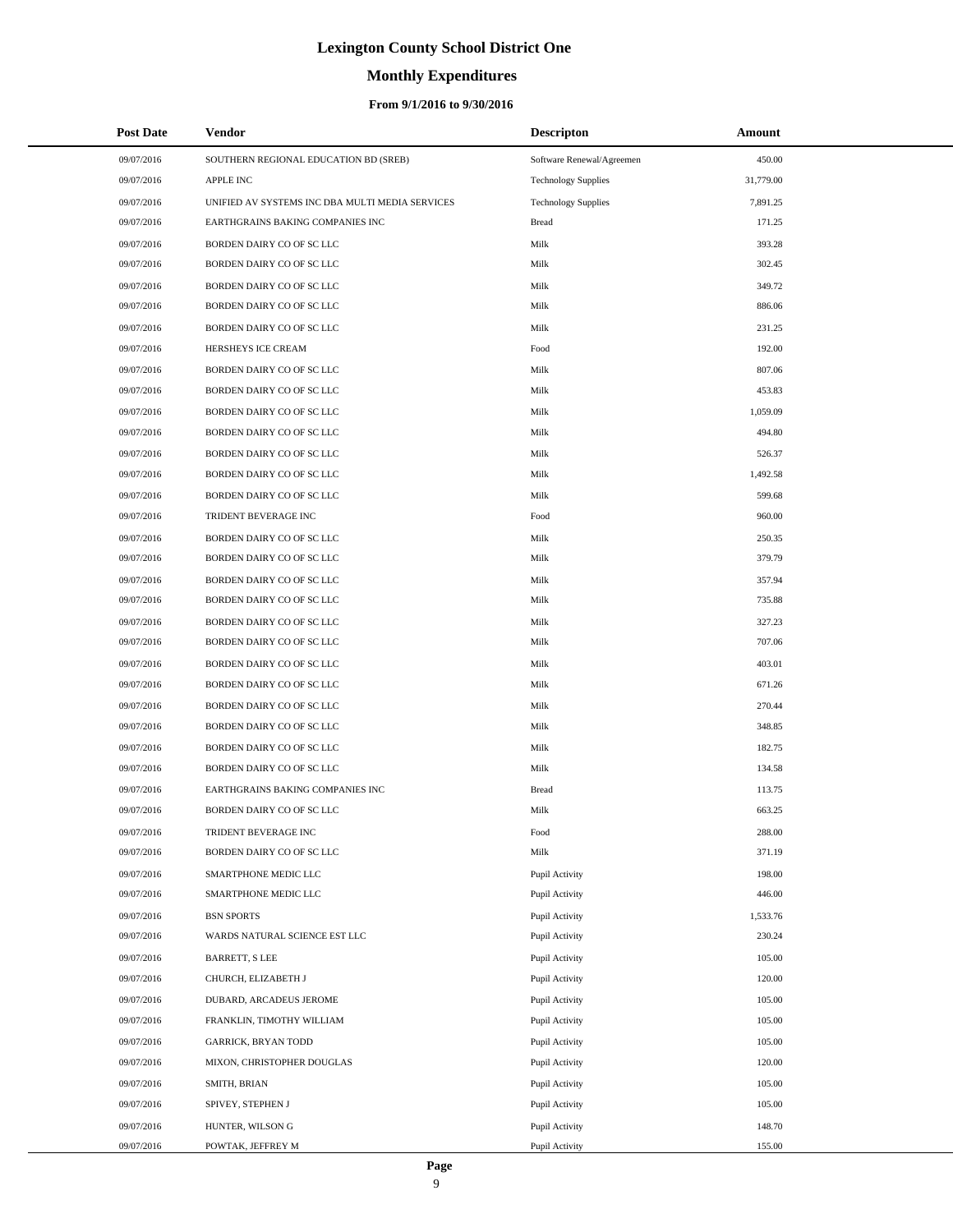# **Monthly Expenditures**

### **From 9/1/2016 to 9/30/2016**

| <b>Post Date</b> | Vendor                                          | <b>Descripton</b>          | Amount    |
|------------------|-------------------------------------------------|----------------------------|-----------|
| 09/07/2016       | SOUTHERN REGIONAL EDUCATION BD (SREB)           | Software Renewal/Agreemen  | 450.00    |
| 09/07/2016       | APPLE INC                                       | <b>Technology Supplies</b> | 31,779.00 |
| 09/07/2016       | UNIFIED AV SYSTEMS INC DBA MULTI MEDIA SERVICES | <b>Technology Supplies</b> | 7,891.25  |
| 09/07/2016       | EARTHGRAINS BAKING COMPANIES INC                | <b>Bread</b>               | 171.25    |
| 09/07/2016       | BORDEN DAIRY CO OF SC LLC                       | Milk                       | 393.28    |
| 09/07/2016       | BORDEN DAIRY CO OF SC LLC                       | Milk                       | 302.45    |
| 09/07/2016       | BORDEN DAIRY CO OF SC LLC                       | Milk                       | 349.72    |
| 09/07/2016       | BORDEN DAIRY CO OF SC LLC                       | Milk                       | 886.06    |
| 09/07/2016       | BORDEN DAIRY CO OF SC LLC                       | Milk                       | 231.25    |
| 09/07/2016       | HERSHEYS ICE CREAM                              | Food                       | 192.00    |
| 09/07/2016       | BORDEN DAIRY CO OF SC LLC                       | Milk                       | 807.06    |
| 09/07/2016       | BORDEN DAIRY CO OF SC LLC                       | Milk                       | 453.83    |
| 09/07/2016       | BORDEN DAIRY CO OF SC LLC                       | Milk                       | 1,059.09  |
| 09/07/2016       | BORDEN DAIRY CO OF SC LLC                       | Milk                       | 494.80    |
| 09/07/2016       | BORDEN DAIRY CO OF SC LLC                       | Milk                       | 526.37    |
| 09/07/2016       | BORDEN DAIRY CO OF SC LLC                       | Milk                       | 1,492.58  |
| 09/07/2016       | BORDEN DAIRY CO OF SC LLC                       | Milk                       | 599.68    |
| 09/07/2016       | TRIDENT BEVERAGE INC                            | Food                       | 960.00    |
| 09/07/2016       | BORDEN DAIRY CO OF SC LLC                       | Milk                       | 250.35    |
| 09/07/2016       | BORDEN DAIRY CO OF SC LLC                       | Milk                       | 379.79    |
| 09/07/2016       | BORDEN DAIRY CO OF SC LLC                       | Milk                       | 357.94    |
| 09/07/2016       | BORDEN DAIRY CO OF SC LLC                       | Milk                       | 735.88    |
| 09/07/2016       | BORDEN DAIRY CO OF SC LLC                       | Milk                       | 327.23    |
| 09/07/2016       | BORDEN DAIRY CO OF SC LLC                       | Milk                       | 707.06    |
| 09/07/2016       | BORDEN DAIRY CO OF SC LLC                       | Milk                       | 403.01    |
| 09/07/2016       | BORDEN DAIRY CO OF SC LLC                       | Milk                       | 671.26    |
| 09/07/2016       | BORDEN DAIRY CO OF SC LLC                       | Milk                       | 270.44    |
| 09/07/2016       | BORDEN DAIRY CO OF SC LLC                       | Milk                       | 348.85    |
| 09/07/2016       | BORDEN DAIRY CO OF SC LLC                       | Milk                       | 182.75    |
| 09/07/2016       | BORDEN DAIRY CO OF SC LLC                       | Milk                       | 134.58    |
| 09/07/2016       | EARTHGRAINS BAKING COMPANIES INC                | <b>Bread</b>               | 113.75    |
| 09/07/2016       | BORDEN DAIRY CO OF SC LLC                       | Milk                       | 663.25    |
| 09/07/2016       | TRIDENT BEVERAGE INC                            | Food                       | 288.00    |
| 09/07/2016       | BORDEN DAIRY CO OF SC LLC                       | Milk                       | 371.19    |
| 09/07/2016       | SMARTPHONE MEDIC LLC                            | Pupil Activity             | 198.00    |
| 09/07/2016       | SMARTPHONE MEDIC LLC                            | Pupil Activity             | 446.00    |
| 09/07/2016       | <b>BSN SPORTS</b>                               | Pupil Activity             | 1,533.76  |
| 09/07/2016       | WARDS NATURAL SCIENCE EST LLC                   | Pupil Activity             | 230.24    |
| 09/07/2016       | <b>BARRETT, S LEE</b>                           | Pupil Activity             | 105.00    |
| 09/07/2016       | CHURCH, ELIZABETH J                             | Pupil Activity             | 120.00    |
| 09/07/2016       | DUBARD, ARCADEUS JEROME                         | Pupil Activity             | 105.00    |
| 09/07/2016       | FRANKLIN, TIMOTHY WILLIAM                       | Pupil Activity             | 105.00    |
| 09/07/2016       | <b>GARRICK, BRYAN TODD</b>                      | Pupil Activity             | 105.00    |
| 09/07/2016       | MIXON, CHRISTOPHER DOUGLAS                      | Pupil Activity             | 120.00    |
| 09/07/2016       | SMITH, BRIAN                                    | Pupil Activity             | 105.00    |
| 09/07/2016       | SPIVEY, STEPHEN J                               | Pupil Activity             | 105.00    |
| 09/07/2016       | HUNTER, WILSON G                                | Pupil Activity             | 148.70    |
| 09/07/2016       | POWTAK, JEFFREY M                               | Pupil Activity             | 155.00    |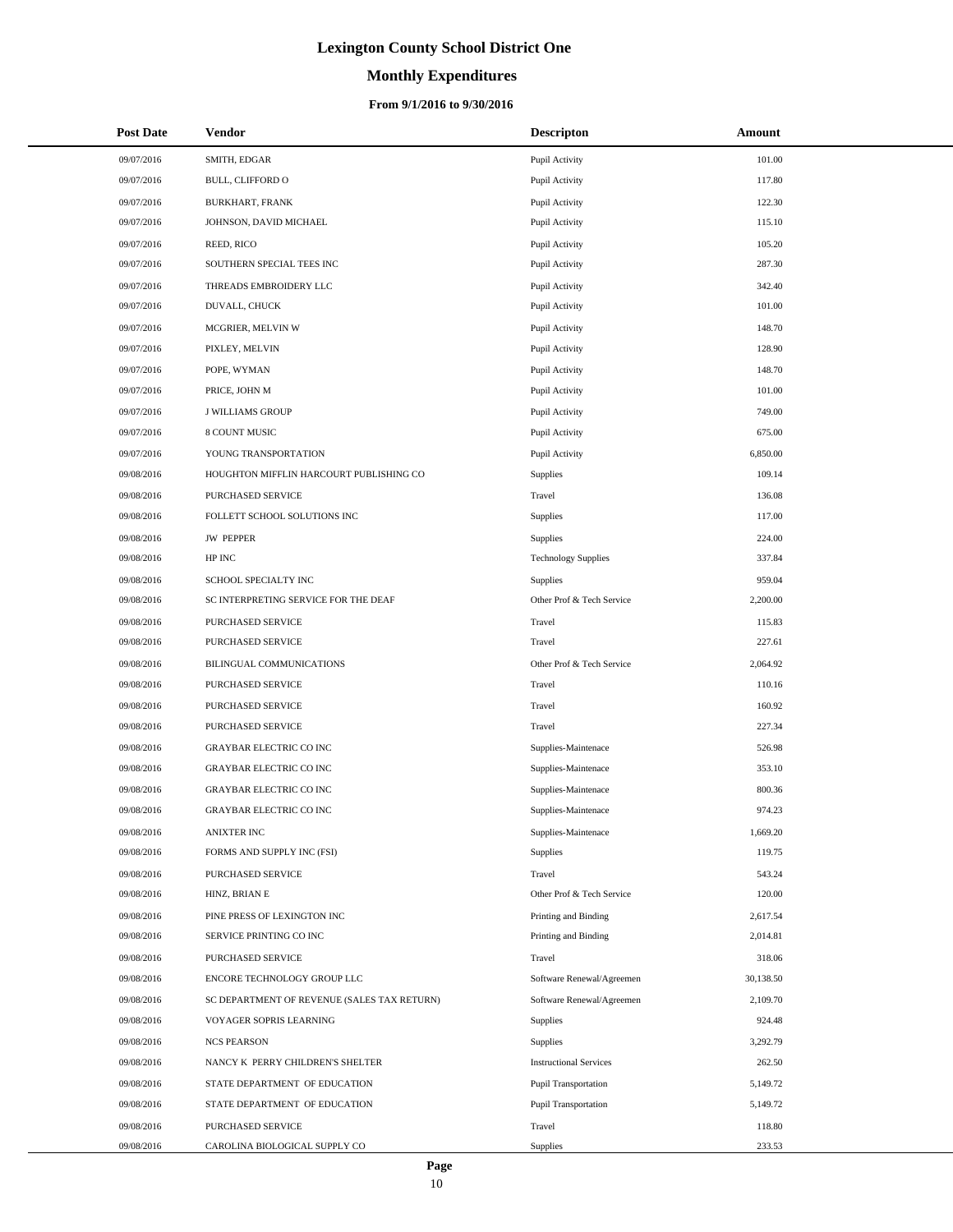# **Monthly Expenditures**

### **From 9/1/2016 to 9/30/2016**

| <b>Post Date</b> | Vendor                                      | <b>Descripton</b>             | Amount    |
|------------------|---------------------------------------------|-------------------------------|-----------|
| 09/07/2016       | SMITH, EDGAR                                | Pupil Activity                | 101.00    |
| 09/07/2016       | <b>BULL, CLIFFORD O</b>                     | Pupil Activity                | 117.80    |
| 09/07/2016       | <b>BURKHART, FRANK</b>                      | Pupil Activity                | 122.30    |
| 09/07/2016       | JOHNSON, DAVID MICHAEL                      | Pupil Activity                | 115.10    |
| 09/07/2016       | REED, RICO                                  | Pupil Activity                | 105.20    |
| 09/07/2016       | SOUTHERN SPECIAL TEES INC                   | Pupil Activity                | 287.30    |
| 09/07/2016       | THREADS EMBROIDERY LLC                      | Pupil Activity                | 342.40    |
| 09/07/2016       | DUVALL, CHUCK                               | Pupil Activity                | 101.00    |
| 09/07/2016       | MCGRIER, MELVIN W                           | Pupil Activity                | 148.70    |
| 09/07/2016       | PIXLEY, MELVIN                              | Pupil Activity                | 128.90    |
| 09/07/2016       | POPE, WYMAN                                 | Pupil Activity                | 148.70    |
| 09/07/2016       | PRICE, JOHN M                               | Pupil Activity                | 101.00    |
| 09/07/2016       | <b>J WILLIAMS GROUP</b>                     | Pupil Activity                | 749.00    |
| 09/07/2016       | 8 COUNT MUSIC                               | Pupil Activity                | 675.00    |
| 09/07/2016       | YOUNG TRANSPORTATION                        | Pupil Activity                | 6,850.00  |
| 09/08/2016       | HOUGHTON MIFFLIN HARCOURT PUBLISHING CO     | Supplies                      | 109.14    |
| 09/08/2016       | PURCHASED SERVICE                           | Travel                        | 136.08    |
| 09/08/2016       | FOLLETT SCHOOL SOLUTIONS INC                | Supplies                      | 117.00    |
| 09/08/2016       | <b>JW PEPPER</b>                            | Supplies                      | 224.00    |
| 09/08/2016       | HP INC                                      | <b>Technology Supplies</b>    | 337.84    |
| 09/08/2016       | SCHOOL SPECIALTY INC                        | Supplies                      | 959.04    |
| 09/08/2016       | SC INTERPRETING SERVICE FOR THE DEAF        | Other Prof & Tech Service     | 2,200.00  |
| 09/08/2016       | PURCHASED SERVICE                           | Travel                        | 115.83    |
| 09/08/2016       | PURCHASED SERVICE                           | Travel                        | 227.61    |
| 09/08/2016       | BILINGUAL COMMUNICATIONS                    | Other Prof & Tech Service     | 2,064.92  |
| 09/08/2016       | PURCHASED SERVICE                           | Travel                        | 110.16    |
| 09/08/2016       | PURCHASED SERVICE                           | Travel                        | 160.92    |
| 09/08/2016       | <b>PURCHASED SERVICE</b>                    | Travel                        | 227.34    |
| 09/08/2016       | <b>GRAYBAR ELECTRIC CO INC</b>              | Supplies-Maintenace           | 526.98    |
| 09/08/2016       | <b>GRAYBAR ELECTRIC CO INC</b>              | Supplies-Maintenace           | 353.10    |
| 09/08/2016       | <b>GRAYBAR ELECTRIC CO INC</b>              | Supplies-Maintenace           | 800.36    |
| 09/08/2016       | <b>GRAYBAR ELECTRIC CO INC</b>              | Supplies-Maintenace           | 974.23    |
| 09/08/2016       | ANIXTER INC                                 | Supplies-Maintenace           | 1,669.20  |
| 09/08/2016       | FORMS AND SUPPLY INC (FSI)                  | Supplies                      | 119.75    |
| 09/08/2016       | PURCHASED SERVICE                           | Travel                        | 543.24    |
| 09/08/2016       | HINZ, BRIAN E                               | Other Prof & Tech Service     | 120.00    |
| 09/08/2016       | PINE PRESS OF LEXINGTON INC                 | Printing and Binding          | 2,617.54  |
| 09/08/2016       | SERVICE PRINTING CO INC                     | Printing and Binding          | 2,014.81  |
| 09/08/2016       | PURCHASED SERVICE                           | Travel                        | 318.06    |
| 09/08/2016       | ENCORE TECHNOLOGY GROUP LLC                 | Software Renewal/Agreemen     | 30,138.50 |
| 09/08/2016       | SC DEPARTMENT OF REVENUE (SALES TAX RETURN) | Software Renewal/Agreemen     | 2,109.70  |
| 09/08/2016       | VOYAGER SOPRIS LEARNING                     | Supplies                      | 924.48    |
| 09/08/2016       | <b>NCS PEARSON</b>                          | Supplies                      | 3,292.79  |
| 09/08/2016       | NANCY K PERRY CHILDREN'S SHELTER            | <b>Instructional Services</b> | 262.50    |
| 09/08/2016       | STATE DEPARTMENT OF EDUCATION               | <b>Pupil Transportation</b>   | 5,149.72  |
| 09/08/2016       | STATE DEPARTMENT OF EDUCATION               | <b>Pupil Transportation</b>   | 5,149.72  |
| 09/08/2016       | PURCHASED SERVICE                           | Travel                        | 118.80    |
| 09/08/2016       | CAROLINA BIOLOGICAL SUPPLY CO               | Supplies                      | 233.53    |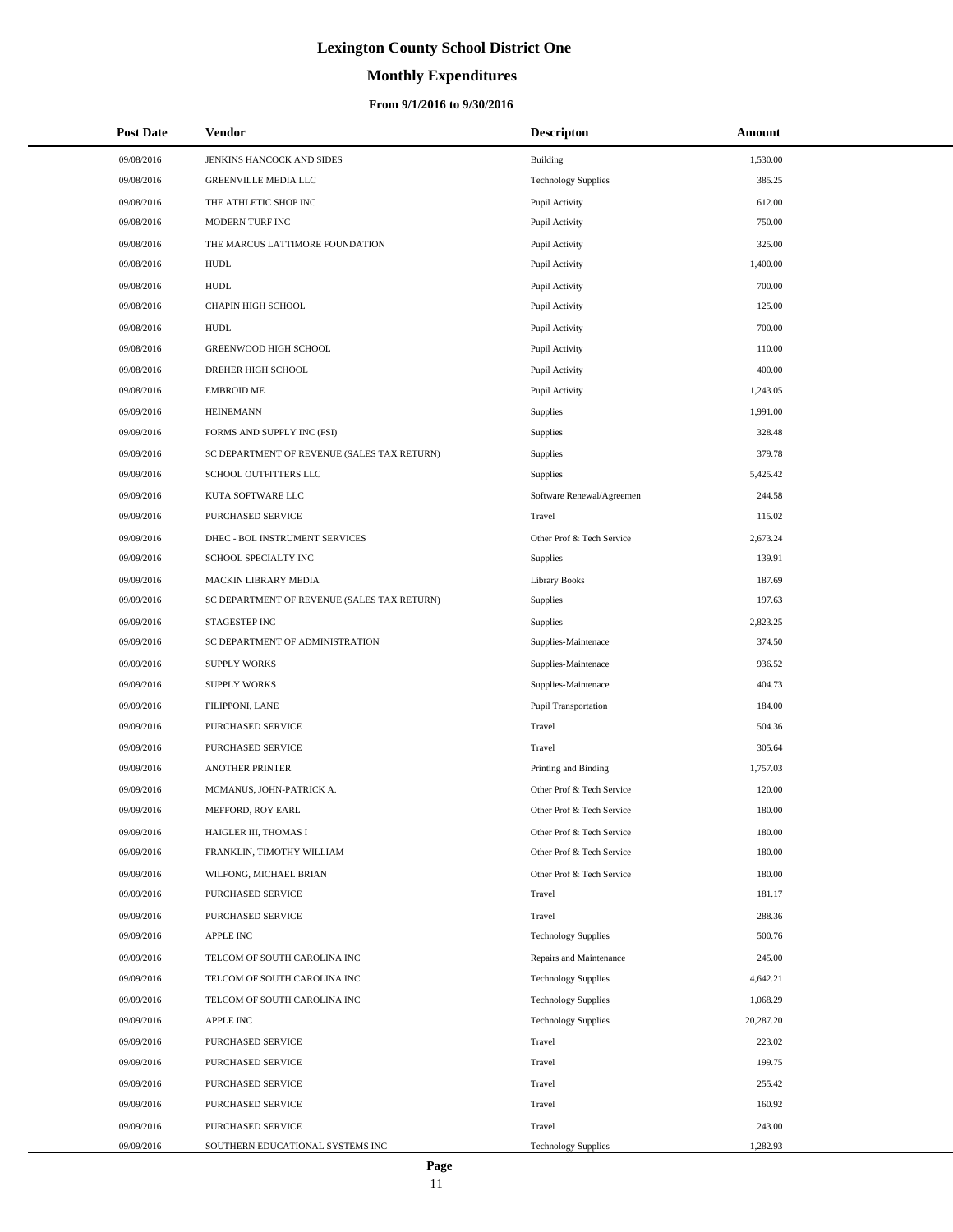# **Monthly Expenditures**

### **From 9/1/2016 to 9/30/2016**

| <b>Post Date</b> | Vendor                                      | <b>Descripton</b>          | Amount    |
|------------------|---------------------------------------------|----------------------------|-----------|
| 09/08/2016       | JENKINS HANCOCK AND SIDES                   | Building                   | 1,530.00  |
| 09/08/2016       | <b>GREENVILLE MEDIA LLC</b>                 | <b>Technology Supplies</b> | 385.25    |
| 09/08/2016       | THE ATHLETIC SHOP INC                       | Pupil Activity             | 612.00    |
| 09/08/2016       | MODERN TURF INC                             | Pupil Activity             | 750.00    |
| 09/08/2016       | THE MARCUS LATTIMORE FOUNDATION             | Pupil Activity             | 325.00    |
| 09/08/2016       | <b>HUDL</b>                                 | Pupil Activity             | 1,400.00  |
| 09/08/2016       | <b>HUDL</b>                                 | Pupil Activity             | 700.00    |
| 09/08/2016       | CHAPIN HIGH SCHOOL                          | Pupil Activity             | 125.00    |
| 09/08/2016       | HUDL                                        | Pupil Activity             | 700.00    |
| 09/08/2016       | GREENWOOD HIGH SCHOOL                       | Pupil Activity             | 110.00    |
| 09/08/2016       | DREHER HIGH SCHOOL                          | Pupil Activity             | 400.00    |
| 09/08/2016       | <b>EMBROID ME</b>                           | Pupil Activity             | 1,243.05  |
| 09/09/2016       | <b>HEINEMANN</b>                            | Supplies                   | 1,991.00  |
| 09/09/2016       | FORMS AND SUPPLY INC (FSI)                  | Supplies                   | 328.48    |
| 09/09/2016       | SC DEPARTMENT OF REVENUE (SALES TAX RETURN) | Supplies                   | 379.78    |
| 09/09/2016       | SCHOOL OUTFITTERS LLC                       | Supplies                   | 5,425.42  |
| 09/09/2016       | KUTA SOFTWARE LLC                           | Software Renewal/Agreemen  | 244.58    |
| 09/09/2016       | PURCHASED SERVICE                           | Travel                     | 115.02    |
| 09/09/2016       | DHEC - BOL INSTRUMENT SERVICES              | Other Prof & Tech Service  | 2,673.24  |
| 09/09/2016       | SCHOOL SPECIALTY INC                        | Supplies                   | 139.91    |
| 09/09/2016       | MACKIN LIBRARY MEDIA                        | <b>Library Books</b>       | 187.69    |
| 09/09/2016       | SC DEPARTMENT OF REVENUE (SALES TAX RETURN) | Supplies                   | 197.63    |
| 09/09/2016       | STAGESTEP INC                               | Supplies                   | 2,823.25  |
| 09/09/2016       | SC DEPARTMENT OF ADMINISTRATION             | Supplies-Maintenace        | 374.50    |
| 09/09/2016       | <b>SUPPLY WORKS</b>                         | Supplies-Maintenace        | 936.52    |
| 09/09/2016       | <b>SUPPLY WORKS</b>                         | Supplies-Maintenace        | 404.73    |
| 09/09/2016       | FILIPPONI, LANE                             | Pupil Transportation       | 184.00    |
| 09/09/2016       | PURCHASED SERVICE                           | Travel                     | 504.36    |
| 09/09/2016       | PURCHASED SERVICE                           | Travel                     | 305.64    |
| 09/09/2016       | <b>ANOTHER PRINTER</b>                      | Printing and Binding       | 1,757.03  |
| 09/09/2016       | MCMANUS, JOHN-PATRICK A.                    | Other Prof & Tech Service  | 120.00    |
| 09/09/2016       | MEFFORD, ROY EARL                           | Other Prof & Tech Service  | 180.00    |
| 09/09/2016       | HAIGLER III, THOMAS I                       | Other Prof & Tech Service  | 180.00    |
| 09/09/2016       | FRANKLIN, TIMOTHY WILLIAM                   | Other Prof & Tech Service  | 180.00    |
| 09/09/2016       | WILFONG, MICHAEL BRIAN                      | Other Prof & Tech Service  | 180.00    |
| 09/09/2016       | PURCHASED SERVICE                           | Travel                     | 181.17    |
| 09/09/2016       | PURCHASED SERVICE                           | Travel                     | 288.36    |
| 09/09/2016       | APPLE INC                                   | <b>Technology Supplies</b> | 500.76    |
| 09/09/2016       | TELCOM OF SOUTH CAROLINA INC                | Repairs and Maintenance    | 245.00    |
| 09/09/2016       | TELCOM OF SOUTH CAROLINA INC                | <b>Technology Supplies</b> | 4,642.21  |
| 09/09/2016       | TELCOM OF SOUTH CAROLINA INC                | <b>Technology Supplies</b> | 1,068.29  |
| 09/09/2016       | <b>APPLE INC</b>                            | <b>Technology Supplies</b> | 20,287.20 |
| 09/09/2016       | PURCHASED SERVICE                           | Travel                     | 223.02    |
| 09/09/2016       | PURCHASED SERVICE                           | Travel                     | 199.75    |
| 09/09/2016       | PURCHASED SERVICE                           | Travel                     | 255.42    |
| 09/09/2016       | PURCHASED SERVICE                           | Travel                     | 160.92    |
| 09/09/2016       | PURCHASED SERVICE                           | Travel                     | 243.00    |
| 09/09/2016       | SOUTHERN EDUCATIONAL SYSTEMS INC            | <b>Technology Supplies</b> | 1,282.93  |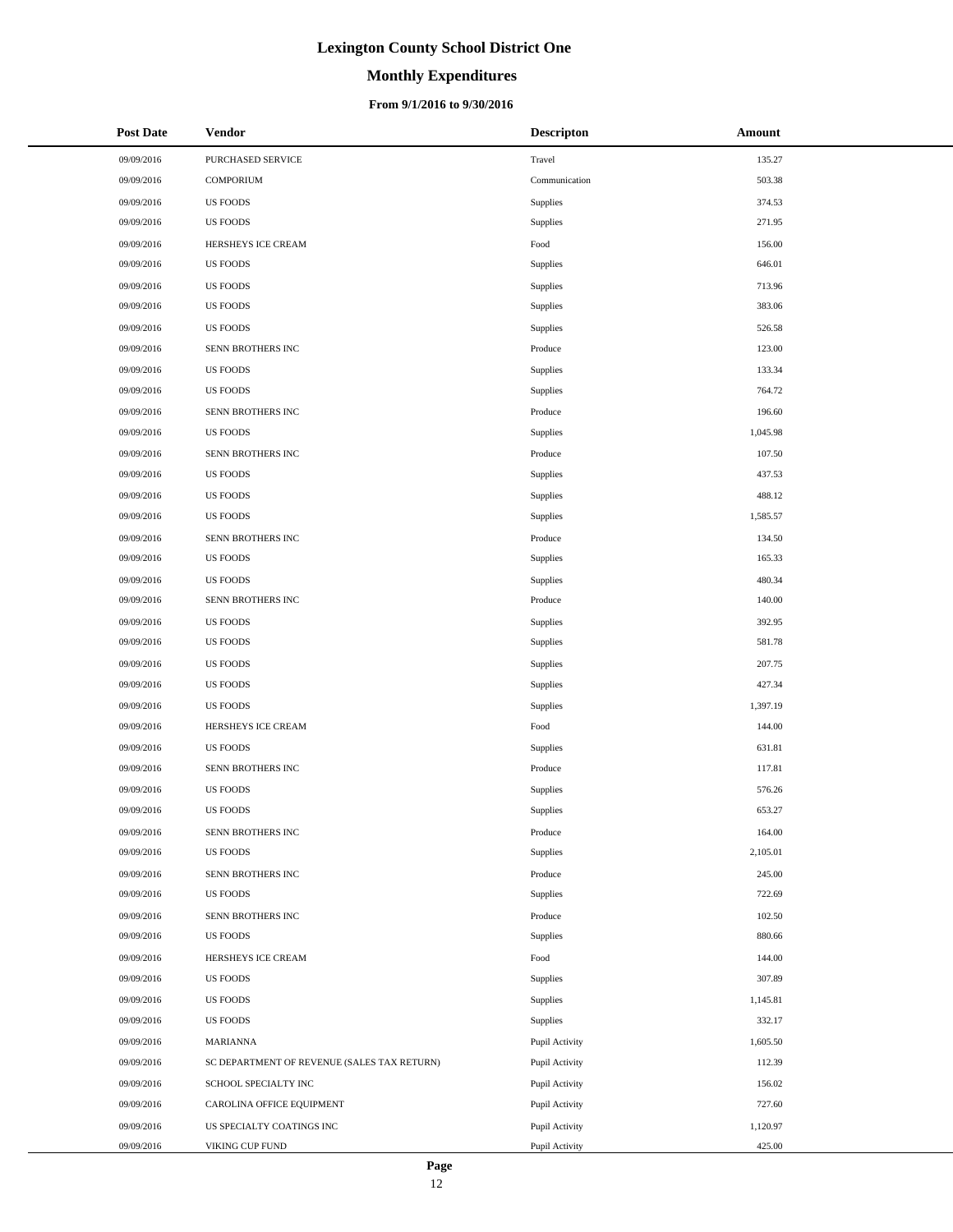# **Monthly Expenditures**

### **From 9/1/2016 to 9/30/2016**

| <b>Post Date</b> | Vendor                                      | <b>Descripton</b> | Amount   |
|------------------|---------------------------------------------|-------------------|----------|
| 09/09/2016       | PURCHASED SERVICE                           | Travel            | 135.27   |
| 09/09/2016       | <b>COMPORIUM</b>                            | Communication     | 503.38   |
| 09/09/2016       | <b>US FOODS</b>                             | Supplies          | 374.53   |
| 09/09/2016       | <b>US FOODS</b>                             | Supplies          | 271.95   |
| 09/09/2016       | HERSHEYS ICE CREAM                          | Food              | 156.00   |
| 09/09/2016       | <b>US FOODS</b>                             | Supplies          | 646.01   |
| 09/09/2016       | <b>US FOODS</b>                             | Supplies          | 713.96   |
| 09/09/2016       | <b>US FOODS</b>                             | Supplies          | 383.06   |
| 09/09/2016       | <b>US FOODS</b>                             | Supplies          | 526.58   |
| 09/09/2016       | SENN BROTHERS INC                           | Produce           | 123.00   |
| 09/09/2016       | <b>US FOODS</b>                             | Supplies          | 133.34   |
| 09/09/2016       | <b>US FOODS</b>                             | Supplies          | 764.72   |
| 09/09/2016       | SENN BROTHERS INC                           | Produce           | 196.60   |
| 09/09/2016       | <b>US FOODS</b>                             | Supplies          | 1,045.98 |
| 09/09/2016       | SENN BROTHERS INC                           | Produce           | 107.50   |
| 09/09/2016       | <b>US FOODS</b>                             | Supplies          | 437.53   |
| 09/09/2016       | <b>US FOODS</b>                             | Supplies          | 488.12   |
| 09/09/2016       | <b>US FOODS</b>                             | Supplies          | 1,585.57 |
| 09/09/2016       | SENN BROTHERS INC                           | Produce           | 134.50   |
| 09/09/2016       | <b>US FOODS</b>                             | Supplies          | 165.33   |
| 09/09/2016       | <b>US FOODS</b>                             | Supplies          | 480.34   |
| 09/09/2016       | SENN BROTHERS INC                           | Produce           | 140.00   |
| 09/09/2016       | <b>US FOODS</b>                             | Supplies          | 392.95   |
| 09/09/2016       | <b>US FOODS</b>                             | Supplies          | 581.78   |
| 09/09/2016       | <b>US FOODS</b>                             | Supplies          | 207.75   |
| 09/09/2016       | <b>US FOODS</b>                             | Supplies          | 427.34   |
| 09/09/2016       | <b>US FOODS</b>                             | Supplies          | 1,397.19 |
| 09/09/2016       | HERSHEYS ICE CREAM                          | Food              | 144.00   |
| 09/09/2016       | <b>US FOODS</b>                             | Supplies          | 631.81   |
| 09/09/2016       | SENN BROTHERS INC                           | Produce           | 117.81   |
| 09/09/2016       | <b>US FOODS</b>                             | Supplies          | 576.26   |
| 09/09/2016       | <b>US FOODS</b>                             | Supplies          | 653.27   |
| 09/09/2016       | SENN BROTHERS INC                           | Produce           | 164.00   |
| 09/09/2016       | <b>US FOODS</b>                             | Supplies          | 2,105.01 |
| 09/09/2016       | SENN BROTHERS INC                           | Produce           | 245.00   |
| 09/09/2016       | <b>US FOODS</b>                             | Supplies          | 722.69   |
| 09/09/2016       | SENN BROTHERS INC                           | Produce           | 102.50   |
| 09/09/2016       | <b>US FOODS</b>                             | Supplies          | 880.66   |
| 09/09/2016       | HERSHEYS ICE CREAM                          | Food              | 144.00   |
| 09/09/2016       | <b>US FOODS</b>                             | Supplies          | 307.89   |
| 09/09/2016       | <b>US FOODS</b>                             | Supplies          | 1,145.81 |
| 09/09/2016       | <b>US FOODS</b>                             | Supplies          | 332.17   |
| 09/09/2016       | MARIANNA                                    | Pupil Activity    | 1,605.50 |
| 09/09/2016       | SC DEPARTMENT OF REVENUE (SALES TAX RETURN) | Pupil Activity    | 112.39   |
| 09/09/2016       | SCHOOL SPECIALTY INC                        | Pupil Activity    | 156.02   |
| 09/09/2016       | CAROLINA OFFICE EQUIPMENT                   | Pupil Activity    | 727.60   |
| 09/09/2016       | US SPECIALTY COATINGS INC                   | Pupil Activity    | 1,120.97 |
| 09/09/2016       | VIKING CUP FUND                             | Pupil Activity    | 425.00   |

 $\overline{a}$ 

÷.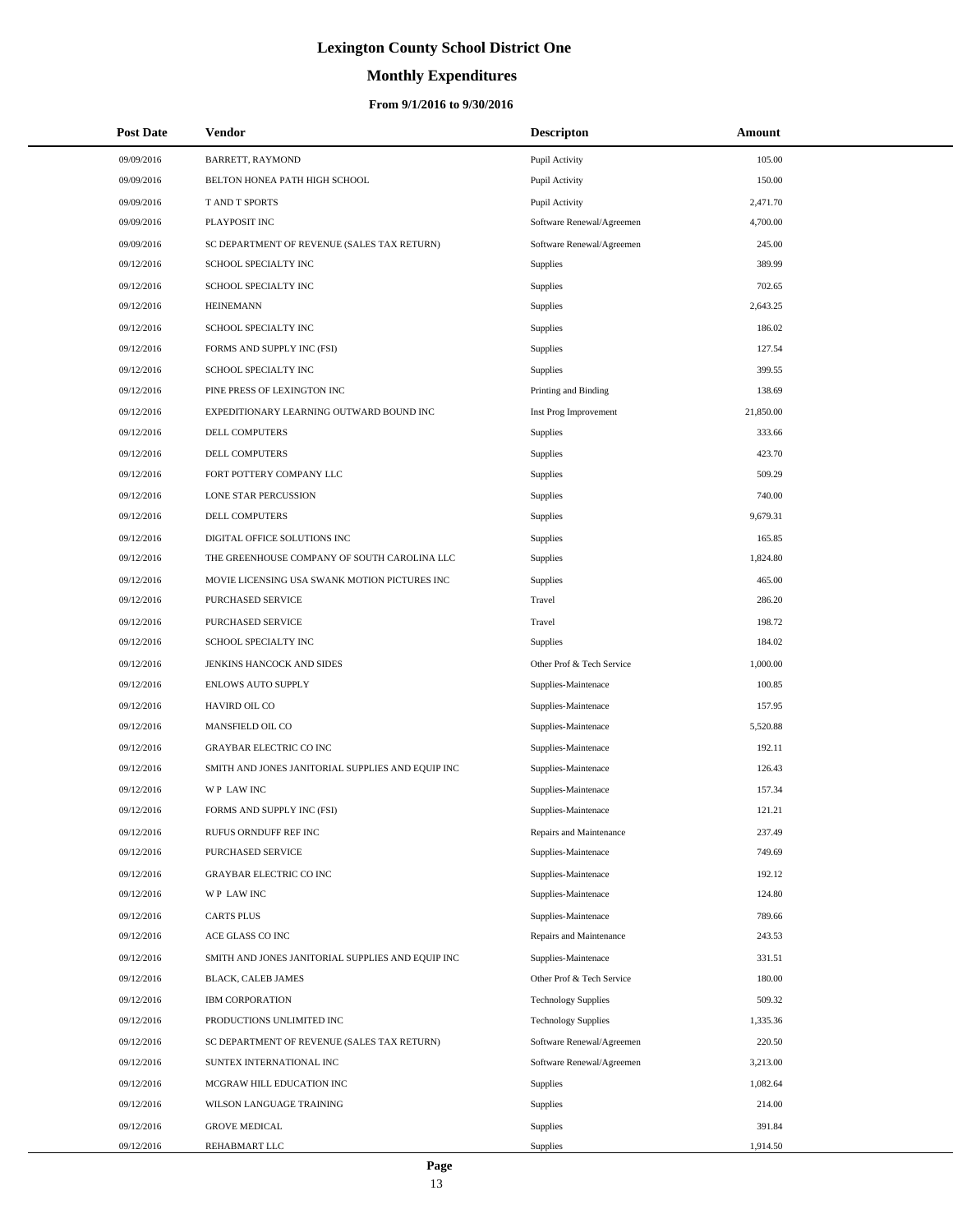# **Monthly Expenditures**

| <b>Post Date</b> | Vendor                                            | <b>Descripton</b>          | Amount    |  |
|------------------|---------------------------------------------------|----------------------------|-----------|--|
| 09/09/2016       | BARRETT, RAYMOND                                  | Pupil Activity             | 105.00    |  |
| 09/09/2016       | BELTON HONEA PATH HIGH SCHOOL                     | Pupil Activity             | 150.00    |  |
| 09/09/2016       | T AND T SPORTS                                    | Pupil Activity             | 2,471.70  |  |
| 09/09/2016       | PLAYPOSIT INC                                     | Software Renewal/Agreemen  | 4,700.00  |  |
| 09/09/2016       | SC DEPARTMENT OF REVENUE (SALES TAX RETURN)       | Software Renewal/Agreemen  | 245.00    |  |
| 09/12/2016       | SCHOOL SPECIALTY INC                              | Supplies                   | 389.99    |  |
| 09/12/2016       | SCHOOL SPECIALTY INC                              | Supplies                   | 702.65    |  |
| 09/12/2016       | <b>HEINEMANN</b>                                  | Supplies                   | 2,643.25  |  |
| 09/12/2016       | SCHOOL SPECIALTY INC                              | Supplies                   | 186.02    |  |
| 09/12/2016       | FORMS AND SUPPLY INC (FSI)                        | Supplies                   | 127.54    |  |
| 09/12/2016       | SCHOOL SPECIALTY INC                              | Supplies                   | 399.55    |  |
| 09/12/2016       | PINE PRESS OF LEXINGTON INC                       | Printing and Binding       | 138.69    |  |
| 09/12/2016       | EXPEDITIONARY LEARNING OUTWARD BOUND INC          | Inst Prog Improvement      | 21,850.00 |  |
| 09/12/2016       | DELL COMPUTERS                                    | Supplies                   | 333.66    |  |
| 09/12/2016       | DELL COMPUTERS                                    | Supplies                   | 423.70    |  |
| 09/12/2016       | FORT POTTERY COMPANY LLC                          | Supplies                   | 509.29    |  |
| 09/12/2016       | LONE STAR PERCUSSION                              | Supplies                   | 740.00    |  |
| 09/12/2016       | <b>DELL COMPUTERS</b>                             | Supplies                   | 9,679.31  |  |
| 09/12/2016       | DIGITAL OFFICE SOLUTIONS INC                      | Supplies                   | 165.85    |  |
| 09/12/2016       | THE GREENHOUSE COMPANY OF SOUTH CAROLINA LLC      | Supplies                   | 1,824.80  |  |
| 09/12/2016       | MOVIE LICENSING USA SWANK MOTION PICTURES INC     | Supplies                   | 465.00    |  |
| 09/12/2016       | PURCHASED SERVICE                                 | Travel                     | 286.20    |  |
| 09/12/2016       | PURCHASED SERVICE                                 | Travel                     | 198.72    |  |
| 09/12/2016       | SCHOOL SPECIALTY INC                              | Supplies                   | 184.02    |  |
| 09/12/2016       | JENKINS HANCOCK AND SIDES                         | Other Prof & Tech Service  | 1,000.00  |  |
| 09/12/2016       | ENLOWS AUTO SUPPLY                                | Supplies-Maintenace        | 100.85    |  |
| 09/12/2016       | HAVIRD OIL CO                                     | Supplies-Maintenace        | 157.95    |  |
| 09/12/2016       | MANSFIELD OIL CO                                  | Supplies-Maintenace        | 5,520.88  |  |
| 09/12/2016       | <b>GRAYBAR ELECTRIC CO INC</b>                    | Supplies-Maintenace        | 192.11    |  |
| 09/12/2016       | SMITH AND JONES JANITORIAL SUPPLIES AND EQUIP INC | Supplies-Maintenace        | 126.43    |  |
| 09/12/2016       | WP LAW INC                                        | Supplies-Maintenace        | 157.34    |  |
| 09/12/2016       | FORMS AND SUPPLY INC (FSI)                        | Supplies-Maintenace        | 121.21    |  |
| 09/12/2016       | RUFUS ORNDUFF REF INC                             | Repairs and Maintenance    | 237.49    |  |
| 09/12/2016       | <b>PURCHASED SERVICE</b>                          | Supplies-Maintenace        | 749.69    |  |
| 09/12/2016       | <b>GRAYBAR ELECTRIC CO INC</b>                    | Supplies-Maintenace        | 192.12    |  |
| 09/12/2016       | WP LAW INC                                        | Supplies-Maintenace        | 124.80    |  |
| 09/12/2016       | <b>CARTS PLUS</b>                                 | Supplies-Maintenace        | 789.66    |  |
| 09/12/2016       | ACE GLASS CO INC                                  | Repairs and Maintenance    | 243.53    |  |
| 09/12/2016       | SMITH AND JONES JANITORIAL SUPPLIES AND EQUIP INC | Supplies-Maintenace        | 331.51    |  |
| 09/12/2016       | BLACK, CALEB JAMES                                | Other Prof & Tech Service  | 180.00    |  |
| 09/12/2016       | <b>IBM CORPORATION</b>                            | <b>Technology Supplies</b> | 509.32    |  |
| 09/12/2016       | PRODUCTIONS UNLIMITED INC                         | <b>Technology Supplies</b> | 1,335.36  |  |
| 09/12/2016       | SC DEPARTMENT OF REVENUE (SALES TAX RETURN)       | Software Renewal/Agreemen  | 220.50    |  |
| 09/12/2016       | SUNTEX INTERNATIONAL INC                          | Software Renewal/Agreemen  | 3,213.00  |  |
| 09/12/2016       | MCGRAW HILL EDUCATION INC                         | Supplies                   | 1,082.64  |  |
| 09/12/2016       | WILSON LANGUAGE TRAINING                          | Supplies                   | 214.00    |  |
| 09/12/2016       | <b>GROVE MEDICAL</b>                              | Supplies                   | 391.84    |  |
| 09/12/2016       | REHABMART LLC                                     | Supplies                   | 1,914.50  |  |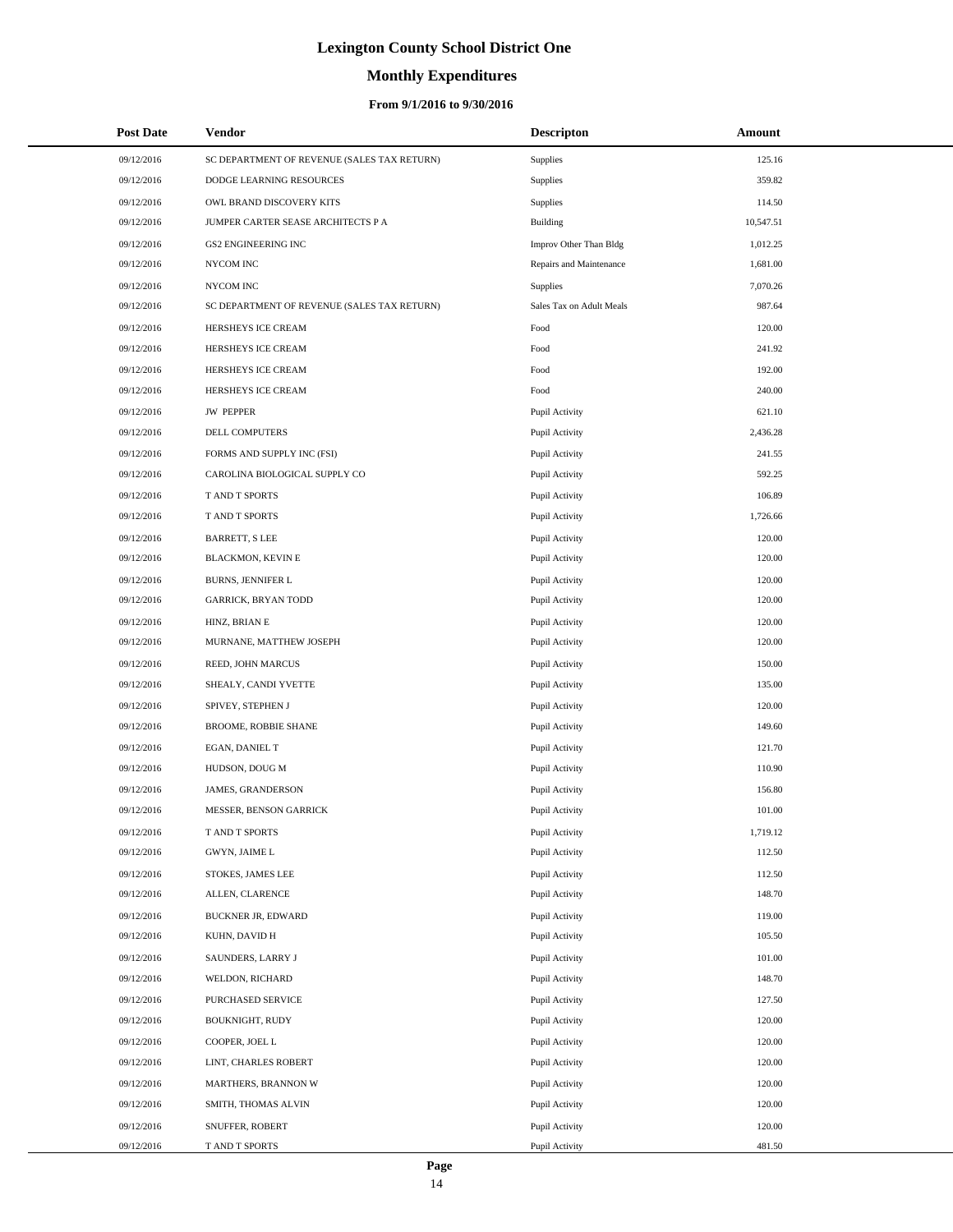# **Monthly Expenditures**

### **From 9/1/2016 to 9/30/2016**

| <b>Post Date</b> | Vendor                                      | <b>Descripton</b>        | Amount    |  |
|------------------|---------------------------------------------|--------------------------|-----------|--|
| 09/12/2016       | SC DEPARTMENT OF REVENUE (SALES TAX RETURN) | Supplies                 | 125.16    |  |
| 09/12/2016       | DODGE LEARNING RESOURCES                    | Supplies                 | 359.82    |  |
| 09/12/2016       | OWL BRAND DISCOVERY KITS                    | Supplies                 | 114.50    |  |
| 09/12/2016       | JUMPER CARTER SEASE ARCHITECTS P A          | Building                 | 10,547.51 |  |
| 09/12/2016       | GS2 ENGINEERING INC                         | Improv Other Than Bldg   | 1,012.25  |  |
| 09/12/2016       | NYCOM INC                                   | Repairs and Maintenance  | 1,681.00  |  |
| 09/12/2016       | NYCOM INC                                   | Supplies                 | 7,070.26  |  |
| 09/12/2016       | SC DEPARTMENT OF REVENUE (SALES TAX RETURN) | Sales Tax on Adult Meals | 987.64    |  |
| 09/12/2016       | HERSHEYS ICE CREAM                          | Food                     | 120.00    |  |
| 09/12/2016       | HERSHEYS ICE CREAM                          | Food                     | 241.92    |  |
| 09/12/2016       | HERSHEYS ICE CREAM                          | Food                     | 192.00    |  |
| 09/12/2016       | HERSHEYS ICE CREAM                          | Food                     | 240.00    |  |
| 09/12/2016       | <b>JW PEPPER</b>                            | Pupil Activity           | 621.10    |  |
| 09/12/2016       | DELL COMPUTERS                              | Pupil Activity           | 2,436.28  |  |
| 09/12/2016       | FORMS AND SUPPLY INC (FSI)                  | Pupil Activity           | 241.55    |  |
| 09/12/2016       | CAROLINA BIOLOGICAL SUPPLY CO               | Pupil Activity           | 592.25    |  |
| 09/12/2016       | T AND T SPORTS                              | Pupil Activity           | 106.89    |  |
| 09/12/2016       | T AND T SPORTS                              | Pupil Activity           | 1,726.66  |  |
| 09/12/2016       | <b>BARRETT, S LEE</b>                       | Pupil Activity           | 120.00    |  |
| 09/12/2016       | <b>BLACKMON, KEVIN E</b>                    | Pupil Activity           | 120.00    |  |
| 09/12/2016       | BURNS, JENNIFER L                           | Pupil Activity           | 120.00    |  |
| 09/12/2016       | <b>GARRICK, BRYAN TODD</b>                  | Pupil Activity           | 120.00    |  |
| 09/12/2016       | HINZ, BRIAN E                               | Pupil Activity           | 120.00    |  |
| 09/12/2016       | MURNANE, MATTHEW JOSEPH                     | Pupil Activity           | 120.00    |  |
| 09/12/2016       | REED, JOHN MARCUS                           | Pupil Activity           | 150.00    |  |
| 09/12/2016       | SHEALY, CANDI YVETTE                        | Pupil Activity           | 135.00    |  |
| 09/12/2016       | SPIVEY, STEPHEN J                           | Pupil Activity           | 120.00    |  |
| 09/12/2016       | BROOME, ROBBIE SHANE                        | Pupil Activity           | 149.60    |  |
| 09/12/2016       | EGAN, DANIEL T                              | Pupil Activity           | 121.70    |  |
| 09/12/2016       | HUDSON, DOUG M                              | Pupil Activity           | 110.90    |  |
| 09/12/2016       | JAMES, GRANDERSON                           | Pupil Activity           | 156.80    |  |
| 09/12/2016       | MESSER, BENSON GARRICK                      | Pupil Activity           | 101.00    |  |
| 09/12/2016       | T AND T SPORTS                              | Pupil Activity           | 1,719.12  |  |
| 09/12/2016       | GWYN, JAIME L                               | Pupil Activity           | 112.50    |  |
| 09/12/2016       | STOKES, JAMES LEE                           | Pupil Activity           | 112.50    |  |
| 09/12/2016       | ALLEN, CLARENCE                             | Pupil Activity           | 148.70    |  |
| 09/12/2016       | <b>BUCKNER JR, EDWARD</b>                   | Pupil Activity           | 119.00    |  |
| 09/12/2016       | KUHN, DAVID H                               | Pupil Activity           | 105.50    |  |
| 09/12/2016       | SAUNDERS, LARRY J                           | Pupil Activity           | 101.00    |  |
| 09/12/2016       | WELDON, RICHARD                             | Pupil Activity           | 148.70    |  |
| 09/12/2016       | PURCHASED SERVICE                           | Pupil Activity           | 127.50    |  |
| 09/12/2016       | BOUKNIGHT, RUDY                             | Pupil Activity           | 120.00    |  |
| 09/12/2016       | COOPER, JOEL L                              | Pupil Activity           | 120.00    |  |
| 09/12/2016       | LINT, CHARLES ROBERT                        | Pupil Activity           | 120.00    |  |
| 09/12/2016       | MARTHERS, BRANNON W                         | Pupil Activity           | 120.00    |  |
| 09/12/2016       | SMITH, THOMAS ALVIN                         | Pupil Activity           | 120.00    |  |
| 09/12/2016       | SNUFFER, ROBERT                             | Pupil Activity           | 120.00    |  |
| 09/12/2016       | T AND T SPORTS                              | Pupil Activity           | 481.50    |  |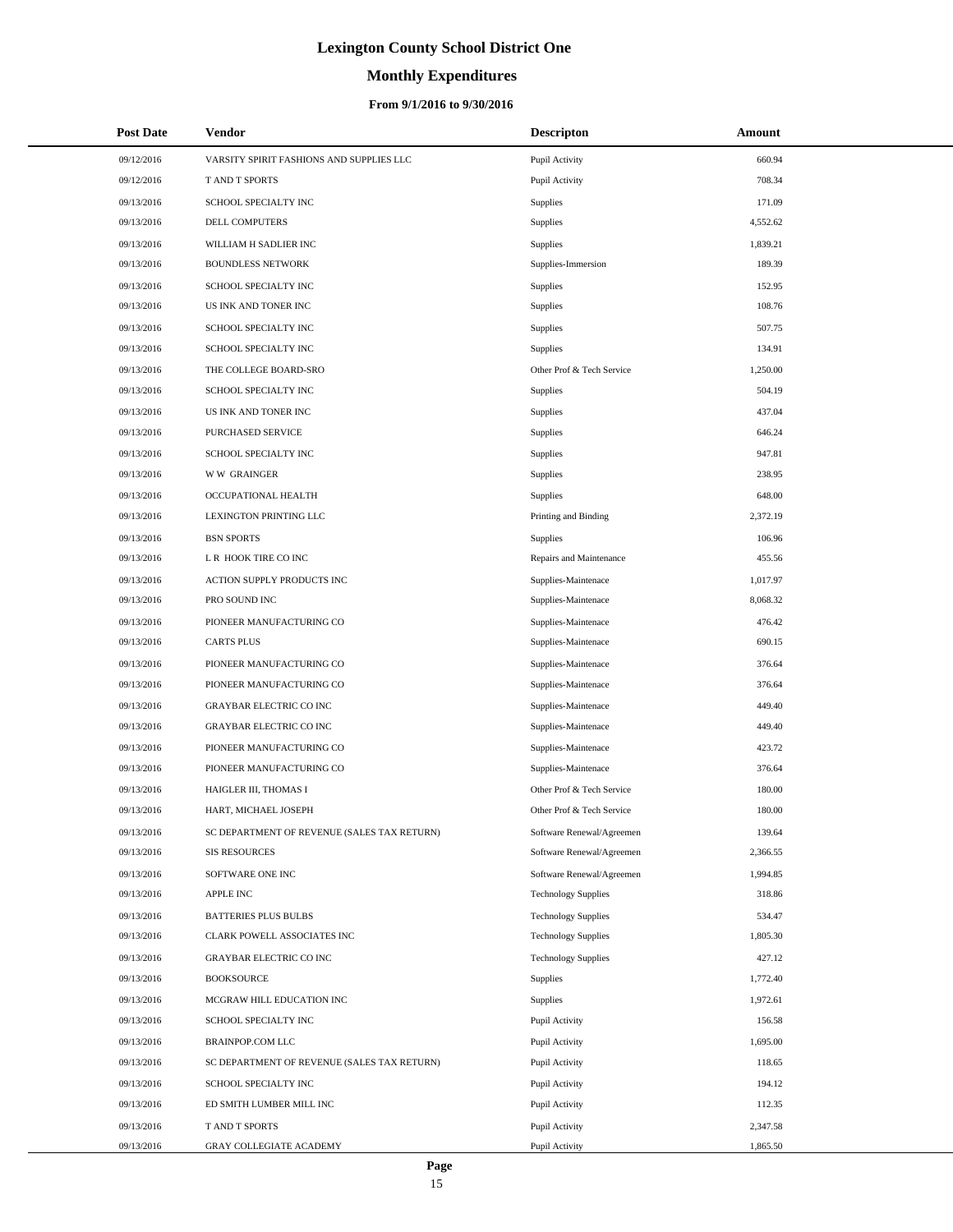# **Monthly Expenditures**

### **From 9/1/2016 to 9/30/2016**

| <b>Post Date</b> | Vendor                                      | <b>Descripton</b>          | Amount   |
|------------------|---------------------------------------------|----------------------------|----------|
| 09/12/2016       | VARSITY SPIRIT FASHIONS AND SUPPLIES LLC    | Pupil Activity             | 660.94   |
| 09/12/2016       | T AND T SPORTS                              | Pupil Activity             | 708.34   |
| 09/13/2016       | SCHOOL SPECIALTY INC                        | Supplies                   | 171.09   |
| 09/13/2016       | DELL COMPUTERS                              | <b>Supplies</b>            | 4,552.62 |
| 09/13/2016       | WILLIAM H SADLIER INC                       | <b>Supplies</b>            | 1,839.21 |
| 09/13/2016       | <b>BOUNDLESS NETWORK</b>                    | Supplies-Immersion         | 189.39   |
| 09/13/2016       | SCHOOL SPECIALTY INC                        | Supplies                   | 152.95   |
| 09/13/2016       | US INK AND TONER INC                        | <b>Supplies</b>            | 108.76   |
| 09/13/2016       | SCHOOL SPECIALTY INC                        | <b>Supplies</b>            | 507.75   |
| 09/13/2016       | SCHOOL SPECIALTY INC                        | <b>Supplies</b>            | 134.91   |
| 09/13/2016       | THE COLLEGE BOARD-SRO                       | Other Prof & Tech Service  | 1,250.00 |
| 09/13/2016       | SCHOOL SPECIALTY INC                        | Supplies                   | 504.19   |
| 09/13/2016       | US INK AND TONER INC                        | <b>Supplies</b>            | 437.04   |
| 09/13/2016       | <b>PURCHASED SERVICE</b>                    | <b>Supplies</b>            | 646.24   |
| 09/13/2016       | SCHOOL SPECIALTY INC                        | Supplies                   | 947.81   |
| 09/13/2016       | <b>WW GRAINGER</b>                          | <b>Supplies</b>            | 238.95   |
| 09/13/2016       | OCCUPATIONAL HEALTH                         | <b>Supplies</b>            | 648.00   |
| 09/13/2016       | LEXINGTON PRINTING LLC                      | Printing and Binding       | 2,372.19 |
| 09/13/2016       | <b>BSN SPORTS</b>                           | <b>Supplies</b>            | 106.96   |
| 09/13/2016       | L R HOOK TIRE CO INC                        | Repairs and Maintenance    | 455.56   |
| 09/13/2016       | ACTION SUPPLY PRODUCTS INC                  | Supplies-Maintenace        | 1,017.97 |
| 09/13/2016       | PRO SOUND INC                               | Supplies-Maintenace        | 8,068.32 |
| 09/13/2016       | PIONEER MANUFACTURING CO                    | Supplies-Maintenace        | 476.42   |
| 09/13/2016       | <b>CARTS PLUS</b>                           | Supplies-Maintenace        | 690.15   |
| 09/13/2016       | PIONEER MANUFACTURING CO                    | Supplies-Maintenace        | 376.64   |
| 09/13/2016       | PIONEER MANUFACTURING CO                    | Supplies-Maintenace        | 376.64   |
| 09/13/2016       | <b>GRAYBAR ELECTRIC CO INC</b>              | Supplies-Maintenace        | 449.40   |
| 09/13/2016       | <b>GRAYBAR ELECTRIC CO INC</b>              | Supplies-Maintenace        | 449.40   |
| 09/13/2016       | PIONEER MANUFACTURING CO                    | Supplies-Maintenace        | 423.72   |
| 09/13/2016       | PIONEER MANUFACTURING CO                    | Supplies-Maintenace        | 376.64   |
| 09/13/2016       | HAIGLER III, THOMAS I                       | Other Prof & Tech Service  | 180.00   |
| 09/13/2016       | HART, MICHAEL JOSEPH                        | Other Prof & Tech Service  | 180.00   |
| 09/13/2016       | SC DEPARTMENT OF REVENUE (SALES TAX RETURN) | Software Renewal/Agreemen  | 139.64   |
| 09/13/2016       | <b>SIS RESOURCES</b>                        | Software Renewal/Agreemen  | 2,366.55 |
| 09/13/2016       | SOFTWARE ONE INC                            | Software Renewal/Agreemen  | 1,994.85 |
| 09/13/2016       | <b>APPLE INC</b>                            | <b>Technology Supplies</b> | 318.86   |
| 09/13/2016       | <b>BATTERIES PLUS BULBS</b>                 | <b>Technology Supplies</b> | 534.47   |
| 09/13/2016       | CLARK POWELL ASSOCIATES INC                 | <b>Technology Supplies</b> | 1,805.30 |
| 09/13/2016       | <b>GRAYBAR ELECTRIC CO INC</b>              | <b>Technology Supplies</b> | 427.12   |
| 09/13/2016       | <b>BOOKSOURCE</b>                           | Supplies                   | 1,772.40 |
| 09/13/2016       | MCGRAW HILL EDUCATION INC                   | <b>Supplies</b>            | 1,972.61 |
| 09/13/2016       | SCHOOL SPECIALTY INC                        | Pupil Activity             | 156.58   |
| 09/13/2016       | BRAINPOP.COM LLC                            | Pupil Activity             | 1,695.00 |
| 09/13/2016       | SC DEPARTMENT OF REVENUE (SALES TAX RETURN) | Pupil Activity             | 118.65   |
| 09/13/2016       | SCHOOL SPECIALTY INC                        | Pupil Activity             | 194.12   |
| 09/13/2016       | ED SMITH LUMBER MILL INC                    | Pupil Activity             | 112.35   |
| 09/13/2016       | T AND T SPORTS                              | Pupil Activity             | 2,347.58 |
| 09/13/2016       | GRAY COLLEGIATE ACADEMY                     | Pupil Activity             | 1,865.50 |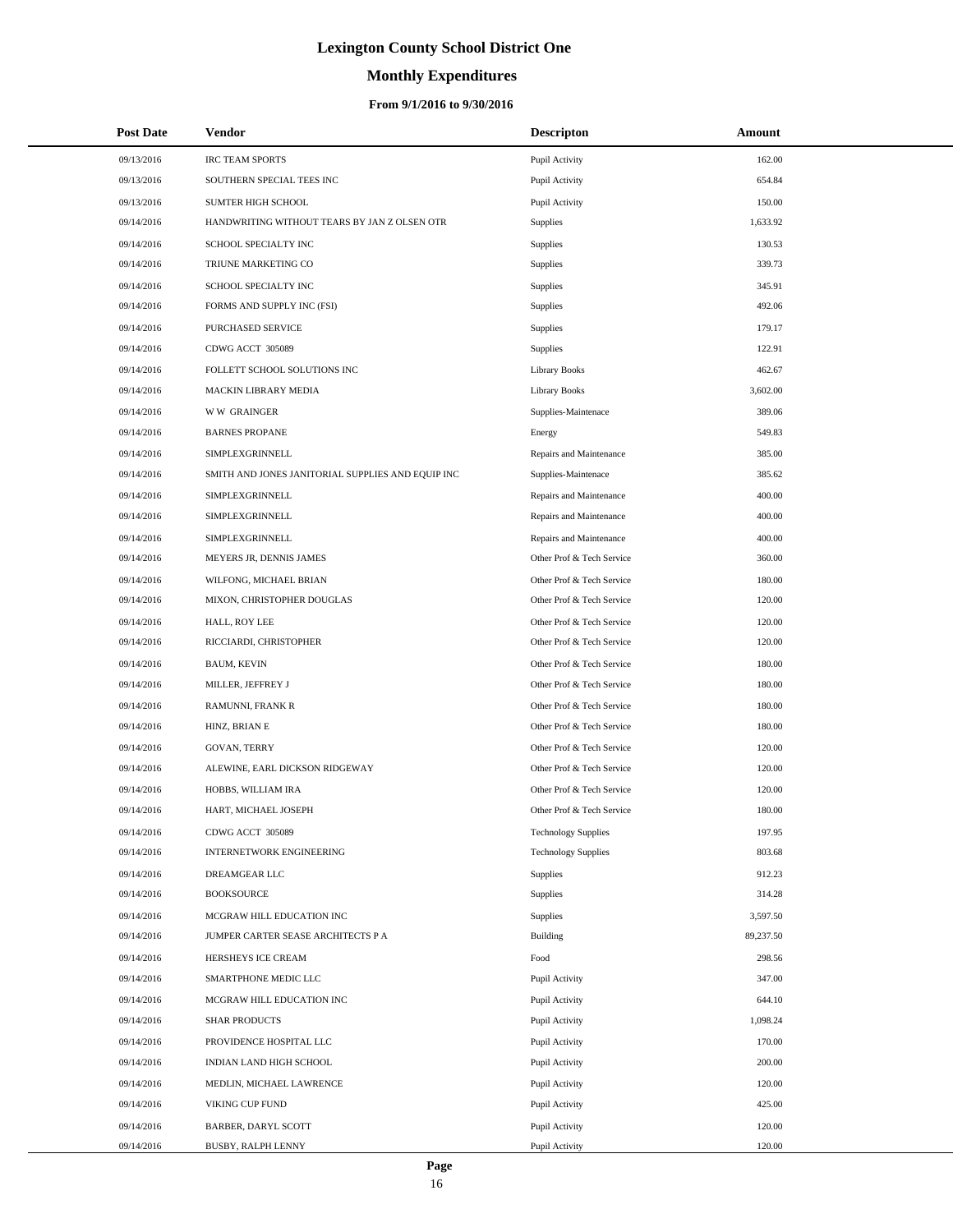# **Monthly Expenditures**

| <b>Post Date</b> | Vendor                                            | <b>Descripton</b>          | Amount    |
|------------------|---------------------------------------------------|----------------------------|-----------|
| 09/13/2016       | <b>IRC TEAM SPORTS</b>                            | Pupil Activity             | 162.00    |
| 09/13/2016       | SOUTHERN SPECIAL TEES INC                         | Pupil Activity             | 654.84    |
| 09/13/2016       | <b>SUMTER HIGH SCHOOL</b>                         | Pupil Activity             | 150.00    |
| 09/14/2016       | HANDWRITING WITHOUT TEARS BY JAN Z OLSEN OTR      | Supplies                   | 1,633.92  |
| 09/14/2016       | SCHOOL SPECIALTY INC                              | Supplies                   | 130.53    |
| 09/14/2016       | TRIUNE MARKETING CO                               | <b>Supplies</b>            | 339.73    |
| 09/14/2016       | SCHOOL SPECIALTY INC                              | <b>Supplies</b>            | 345.91    |
| 09/14/2016       | FORMS AND SUPPLY INC (FSI)                        | <b>Supplies</b>            | 492.06    |
| 09/14/2016       | PURCHASED SERVICE                                 | <b>Supplies</b>            | 179.17    |
| 09/14/2016       | CDWG ACCT 305089                                  | Supplies                   | 122.91    |
| 09/14/2016       | FOLLETT SCHOOL SOLUTIONS INC                      | <b>Library Books</b>       | 462.67    |
| 09/14/2016       | MACKIN LIBRARY MEDIA                              | Library Books              | 3,602.00  |
| 09/14/2016       | <b>WW GRAINGER</b>                                | Supplies-Maintenace        | 389.06    |
| 09/14/2016       | <b>BARNES PROPANE</b>                             | Energy                     | 549.83    |
| 09/14/2016       | <b>SIMPLEXGRINNELL</b>                            | Repairs and Maintenance    | 385.00    |
| 09/14/2016       | SMITH AND JONES JANITORIAL SUPPLIES AND EQUIP INC | Supplies-Maintenace        | 385.62    |
| 09/14/2016       | SIMPLEXGRINNELL                                   | Repairs and Maintenance    | 400.00    |
| 09/14/2016       | SIMPLEXGRINNELL                                   | Repairs and Maintenance    | 400.00    |
| 09/14/2016       | SIMPLEXGRINNELL                                   | Repairs and Maintenance    | 400.00    |
| 09/14/2016       | MEYERS JR, DENNIS JAMES                           | Other Prof & Tech Service  | 360.00    |
| 09/14/2016       | WILFONG, MICHAEL BRIAN                            | Other Prof & Tech Service  | 180.00    |
| 09/14/2016       | MIXON, CHRISTOPHER DOUGLAS                        | Other Prof & Tech Service  | 120.00    |
| 09/14/2016       | HALL, ROY LEE                                     | Other Prof & Tech Service  | 120.00    |
| 09/14/2016       | RICCIARDI, CHRISTOPHER                            | Other Prof & Tech Service  | 120.00    |
| 09/14/2016       | <b>BAUM, KEVIN</b>                                | Other Prof & Tech Service  | 180.00    |
| 09/14/2016       | MILLER, JEFFREY J                                 | Other Prof & Tech Service  | 180.00    |
| 09/14/2016       | RAMUNNI, FRANK R                                  | Other Prof & Tech Service  | 180.00    |
| 09/14/2016       | HINZ, BRIAN E                                     | Other Prof & Tech Service  | 180.00    |
| 09/14/2016       | <b>GOVAN, TERRY</b>                               | Other Prof & Tech Service  | 120.00    |
| 09/14/2016       | ALEWINE, EARL DICKSON RIDGEWAY                    | Other Prof & Tech Service  | 120.00    |
| 09/14/2016       | HOBBS, WILLIAM IRA                                | Other Prof & Tech Service  | 120.00    |
| 09/14/2016       | HART, MICHAEL JOSEPH                              | Other Prof & Tech Service  | 180.00    |
| 09/14/2016       | CDWG ACCT 305089                                  | <b>Technology Supplies</b> | 197.95    |
| 09/14/2016       | INTERNETWORK ENGINEERING                          | <b>Technology Supplies</b> | 803.68    |
| 09/14/2016       | DREAMGEAR LLC                                     | Supplies                   | 912.23    |
| 09/14/2016       | <b>BOOKSOURCE</b>                                 | Supplies                   | 314.28    |
| 09/14/2016       | MCGRAW HILL EDUCATION INC                         | Supplies                   | 3,597.50  |
| 09/14/2016       | JUMPER CARTER SEASE ARCHITECTS P A                | Building                   | 89,237.50 |
| 09/14/2016       | HERSHEYS ICE CREAM                                | Food                       | 298.56    |
| 09/14/2016       | SMARTPHONE MEDIC LLC                              | Pupil Activity             | 347.00    |
| 09/14/2016       | MCGRAW HILL EDUCATION INC                         | Pupil Activity             | 644.10    |
| 09/14/2016       | <b>SHAR PRODUCTS</b>                              | Pupil Activity             | 1,098.24  |
| 09/14/2016       | PROVIDENCE HOSPITAL LLC                           | Pupil Activity             | 170.00    |
| 09/14/2016       | INDIAN LAND HIGH SCHOOL                           | Pupil Activity             | 200.00    |
| 09/14/2016       | MEDLIN, MICHAEL LAWRENCE                          | Pupil Activity             | 120.00    |
| 09/14/2016       | VIKING CUP FUND                                   | Pupil Activity             | 425.00    |
| 09/14/2016       | BARBER, DARYL SCOTT                               | Pupil Activity             | 120.00    |
| 09/14/2016       | BUSBY, RALPH LENNY                                | Pupil Activity             | 120.00    |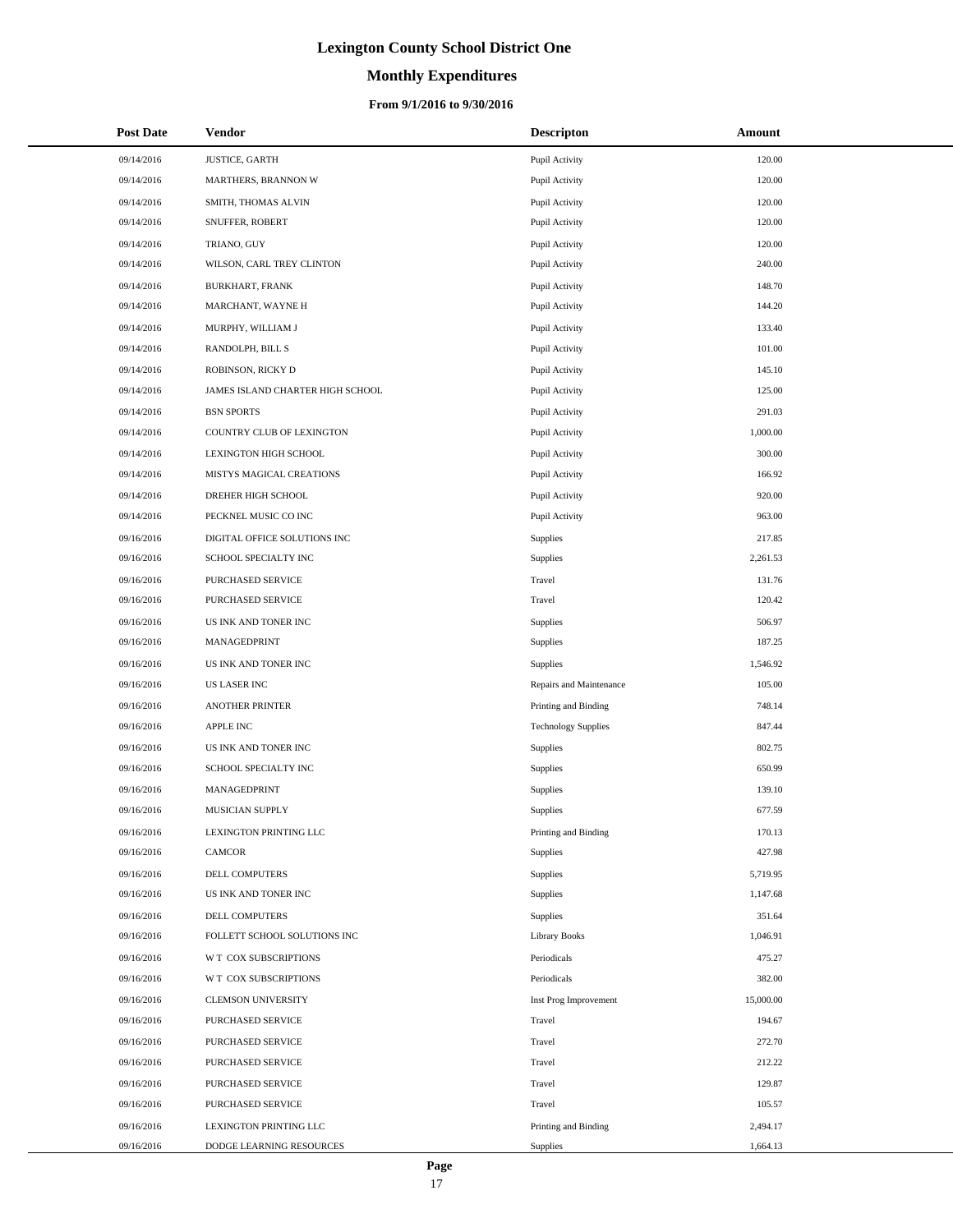# **Monthly Expenditures**

### **From 9/1/2016 to 9/30/2016**

| <b>Post Date</b> | <b>Vendor</b>                    | <b>Descripton</b>          | Amount    |
|------------------|----------------------------------|----------------------------|-----------|
| 09/14/2016       | JUSTICE, GARTH                   | Pupil Activity             | 120.00    |
| 09/14/2016       | MARTHERS, BRANNON W              | Pupil Activity             | 120.00    |
| 09/14/2016       | SMITH, THOMAS ALVIN              | Pupil Activity             | 120.00    |
| 09/14/2016       | SNUFFER, ROBERT                  | Pupil Activity             | 120.00    |
| 09/14/2016       | TRIANO, GUY                      | Pupil Activity             | 120.00    |
| 09/14/2016       | WILSON, CARL TREY CLINTON        | Pupil Activity             | 240.00    |
| 09/14/2016       | BURKHART, FRANK                  | Pupil Activity             | 148.70    |
| 09/14/2016       | MARCHANT, WAYNE H                | Pupil Activity             | 144.20    |
| 09/14/2016       | MURPHY, WILLIAM J                | Pupil Activity             | 133.40    |
| 09/14/2016       | RANDOLPH, BILL S                 | Pupil Activity             | 101.00    |
| 09/14/2016       | ROBINSON, RICKY D                | Pupil Activity             | 145.10    |
| 09/14/2016       | JAMES ISLAND CHARTER HIGH SCHOOL | Pupil Activity             | 125.00    |
| 09/14/2016       | <b>BSN SPORTS</b>                | Pupil Activity             | 291.03    |
| 09/14/2016       | COUNTRY CLUB OF LEXINGTON        | Pupil Activity             | 1,000.00  |
| 09/14/2016       | LEXINGTON HIGH SCHOOL            | Pupil Activity             | 300.00    |
| 09/14/2016       | MISTYS MAGICAL CREATIONS         | Pupil Activity             | 166.92    |
| 09/14/2016       | DREHER HIGH SCHOOL               | Pupil Activity             | 920.00    |
| 09/14/2016       | PECKNEL MUSIC CO INC             | Pupil Activity             | 963.00    |
| 09/16/2016       | DIGITAL OFFICE SOLUTIONS INC     | Supplies                   | 217.85    |
| 09/16/2016       | SCHOOL SPECIALTY INC             | Supplies                   | 2,261.53  |
| 09/16/2016       | PURCHASED SERVICE                | Travel                     | 131.76    |
| 09/16/2016       | PURCHASED SERVICE                | Travel                     | 120.42    |
| 09/16/2016       | US INK AND TONER INC             | Supplies                   | 506.97    |
| 09/16/2016       | MANAGEDPRINT                     | Supplies                   | 187.25    |
| 09/16/2016       | US INK AND TONER INC             | Supplies                   | 1,546.92  |
| 09/16/2016       | <b>US LASER INC</b>              | Repairs and Maintenance    | 105.00    |
| 09/16/2016       | ANOTHER PRINTER                  | Printing and Binding       | 748.14    |
| 09/16/2016       | APPLE INC                        | <b>Technology Supplies</b> | 847.44    |
| 09/16/2016       | US INK AND TONER INC             | Supplies                   | 802.75    |
| 09/16/2016       | SCHOOL SPECIALTY INC             | Supplies                   | 650.99    |
| 09/16/2016       | MANAGEDPRINT                     | Supplies                   | 139.10    |
| 09/16/2016       | MUSICIAN SUPPLY                  | Supplies                   | 677.59    |
| 09/16/2016       | LEXINGTON PRINTING LLC           | Printing and Binding       | 170.13    |
| 09/16/2016       | CAMCOR                           | Supplies                   | 427.98    |
| 09/16/2016       | DELL COMPUTERS                   | Supplies                   | 5,719.95  |
| 09/16/2016       | US INK AND TONER INC             | Supplies                   | 1,147.68  |
| 09/16/2016       | DELL COMPUTERS                   | Supplies                   | 351.64    |
| 09/16/2016       | FOLLETT SCHOOL SOLUTIONS INC     | <b>Library Books</b>       | 1,046.91  |
| 09/16/2016       | W T COX SUBSCRIPTIONS            | Periodicals                | 475.27    |
| 09/16/2016       | W T COX SUBSCRIPTIONS            | Periodicals                | 382.00    |
| 09/16/2016       | <b>CLEMSON UNIVERSITY</b>        | Inst Prog Improvement      | 15,000.00 |
| 09/16/2016       | PURCHASED SERVICE                | Travel                     | 194.67    |
| 09/16/2016       | PURCHASED SERVICE                | Travel                     | 272.70    |
| 09/16/2016       | PURCHASED SERVICE                | Travel                     | 212.22    |
| 09/16/2016       | PURCHASED SERVICE                | Travel                     | 129.87    |
| 09/16/2016       | PURCHASED SERVICE                | Travel                     | 105.57    |
| 09/16/2016       | LEXINGTON PRINTING LLC           | Printing and Binding       | 2,494.17  |
| 09/16/2016       | DODGE LEARNING RESOURCES         | Supplies                   | 1,664.13  |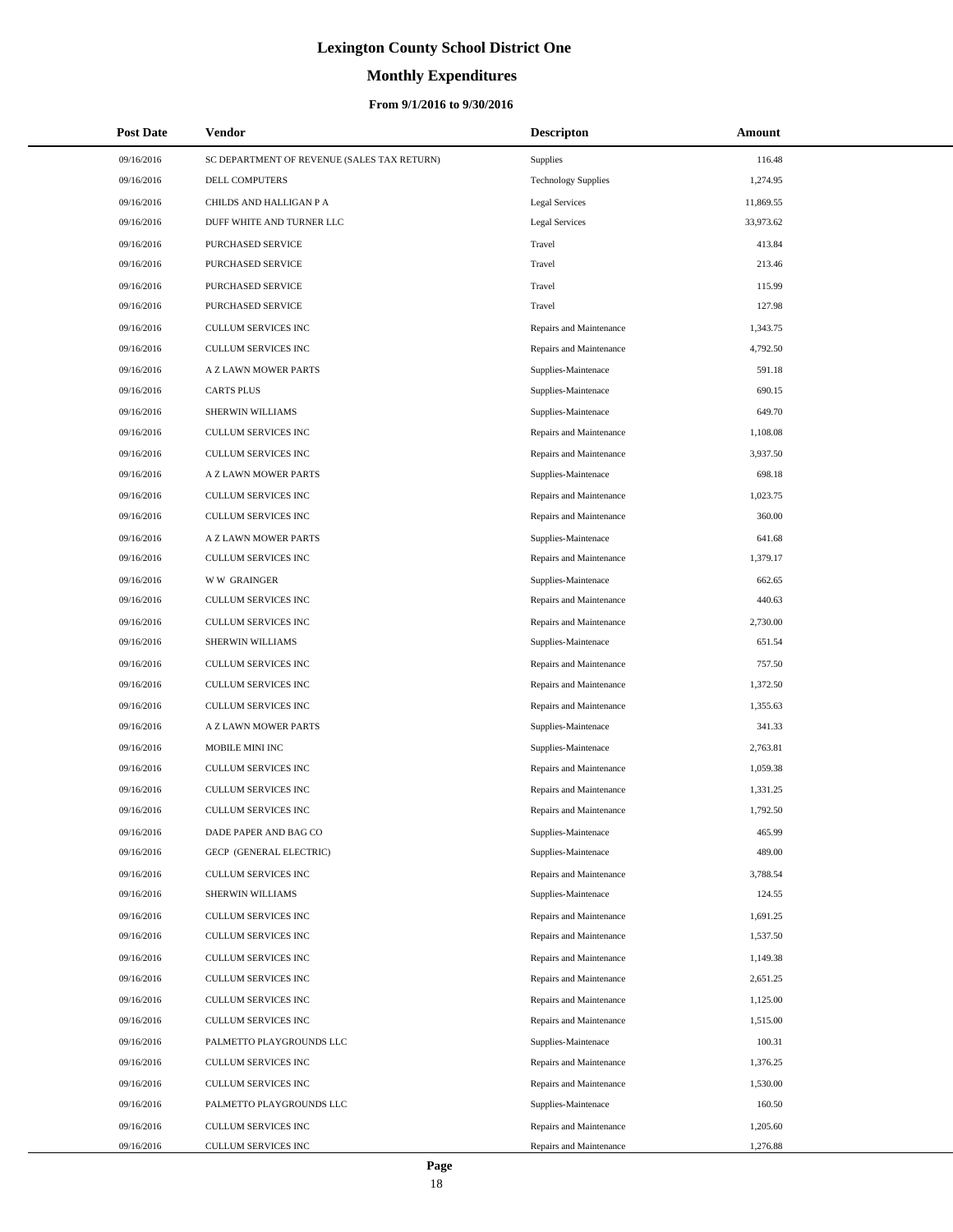# **Monthly Expenditures**

| <b>Post Date</b> | <b>Vendor</b>                               | <b>Descripton</b>          | Amount    |
|------------------|---------------------------------------------|----------------------------|-----------|
| 09/16/2016       | SC DEPARTMENT OF REVENUE (SALES TAX RETURN) | Supplies                   | 116.48    |
| 09/16/2016       | DELL COMPUTERS                              | <b>Technology Supplies</b> | 1,274.95  |
| 09/16/2016       | CHILDS AND HALLIGAN P A                     | Legal Services             | 11,869.55 |
| 09/16/2016       | DUFF WHITE AND TURNER LLC                   | Legal Services             | 33,973.62 |
| 09/16/2016       | PURCHASED SERVICE                           | Travel                     | 413.84    |
| 09/16/2016       | PURCHASED SERVICE                           | Travel                     | 213.46    |
| 09/16/2016       | PURCHASED SERVICE                           | Travel                     | 115.99    |
| 09/16/2016       | PURCHASED SERVICE                           | Travel                     | 127.98    |
| 09/16/2016       | CULLUM SERVICES INC                         | Repairs and Maintenance    | 1,343.75  |
| 09/16/2016       | CULLUM SERVICES INC                         | Repairs and Maintenance    | 4,792.50  |
| 09/16/2016       | A Z LAWN MOWER PARTS                        | Supplies-Maintenace        | 591.18    |
| 09/16/2016       | <b>CARTS PLUS</b>                           | Supplies-Maintenace        | 690.15    |
| 09/16/2016       | SHERWIN WILLIAMS                            | Supplies-Maintenace        | 649.70    |
| 09/16/2016       | CULLUM SERVICES INC                         | Repairs and Maintenance    | 1,108.08  |
| 09/16/2016       | <b>CULLUM SERVICES INC</b>                  | Repairs and Maintenance    | 3,937.50  |
| 09/16/2016       | A Z LAWN MOWER PARTS                        | Supplies-Maintenace        | 698.18    |
| 09/16/2016       | <b>CULLUM SERVICES INC</b>                  | Repairs and Maintenance    | 1,023.75  |
| 09/16/2016       | CULLUM SERVICES INC                         | Repairs and Maintenance    | 360.00    |
| 09/16/2016       | A Z LAWN MOWER PARTS                        | Supplies-Maintenace        | 641.68    |
| 09/16/2016       | CULLUM SERVICES INC                         | Repairs and Maintenance    | 1,379.17  |
| 09/16/2016       | <b>WW GRAINGER</b>                          | Supplies-Maintenace        | 662.65    |
| 09/16/2016       | CULLUM SERVICES INC                         | Repairs and Maintenance    | 440.63    |
| 09/16/2016       | CULLUM SERVICES INC                         | Repairs and Maintenance    | 2,730.00  |
| 09/16/2016       | SHERWIN WILLIAMS                            | Supplies-Maintenace        | 651.54    |
| 09/16/2016       | CULLUM SERVICES INC                         | Repairs and Maintenance    | 757.50    |
| 09/16/2016       | CULLUM SERVICES INC                         | Repairs and Maintenance    | 1,372.50  |
| 09/16/2016       | CULLUM SERVICES INC                         | Repairs and Maintenance    | 1,355.63  |
| 09/16/2016       | A Z LAWN MOWER PARTS                        | Supplies-Maintenace        | 341.33    |
| 09/16/2016       | MOBILE MINI INC                             | Supplies-Maintenace        | 2,763.81  |
| 09/16/2016       | <b>CULLUM SERVICES INC</b>                  | Repairs and Maintenance    | 1,059.38  |
| 09/16/2016       | CULLUM SERVICES INC                         | Repairs and Maintenance    | 1,331.25  |
| 09/16/2016       | <b>CULLUM SERVICES INC</b>                  | Repairs and Maintenance    | 1,792.50  |
| 09/16/2016       | DADE PAPER AND BAG CO                       | Supplies-Maintenace        | 465.99    |
| 09/16/2016       | GECP (GENERAL ELECTRIC)                     | Supplies-Maintenace        | 489.00    |
| 09/16/2016       | CULLUM SERVICES INC                         | Repairs and Maintenance    | 3,788.54  |
| 09/16/2016       | SHERWIN WILLIAMS                            | Supplies-Maintenace        | 124.55    |
| 09/16/2016       | CULLUM SERVICES INC                         | Repairs and Maintenance    | 1,691.25  |
| 09/16/2016       | CULLUM SERVICES INC                         | Repairs and Maintenance    | 1,537.50  |
| 09/16/2016       | CULLUM SERVICES INC                         | Repairs and Maintenance    | 1,149.38  |
| 09/16/2016       | CULLUM SERVICES INC                         | Repairs and Maintenance    | 2,651.25  |
| 09/16/2016       | CULLUM SERVICES INC                         | Repairs and Maintenance    | 1,125.00  |
| 09/16/2016       | CULLUM SERVICES INC                         | Repairs and Maintenance    | 1,515.00  |
| 09/16/2016       | PALMETTO PLAYGROUNDS LLC                    | Supplies-Maintenace        | 100.31    |
| 09/16/2016       | CULLUM SERVICES INC                         | Repairs and Maintenance    | 1,376.25  |
| 09/16/2016       | CULLUM SERVICES INC                         | Repairs and Maintenance    | 1,530.00  |
| 09/16/2016       | PALMETTO PLAYGROUNDS LLC                    | Supplies-Maintenace        | 160.50    |
| 09/16/2016       | CULLUM SERVICES INC                         | Repairs and Maintenance    | 1,205.60  |
| 09/16/2016       | CULLUM SERVICES INC                         | Repairs and Maintenance    | 1,276.88  |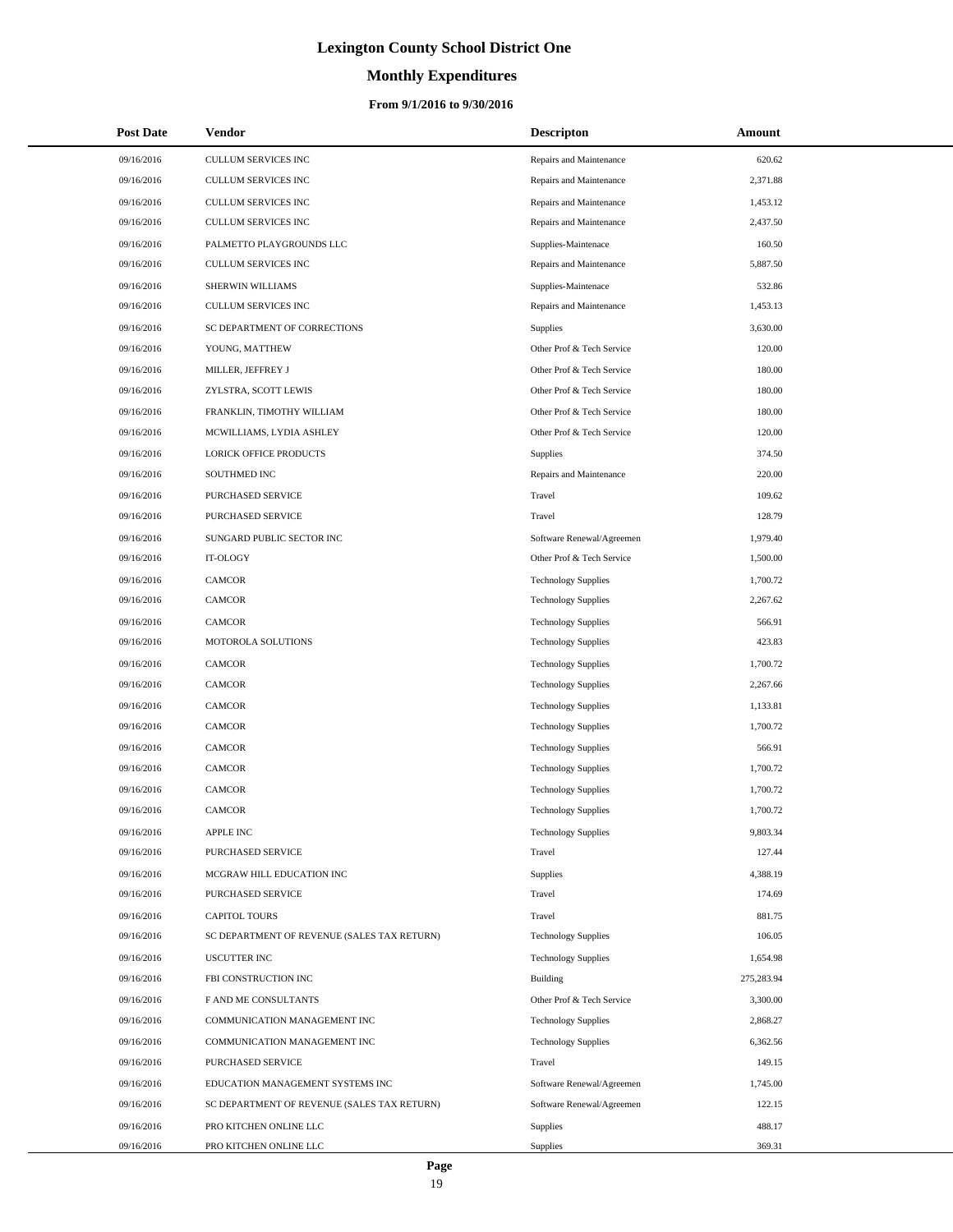# **Monthly Expenditures**

### **From 9/1/2016 to 9/30/2016**

| <b>Post Date</b> | <b>Vendor</b>                               | <b>Descripton</b>          | Amount     |
|------------------|---------------------------------------------|----------------------------|------------|
| 09/16/2016       | CULLUM SERVICES INC                         | Repairs and Maintenance    | 620.62     |
| 09/16/2016       | CULLUM SERVICES INC                         | Repairs and Maintenance    | 2,371.88   |
| 09/16/2016       | <b>CULLUM SERVICES INC</b>                  | Repairs and Maintenance    | 1,453.12   |
| 09/16/2016       | CULLUM SERVICES INC                         | Repairs and Maintenance    | 2,437.50   |
| 09/16/2016       | PALMETTO PLAYGROUNDS LLC                    | Supplies-Maintenace        | 160.50     |
| 09/16/2016       | CULLUM SERVICES INC                         | Repairs and Maintenance    | 5,887.50   |
| 09/16/2016       | SHERWIN WILLIAMS                            | Supplies-Maintenace        | 532.86     |
| 09/16/2016       | CULLUM SERVICES INC                         | Repairs and Maintenance    | 1,453.13   |
| 09/16/2016       | SC DEPARTMENT OF CORRECTIONS                | Supplies                   | 3,630.00   |
| 09/16/2016       | YOUNG, MATTHEW                              | Other Prof & Tech Service  | 120.00     |
| 09/16/2016       | MILLER, JEFFREY J                           | Other Prof & Tech Service  | 180.00     |
| 09/16/2016       | ZYLSTRA, SCOTT LEWIS                        | Other Prof & Tech Service  | 180.00     |
| 09/16/2016       | FRANKLIN, TIMOTHY WILLIAM                   | Other Prof & Tech Service  | 180.00     |
| 09/16/2016       | MCWILLIAMS, LYDIA ASHLEY                    | Other Prof & Tech Service  | 120.00     |
| 09/16/2016       | LORICK OFFICE PRODUCTS                      | Supplies                   | 374.50     |
| 09/16/2016       | SOUTHMED INC                                | Repairs and Maintenance    | 220.00     |
| 09/16/2016       | PURCHASED SERVICE                           | Travel                     | 109.62     |
| 09/16/2016       | PURCHASED SERVICE                           | Travel                     | 128.79     |
| 09/16/2016       | SUNGARD PUBLIC SECTOR INC                   | Software Renewal/Agreemen  | 1,979.40   |
| 09/16/2016       | IT-OLOGY                                    | Other Prof & Tech Service  | 1,500.00   |
| 09/16/2016       | <b>CAMCOR</b>                               | <b>Technology Supplies</b> | 1,700.72   |
| 09/16/2016       | <b>CAMCOR</b>                               | <b>Technology Supplies</b> | 2,267.62   |
| 09/16/2016       | <b>CAMCOR</b>                               | <b>Technology Supplies</b> | 566.91     |
| 09/16/2016       | MOTOROLA SOLUTIONS                          | <b>Technology Supplies</b> | 423.83     |
| 09/16/2016       | <b>CAMCOR</b>                               | <b>Technology Supplies</b> | 1,700.72   |
| 09/16/2016       | <b>CAMCOR</b>                               | <b>Technology Supplies</b> | 2,267.66   |
| 09/16/2016       | <b>CAMCOR</b>                               | <b>Technology Supplies</b> | 1,133.81   |
| 09/16/2016       | <b>CAMCOR</b>                               | <b>Technology Supplies</b> | 1,700.72   |
| 09/16/2016       | <b>CAMCOR</b>                               | <b>Technology Supplies</b> | 566.91     |
| 09/16/2016       | CAMCOR                                      | <b>Technology Supplies</b> | 1,700.72   |
| 09/16/2016       | <b>CAMCOR</b>                               | <b>Technology Supplies</b> | 1,700.72   |
| 09/16/2016       | CAMCOR                                      | <b>Technology Supplies</b> | 1,700.72   |
| 09/16/2016       | <b>APPLE INC</b>                            | <b>Technology Supplies</b> | 9,803.34   |
| 09/16/2016       | PURCHASED SERVICE                           | Travel                     | 127.44     |
| 09/16/2016       | MCGRAW HILL EDUCATION INC                   | Supplies                   | 4,388.19   |
| 09/16/2016       | PURCHASED SERVICE                           | Travel                     | 174.69     |
| 09/16/2016       | <b>CAPITOL TOURS</b>                        | Travel                     | 881.75     |
| 09/16/2016       | SC DEPARTMENT OF REVENUE (SALES TAX RETURN) | <b>Technology Supplies</b> | 106.05     |
| 09/16/2016       | <b>USCUTTER INC</b>                         | <b>Technology Supplies</b> | 1,654.98   |
| 09/16/2016       | FBI CONSTRUCTION INC                        | Building                   | 275,283.94 |
| 09/16/2016       | F AND ME CONSULTANTS                        | Other Prof & Tech Service  | 3,300.00   |
| 09/16/2016       | COMMUNICATION MANAGEMENT INC                | <b>Technology Supplies</b> | 2,868.27   |
| 09/16/2016       | COMMUNICATION MANAGEMENT INC                | <b>Technology Supplies</b> | 6,362.56   |
| 09/16/2016       | PURCHASED SERVICE                           | Travel                     | 149.15     |
| 09/16/2016       | EDUCATION MANAGEMENT SYSTEMS INC            | Software Renewal/Agreemen  | 1,745.00   |
| 09/16/2016       | SC DEPARTMENT OF REVENUE (SALES TAX RETURN) | Software Renewal/Agreemen  | 122.15     |
| 09/16/2016       | PRO KITCHEN ONLINE LLC                      | Supplies                   | 488.17     |
| 09/16/2016       | PRO KITCHEN ONLINE LLC                      | Supplies                   | 369.31     |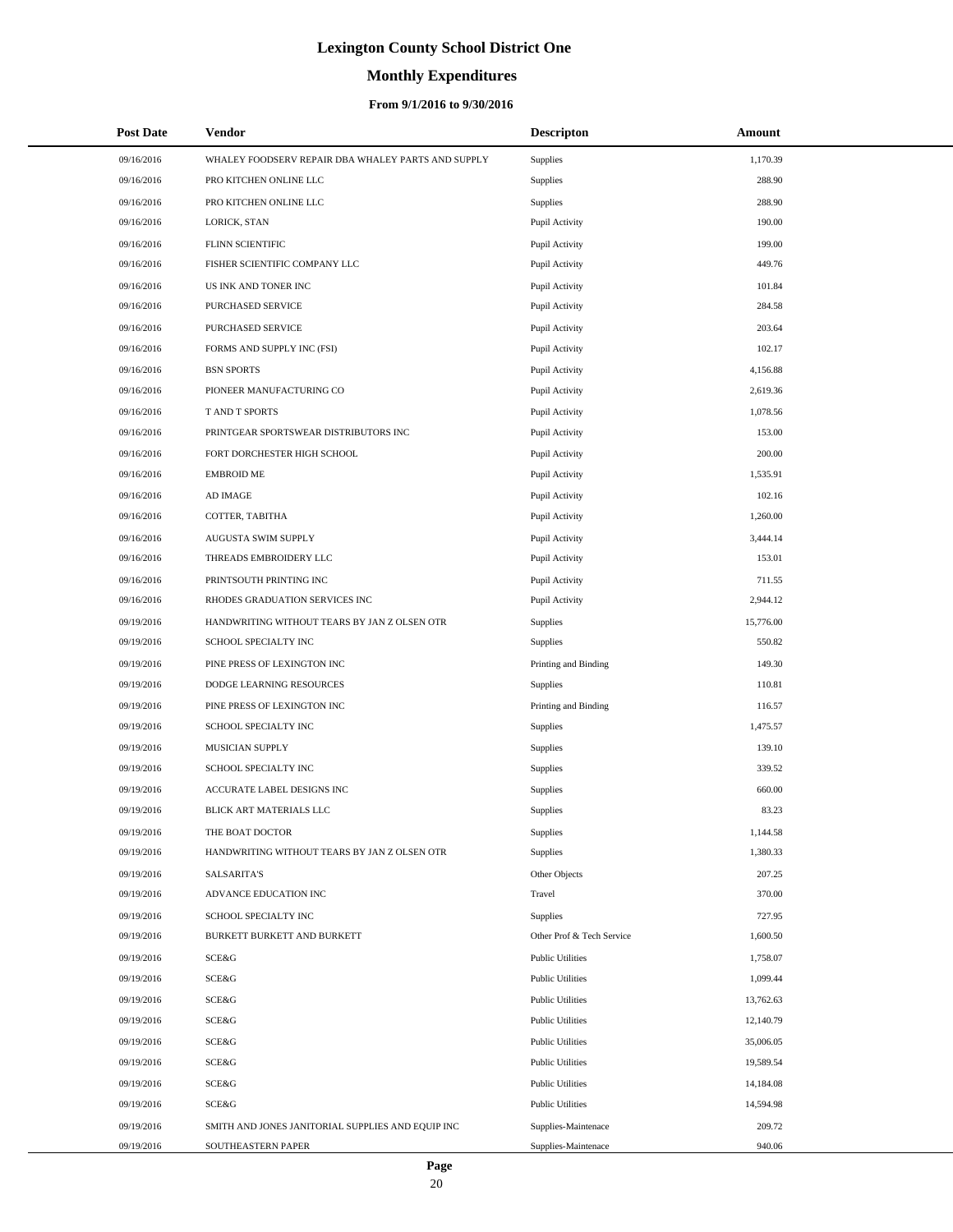# **Monthly Expenditures**

| <b>Post Date</b> | Vendor                                             | <b>Descripton</b>         | Amount    |
|------------------|----------------------------------------------------|---------------------------|-----------|
| 09/16/2016       | WHALEY FOODSERV REPAIR DBA WHALEY PARTS AND SUPPLY | Supplies                  | 1,170.39  |
| 09/16/2016       | PRO KITCHEN ONLINE LLC                             | Supplies                  | 288.90    |
| 09/16/2016       | PRO KITCHEN ONLINE LLC                             | Supplies                  | 288.90    |
| 09/16/2016       | LORICK, STAN                                       | Pupil Activity            | 190.00    |
| 09/16/2016       | FLINN SCIENTIFIC                                   | Pupil Activity            | 199.00    |
| 09/16/2016       | FISHER SCIENTIFIC COMPANY LLC                      | Pupil Activity            | 449.76    |
| 09/16/2016       | US INK AND TONER INC                               | Pupil Activity            | 101.84    |
| 09/16/2016       | PURCHASED SERVICE                                  | Pupil Activity            | 284.58    |
| 09/16/2016       | PURCHASED SERVICE                                  | Pupil Activity            | 203.64    |
| 09/16/2016       | FORMS AND SUPPLY INC (FSI)                         | Pupil Activity            | 102.17    |
| 09/16/2016       | <b>BSN SPORTS</b>                                  | Pupil Activity            | 4,156.88  |
| 09/16/2016       | PIONEER MANUFACTURING CO                           | Pupil Activity            | 2,619.36  |
| 09/16/2016       | T AND T SPORTS                                     | Pupil Activity            | 1,078.56  |
| 09/16/2016       | PRINTGEAR SPORTSWEAR DISTRIBUTORS INC              | Pupil Activity            | 153.00    |
| 09/16/2016       | FORT DORCHESTER HIGH SCHOOL                        | Pupil Activity            | 200.00    |
| 09/16/2016       | <b>EMBROID ME</b>                                  | Pupil Activity            | 1,535.91  |
| 09/16/2016       | AD IMAGE                                           | Pupil Activity            | 102.16    |
| 09/16/2016       | COTTER, TABITHA                                    | Pupil Activity            | 1,260.00  |
| 09/16/2016       | AUGUSTA SWIM SUPPLY                                | Pupil Activity            | 3,444.14  |
| 09/16/2016       | THREADS EMBROIDERY LLC                             | Pupil Activity            | 153.01    |
| 09/16/2016       | PRINTSOUTH PRINTING INC                            | Pupil Activity            | 711.55    |
| 09/16/2016       | RHODES GRADUATION SERVICES INC                     | Pupil Activity            | 2,944.12  |
| 09/19/2016       | HANDWRITING WITHOUT TEARS BY JAN Z OLSEN OTR       | Supplies                  | 15,776.00 |
| 09/19/2016       | SCHOOL SPECIALTY INC                               | Supplies                  | 550.82    |
| 09/19/2016       | PINE PRESS OF LEXINGTON INC                        | Printing and Binding      | 149.30    |
| 09/19/2016       | DODGE LEARNING RESOURCES                           | Supplies                  | 110.81    |
| 09/19/2016       | PINE PRESS OF LEXINGTON INC                        | Printing and Binding      | 116.57    |
| 09/19/2016       | SCHOOL SPECIALTY INC                               | Supplies                  | 1,475.57  |
| 09/19/2016       | MUSICIAN SUPPLY                                    | Supplies                  | 139.10    |
| 09/19/2016       | SCHOOL SPECIALTY INC                               | Supplies                  | 339.52    |
| 09/19/2016       | ACCURATE LABEL DESIGNS INC                         | Supplies                  | 660.00    |
| 09/19/2016       | BLICK ART MATERIALS LLC                            | Supplies                  | 83.23     |
| 09/19/2016       | THE BOAT DOCTOR                                    | Supplies                  | 1,144.58  |
| 09/19/2016       | HANDWRITING WITHOUT TEARS BY JAN Z OLSEN OTR       | Supplies                  | 1,380.33  |
| 09/19/2016       | <b>SALSARITA'S</b>                                 | Other Objects             | 207.25    |
| 09/19/2016       | ADVANCE EDUCATION INC                              | Travel                    | 370.00    |
| 09/19/2016       | SCHOOL SPECIALTY INC                               | Supplies                  | 727.95    |
| 09/19/2016       | BURKETT BURKETT AND BURKETT                        | Other Prof & Tech Service | 1,600.50  |
| 09/19/2016       | SCE&G                                              | <b>Public Utilities</b>   | 1,758.07  |
| 09/19/2016       | SCE&G                                              | <b>Public Utilities</b>   | 1,099.44  |
| 09/19/2016       | SCE&G                                              | <b>Public Utilities</b>   | 13,762.63 |
| 09/19/2016       | SCE&G                                              | <b>Public Utilities</b>   | 12,140.79 |
| 09/19/2016       | SCE&G                                              | <b>Public Utilities</b>   | 35,006.05 |
| 09/19/2016       | SCE&G                                              | <b>Public Utilities</b>   | 19,589.54 |
| 09/19/2016       | SCE&G                                              | <b>Public Utilities</b>   | 14,184.08 |
| 09/19/2016       | SCE&G                                              | <b>Public Utilities</b>   | 14,594.98 |
| 09/19/2016       | SMITH AND JONES JANITORIAL SUPPLIES AND EQUIP INC  | Supplies-Maintenace       | 209.72    |
| 09/19/2016       | SOUTHEASTERN PAPER                                 | Supplies-Maintenace       | 940.06    |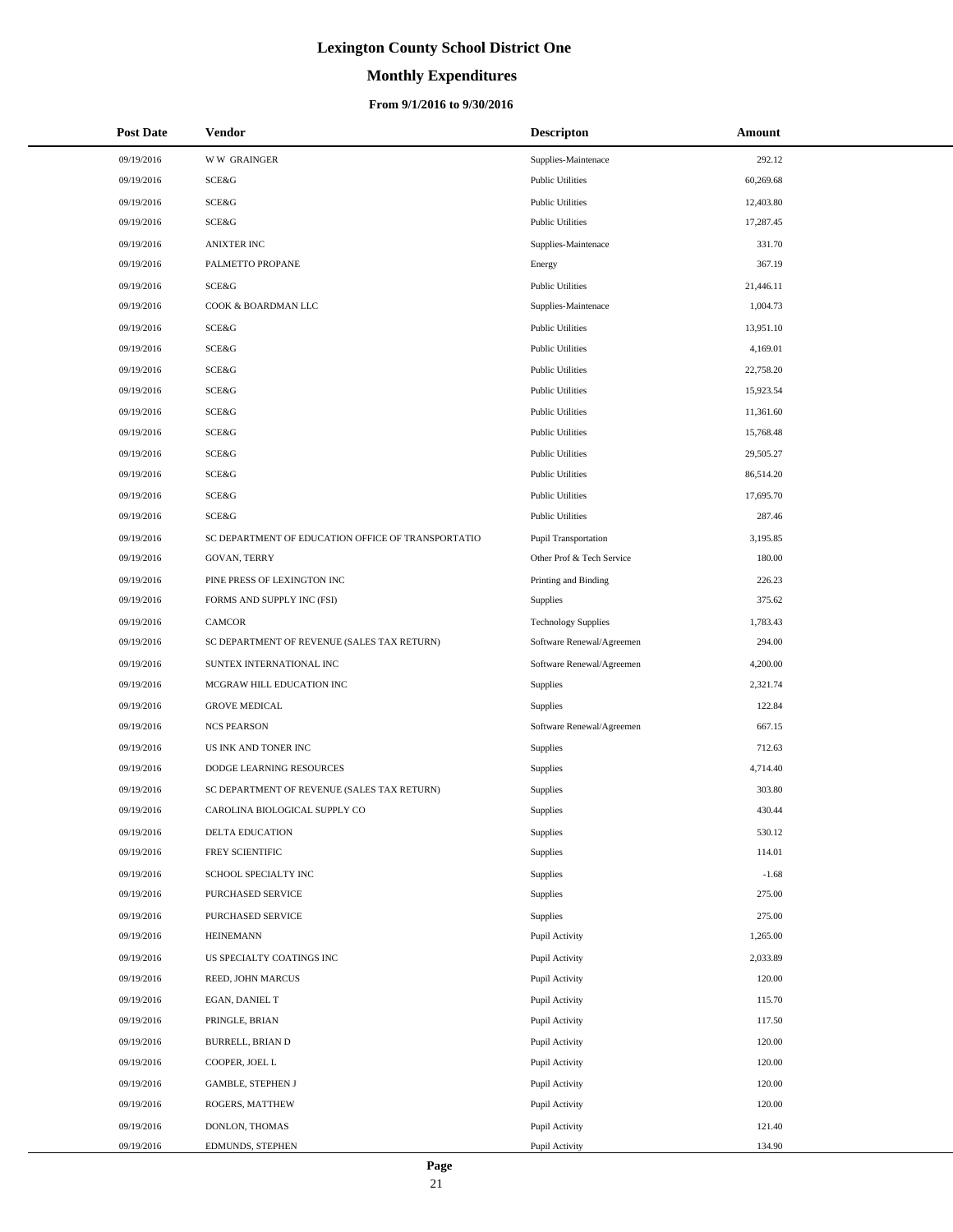# **Monthly Expenditures**

### **From 9/1/2016 to 9/30/2016**

| <b>Post Date</b> | Vendor                                             | <b>Descripton</b>          | Amount    |
|------------------|----------------------------------------------------|----------------------------|-----------|
| 09/19/2016       | <b>WW GRAINGER</b>                                 | Supplies-Maintenace        | 292.12    |
| 09/19/2016       | SCE&G                                              | <b>Public Utilities</b>    | 60,269.68 |
| 09/19/2016       | SCE&G                                              | <b>Public Utilities</b>    | 12,403.80 |
| 09/19/2016       | SCE&G                                              | <b>Public Utilities</b>    | 17,287.45 |
| 09/19/2016       | <b>ANIXTER INC</b>                                 | Supplies-Maintenace        | 331.70    |
| 09/19/2016       | PALMETTO PROPANE                                   | Energy                     | 367.19    |
| 09/19/2016       | SCE&G                                              | <b>Public Utilities</b>    | 21,446.11 |
| 09/19/2016       | COOK & BOARDMAN LLC                                | Supplies-Maintenace        | 1,004.73  |
| 09/19/2016       | SCE&G                                              | <b>Public Utilities</b>    | 13,951.10 |
| 09/19/2016       | SCE&G                                              | <b>Public Utilities</b>    | 4,169.01  |
| 09/19/2016       | SCE&G                                              | <b>Public Utilities</b>    | 22,758.20 |
| 09/19/2016       | SCE&G                                              | <b>Public Utilities</b>    | 15,923.54 |
| 09/19/2016       | SCE&G                                              | <b>Public Utilities</b>    | 11,361.60 |
| 09/19/2016       | SCE&G                                              | <b>Public Utilities</b>    | 15,768.48 |
| 09/19/2016       | SCE&G                                              | <b>Public Utilities</b>    | 29,505.27 |
| 09/19/2016       | SCE&G                                              | <b>Public Utilities</b>    | 86,514.20 |
| 09/19/2016       | SCE&G                                              | <b>Public Utilities</b>    | 17,695.70 |
| 09/19/2016       | SCE&G                                              | <b>Public Utilities</b>    | 287.46    |
| 09/19/2016       | SC DEPARTMENT OF EDUCATION OFFICE OF TRANSPORTATIO | Pupil Transportation       | 3,195.85  |
| 09/19/2016       | <b>GOVAN, TERRY</b>                                | Other Prof & Tech Service  | 180.00    |
| 09/19/2016       | PINE PRESS OF LEXINGTON INC                        | Printing and Binding       | 226.23    |
| 09/19/2016       | FORMS AND SUPPLY INC (FSI)                         | <b>Supplies</b>            | 375.62    |
| 09/19/2016       | CAMCOR                                             | <b>Technology Supplies</b> | 1,783.43  |
| 09/19/2016       | SC DEPARTMENT OF REVENUE (SALES TAX RETURN)        | Software Renewal/Agreemen  | 294.00    |
| 09/19/2016       | SUNTEX INTERNATIONAL INC                           | Software Renewal/Agreemen  | 4,200.00  |
| 09/19/2016       | MCGRAW HILL EDUCATION INC                          | Supplies                   | 2,321.74  |
| 09/19/2016       | <b>GROVE MEDICAL</b>                               | <b>Supplies</b>            | 122.84    |
| 09/19/2016       | <b>NCS PEARSON</b>                                 | Software Renewal/Agreemen  | 667.15    |
| 09/19/2016       | US INK AND TONER INC                               | <b>Supplies</b>            | 712.63    |
| 09/19/2016       | DODGE LEARNING RESOURCES                           | <b>Supplies</b>            | 4,714.40  |
| 09/19/2016       | SC DEPARTMENT OF REVENUE (SALES TAX RETURN)        | <b>Supplies</b>            | 303.80    |
| 09/19/2016       | CAROLINA BIOLOGICAL SUPPLY CO                      | <b>Supplies</b>            | 430.44    |
| 09/19/2016       | DELTA EDUCATION                                    | Supplies                   | 530.12    |
| 09/19/2016       | FREY SCIENTIFIC                                    | Supplies                   | 114.01    |
| 09/19/2016       | SCHOOL SPECIALTY INC                               | Supplies                   | $-1.68$   |
| 09/19/2016       | PURCHASED SERVICE                                  | Supplies                   | 275.00    |
| 09/19/2016       | PURCHASED SERVICE                                  | Supplies                   | 275.00    |
| 09/19/2016       | <b>HEINEMANN</b>                                   | Pupil Activity             | 1,265.00  |
| 09/19/2016       | US SPECIALTY COATINGS INC                          | Pupil Activity             | 2,033.89  |
| 09/19/2016       | REED, JOHN MARCUS                                  | Pupil Activity             | 120.00    |
| 09/19/2016       | EGAN, DANIEL T                                     | Pupil Activity             | 115.70    |
| 09/19/2016       | PRINGLE, BRIAN                                     | Pupil Activity             | 117.50    |
| 09/19/2016       | BURRELL, BRIAN D                                   | Pupil Activity             | 120.00    |
| 09/19/2016       | COOPER, JOEL L                                     | Pupil Activity             | 120.00    |
| 09/19/2016       | GAMBLE, STEPHEN J                                  | Pupil Activity             | 120.00    |
| 09/19/2016       | ROGERS, MATTHEW                                    | Pupil Activity             | 120.00    |
| 09/19/2016       | DONLON, THOMAS                                     | Pupil Activity             | 121.40    |
| 09/19/2016       | EDMUNDS, STEPHEN                                   | Pupil Activity             | 134.90    |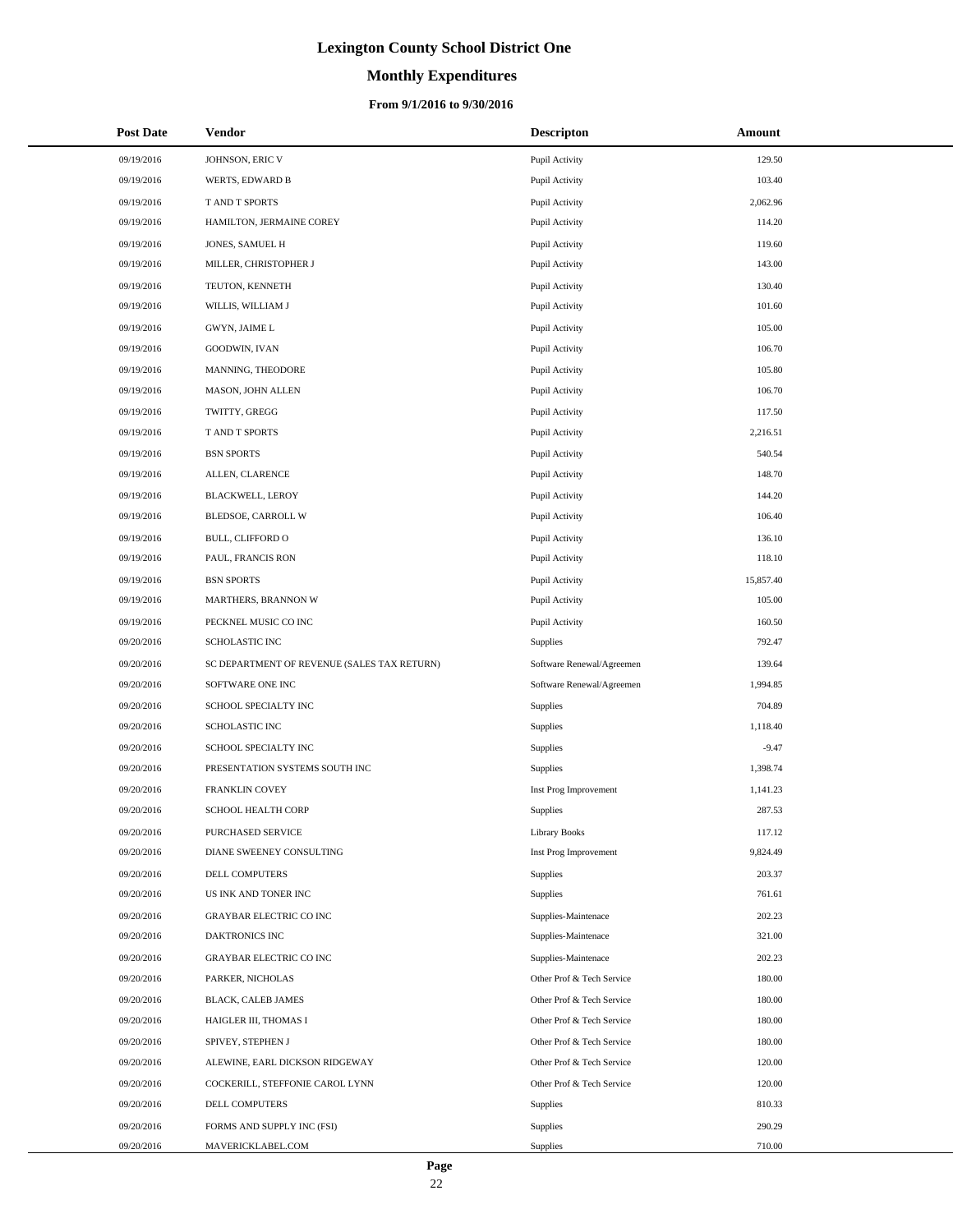# **Monthly Expenditures**

| <b>Post Date</b> | Vendor                                      | <b>Descripton</b>         | Amount    |
|------------------|---------------------------------------------|---------------------------|-----------|
| 09/19/2016       | JOHNSON, ERIC V                             | Pupil Activity            | 129.50    |
| 09/19/2016       | WERTS, EDWARD B                             | Pupil Activity            | 103.40    |
| 09/19/2016       | T AND T SPORTS                              | Pupil Activity            | 2,062.96  |
| 09/19/2016       | HAMILTON, JERMAINE COREY                    | Pupil Activity            | 114.20    |
| 09/19/2016       | JONES, SAMUEL H                             | Pupil Activity            | 119.60    |
| 09/19/2016       | MILLER, CHRISTOPHER J                       | Pupil Activity            | 143.00    |
| 09/19/2016       | TEUTON, KENNETH                             | Pupil Activity            | 130.40    |
| 09/19/2016       | WILLIS, WILLIAM J                           | Pupil Activity            | 101.60    |
| 09/19/2016       | GWYN, JAIME L                               | Pupil Activity            | 105.00    |
| 09/19/2016       | GOODWIN, IVAN                               | Pupil Activity            | 106.70    |
| 09/19/2016       | MANNING, THEODORE                           | Pupil Activity            | 105.80    |
| 09/19/2016       | MASON, JOHN ALLEN                           | Pupil Activity            | 106.70    |
| 09/19/2016       | TWITTY, GREGG                               | Pupil Activity            | 117.50    |
| 09/19/2016       | T AND T SPORTS                              | Pupil Activity            | 2,216.51  |
| 09/19/2016       | <b>BSN SPORTS</b>                           | Pupil Activity            | 540.54    |
| 09/19/2016       | ALLEN, CLARENCE                             | Pupil Activity            | 148.70    |
| 09/19/2016       | <b>BLACKWELL, LEROY</b>                     | Pupil Activity            | 144.20    |
| 09/19/2016       | BLEDSOE, CARROLL W                          | Pupil Activity            | 106.40    |
| 09/19/2016       | BULL, CLIFFORD O                            | Pupil Activity            | 136.10    |
| 09/19/2016       | PAUL, FRANCIS RON                           | Pupil Activity            | 118.10    |
| 09/19/2016       | <b>BSN SPORTS</b>                           | Pupil Activity            | 15,857.40 |
| 09/19/2016       | MARTHERS, BRANNON W                         | Pupil Activity            | 105.00    |
| 09/19/2016       | PECKNEL MUSIC CO INC                        | Pupil Activity            | 160.50    |
| 09/20/2016       | SCHOLASTIC INC                              | Supplies                  | 792.47    |
| 09/20/2016       | SC DEPARTMENT OF REVENUE (SALES TAX RETURN) | Software Renewal/Agreemen | 139.64    |
| 09/20/2016       | SOFTWARE ONE INC                            | Software Renewal/Agreemen | 1,994.85  |
| 09/20/2016       | SCHOOL SPECIALTY INC                        | Supplies                  | 704.89    |
| 09/20/2016       | SCHOLASTIC INC                              | Supplies                  | 1,118.40  |
| 09/20/2016       | SCHOOL SPECIALTY INC                        | Supplies                  | $-9.47$   |
| 09/20/2016       | PRESENTATION SYSTEMS SOUTH INC              | Supplies                  | 1,398.74  |
| 09/20/2016       | <b>FRANKLIN COVEY</b>                       | Inst Prog Improvement     | 1,141.23  |
| 09/20/2016       | SCHOOL HEALTH CORP                          | Supplies                  | 287.53    |
| 09/20/2016       | PURCHASED SERVICE                           | <b>Library Books</b>      | 117.12    |
| 09/20/2016       | DIANE SWEENEY CONSULTING                    | Inst Prog Improvement     | 9,824.49  |
| 09/20/2016       | DELL COMPUTERS                              | Supplies                  | 203.37    |
| 09/20/2016       | US INK AND TONER INC                        | Supplies                  | 761.61    |
| 09/20/2016       | GRAYBAR ELECTRIC CO INC                     | Supplies-Maintenace       | 202.23    |
| 09/20/2016       | DAKTRONICS INC                              | Supplies-Maintenace       | 321.00    |
| 09/20/2016       | GRAYBAR ELECTRIC CO INC                     | Supplies-Maintenace       | 202.23    |
| 09/20/2016       | PARKER, NICHOLAS                            | Other Prof & Tech Service | 180.00    |
| 09/20/2016       | BLACK, CALEB JAMES                          | Other Prof & Tech Service | 180.00    |
| 09/20/2016       | HAIGLER III, THOMAS I                       | Other Prof & Tech Service | 180.00    |
| 09/20/2016       | SPIVEY, STEPHEN J                           | Other Prof & Tech Service | 180.00    |
| 09/20/2016       | ALEWINE, EARL DICKSON RIDGEWAY              | Other Prof & Tech Service | 120.00    |
| 09/20/2016       | COCKERILL, STEFFONIE CAROL LYNN             | Other Prof & Tech Service | 120.00    |
| 09/20/2016       | DELL COMPUTERS                              | Supplies                  | 810.33    |
| 09/20/2016       | FORMS AND SUPPLY INC (FSI)                  | Supplies                  | 290.29    |
| 09/20/2016       | MAVERICKLABEL.COM                           | Supplies                  | 710.00    |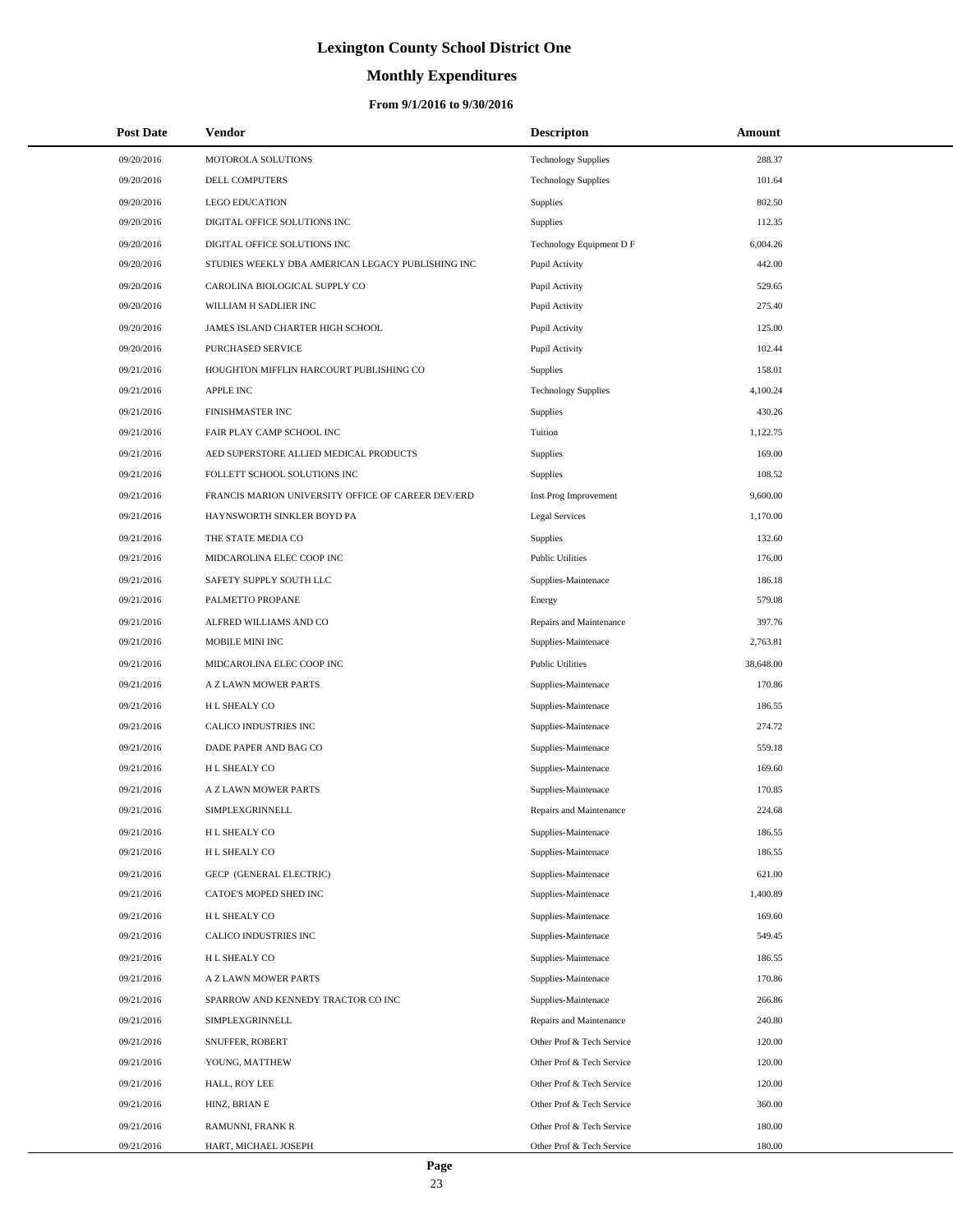# **Monthly Expenditures**

### **From 9/1/2016 to 9/30/2016**

| <b>Post Date</b> | Vendor                                             | <b>Descripton</b>          | Amount    |
|------------------|----------------------------------------------------|----------------------------|-----------|
| 09/20/2016       | MOTOROLA SOLUTIONS                                 | <b>Technology Supplies</b> | 288.37    |
| 09/20/2016       | DELL COMPUTERS                                     | <b>Technology Supplies</b> | 101.64    |
| 09/20/2016       | <b>LEGO EDUCATION</b>                              | Supplies                   | 802.50    |
| 09/20/2016       | DIGITAL OFFICE SOLUTIONS INC                       | Supplies                   | 112.35    |
| 09/20/2016       | DIGITAL OFFICE SOLUTIONS INC                       | Technology Equipment D F   | 6,004.26  |
| 09/20/2016       | STUDIES WEEKLY DBA AMERICAN LEGACY PUBLISHING INC  | Pupil Activity             | 442.00    |
| 09/20/2016       | CAROLINA BIOLOGICAL SUPPLY CO                      | Pupil Activity             | 529.65    |
| 09/20/2016       | WILLIAM H SADLIER INC                              | Pupil Activity             | 275.40    |
| 09/20/2016       | JAMES ISLAND CHARTER HIGH SCHOOL                   | Pupil Activity             | 125.00    |
| 09/20/2016       | PURCHASED SERVICE                                  | Pupil Activity             | 102.44    |
| 09/21/2016       | HOUGHTON MIFFLIN HARCOURT PUBLISHING CO            | <b>Supplies</b>            | 158.01    |
| 09/21/2016       | <b>APPLE INC</b>                                   | <b>Technology Supplies</b> | 4,100.24  |
| 09/21/2016       | FINISHMASTER INC                                   | <b>Supplies</b>            | 430.26    |
| 09/21/2016       | FAIR PLAY CAMP SCHOOL INC                          | Tuition                    | 1,122.75  |
| 09/21/2016       | AED SUPERSTORE ALLIED MEDICAL PRODUCTS             | Supplies                   | 169.00    |
| 09/21/2016       | FOLLETT SCHOOL SOLUTIONS INC                       | <b>Supplies</b>            | 108.52    |
| 09/21/2016       | FRANCIS MARION UNIVERSITY OFFICE OF CAREER DEV/ERD | Inst Prog Improvement      | 9,600.00  |
| 09/21/2016       | HAYNSWORTH SINKLER BOYD PA                         | <b>Legal Services</b>      | 1,170.00  |
| 09/21/2016       | THE STATE MEDIA CO                                 | <b>Supplies</b>            | 132.60    |
| 09/21/2016       | MIDCAROLINA ELEC COOP INC                          | <b>Public Utilities</b>    | 176.00    |
| 09/21/2016       | SAFETY SUPPLY SOUTH LLC                            | Supplies-Maintenace        | 186.18    |
| 09/21/2016       | PALMETTO PROPANE                                   | Energy                     | 579.08    |
| 09/21/2016       | ALFRED WILLIAMS AND CO                             | Repairs and Maintenance    | 397.76    |
| 09/21/2016       | MOBILE MINI INC                                    | Supplies-Maintenace        | 2,763.81  |
| 09/21/2016       | MIDCAROLINA ELEC COOP INC                          | <b>Public Utilities</b>    | 38,648.00 |
| 09/21/2016       | A Z LAWN MOWER PARTS                               | Supplies-Maintenace        | 170.86    |
| 09/21/2016       | H L SHEALY CO                                      | Supplies-Maintenace        | 186.55    |
| 09/21/2016       | CALICO INDUSTRIES INC                              | Supplies-Maintenace        | 274.72    |
| 09/21/2016       | DADE PAPER AND BAG CO                              | Supplies-Maintenace        | 559.18    |
| 09/21/2016       | H L SHEALY CO                                      | Supplies-Maintenace        | 169.60    |
| 09/21/2016       | A Z LAWN MOWER PARTS                               | Supplies-Maintenace        | 170.85    |
| 09/21/2016       | SIMPLEXGRINNELL                                    | Repairs and Maintenance    | 224.68    |
| 09/21/2016       | H L SHEALY CO                                      | Supplies-Maintenace        | 186.55    |
| 09/21/2016       | H L SHEALY CO                                      | Supplies-Maintenace        | 186.55    |
| 09/21/2016       | GECP (GENERAL ELECTRIC)                            | Supplies-Maintenace        | 621.00    |
| 09/21/2016       | CATOE'S MOPED SHED INC                             | Supplies-Maintenace        | 1,400.89  |
| 09/21/2016       | H L SHEALY CO                                      | Supplies-Maintenace        | 169.60    |
| 09/21/2016       | CALICO INDUSTRIES INC                              | Supplies-Maintenace        | 549.45    |
| 09/21/2016       | H L SHEALY CO                                      | Supplies-Maintenace        | 186.55    |
| 09/21/2016       | A Z LAWN MOWER PARTS                               | Supplies-Maintenace        | 170.86    |
| 09/21/2016       | SPARROW AND KENNEDY TRACTOR CO INC                 | Supplies-Maintenace        | 266.86    |
| 09/21/2016       | SIMPLEXGRINNELL                                    | Repairs and Maintenance    | 240.80    |
| 09/21/2016       | SNUFFER, ROBERT                                    | Other Prof & Tech Service  | 120.00    |
| 09/21/2016       | YOUNG, MATTHEW                                     | Other Prof & Tech Service  | 120.00    |
| 09/21/2016       | HALL, ROY LEE                                      | Other Prof & Tech Service  | 120.00    |
| 09/21/2016       | HINZ, BRIAN E                                      | Other Prof & Tech Service  | 360.00    |
| 09/21/2016       | RAMUNNI, FRANK R                                   | Other Prof & Tech Service  | 180.00    |
| 09/21/2016       | HART, MICHAEL JOSEPH                               | Other Prof & Tech Service  | 180.00    |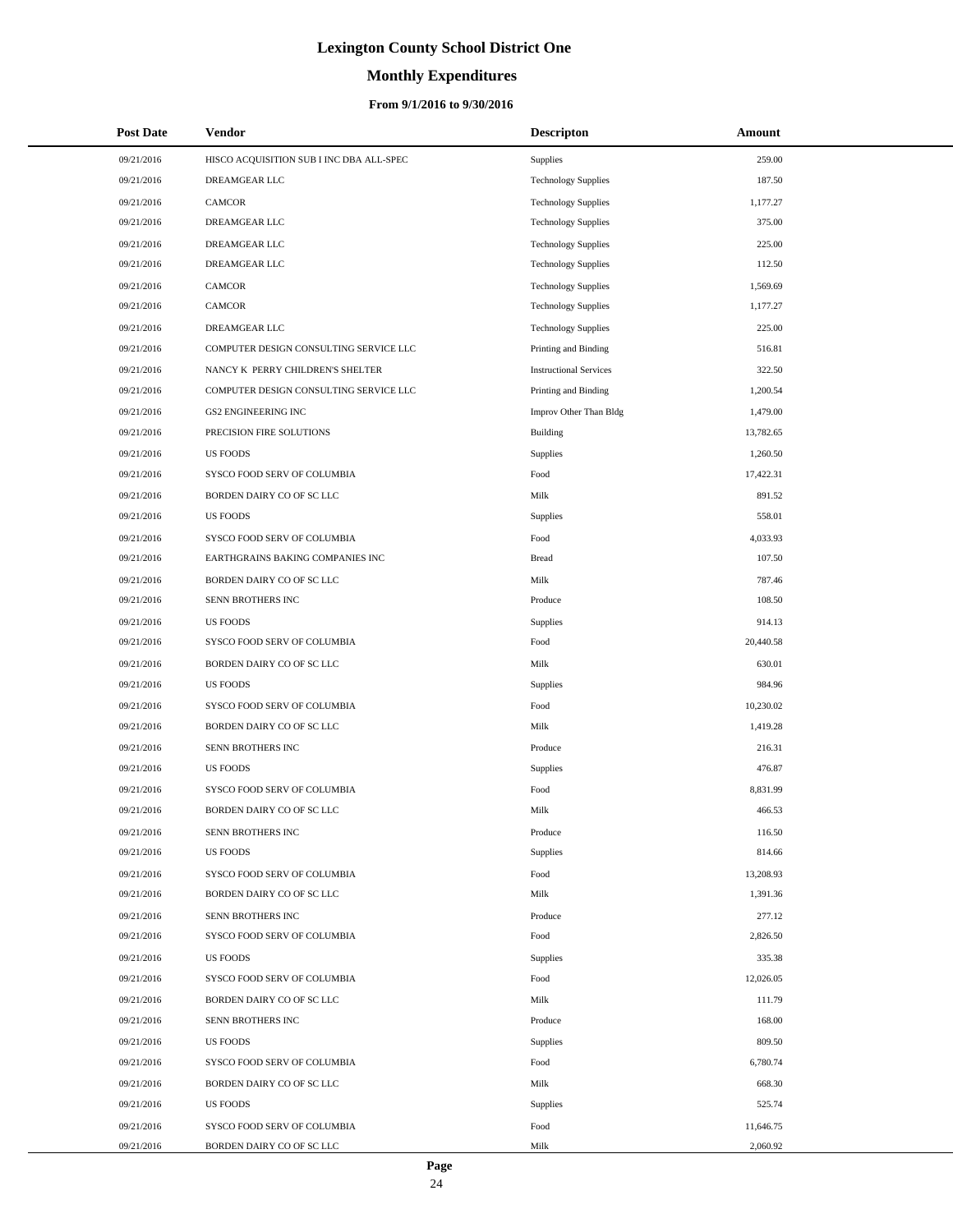# **Monthly Expenditures**

### **From 9/1/2016 to 9/30/2016**

| <b>Post Date</b> | <b>Vendor</b>                            | <b>Descripton</b>             | Amount    |
|------------------|------------------------------------------|-------------------------------|-----------|
| 09/21/2016       | HISCO ACQUISITION SUB I INC DBA ALL-SPEC | Supplies                      | 259.00    |
| 09/21/2016       | DREAMGEAR LLC                            | <b>Technology Supplies</b>    | 187.50    |
| 09/21/2016       | CAMCOR                                   | <b>Technology Supplies</b>    | 1,177.27  |
| 09/21/2016       | DREAMGEAR LLC                            | <b>Technology Supplies</b>    | 375.00    |
| 09/21/2016       | DREAMGEAR LLC                            | <b>Technology Supplies</b>    | 225.00    |
| 09/21/2016       | DREAMGEAR LLC                            | <b>Technology Supplies</b>    | 112.50    |
| 09/21/2016       | CAMCOR                                   | <b>Technology Supplies</b>    | 1,569.69  |
| 09/21/2016       | <b>CAMCOR</b>                            | <b>Technology Supplies</b>    | 1,177.27  |
| 09/21/2016       | DREAMGEAR LLC                            | <b>Technology Supplies</b>    | 225.00    |
| 09/21/2016       | COMPUTER DESIGN CONSULTING SERVICE LLC   | Printing and Binding          | 516.81    |
| 09/21/2016       | NANCY K PERRY CHILDREN'S SHELTER         | <b>Instructional Services</b> | 322.50    |
| 09/21/2016       | COMPUTER DESIGN CONSULTING SERVICE LLC   | Printing and Binding          | 1,200.54  |
| 09/21/2016       | <b>GS2 ENGINEERING INC</b>               | Improv Other Than Bldg        | 1,479.00  |
| 09/21/2016       | PRECISION FIRE SOLUTIONS                 | Building                      | 13,782.65 |
| 09/21/2016       | <b>US FOODS</b>                          | Supplies                      | 1,260.50  |
| 09/21/2016       | SYSCO FOOD SERV OF COLUMBIA              | Food                          | 17,422.31 |
| 09/21/2016       | BORDEN DAIRY CO OF SC LLC                | Milk                          | 891.52    |
| 09/21/2016       | <b>US FOODS</b>                          | Supplies                      | 558.01    |
| 09/21/2016       | SYSCO FOOD SERV OF COLUMBIA              | Food                          | 4,033.93  |
| 09/21/2016       | EARTHGRAINS BAKING COMPANIES INC         | <b>Bread</b>                  | 107.50    |
| 09/21/2016       | BORDEN DAIRY CO OF SC LLC                | Milk                          | 787.46    |
| 09/21/2016       | SENN BROTHERS INC                        | Produce                       | 108.50    |
| 09/21/2016       | <b>US FOODS</b>                          | Supplies                      | 914.13    |
| 09/21/2016       | SYSCO FOOD SERV OF COLUMBIA              | Food                          | 20,440.58 |
| 09/21/2016       | BORDEN DAIRY CO OF SC LLC                | Milk                          | 630.01    |
| 09/21/2016       | <b>US FOODS</b>                          | Supplies                      | 984.96    |
| 09/21/2016       | SYSCO FOOD SERV OF COLUMBIA              | Food                          | 10,230.02 |
| 09/21/2016       | BORDEN DAIRY CO OF SC LLC                | Milk                          | 1,419.28  |
| 09/21/2016       | SENN BROTHERS INC                        | Produce                       | 216.31    |
| 09/21/2016       | <b>US FOODS</b>                          | Supplies                      | 476.87    |
| 09/21/2016       | SYSCO FOOD SERV OF COLUMBIA              | Food                          | 8,831.99  |
| 09/21/2016       | BORDEN DAIRY CO OF SC LLC                | Milk                          | 466.53    |
| 09/21/2016       | SENN BROTHERS INC                        | Produce                       | 116.50    |
| 09/21/2016       | <b>US FOODS</b>                          | Supplies                      | 814.66    |
| 09/21/2016       | SYSCO FOOD SERV OF COLUMBIA              | Food                          | 13,208.93 |
| 09/21/2016       | BORDEN DAIRY CO OF SC LLC                | Milk                          | 1,391.36  |
| 09/21/2016       | SENN BROTHERS INC                        | Produce                       | 277.12    |
| 09/21/2016       | SYSCO FOOD SERV OF COLUMBIA              | Food                          | 2,826.50  |
| 09/21/2016       | <b>US FOODS</b>                          | Supplies                      | 335.38    |
| 09/21/2016       | SYSCO FOOD SERV OF COLUMBIA              | Food                          | 12,026.05 |
| 09/21/2016       | BORDEN DAIRY CO OF SC LLC                | Milk                          | 111.79    |
| 09/21/2016       | SENN BROTHERS INC                        | Produce                       | 168.00    |
| 09/21/2016       | <b>US FOODS</b>                          | Supplies                      | 809.50    |
| 09/21/2016       | SYSCO FOOD SERV OF COLUMBIA              | Food                          | 6,780.74  |
| 09/21/2016       | BORDEN DAIRY CO OF SC LLC                | Milk                          | 668.30    |
| 09/21/2016       | <b>US FOODS</b>                          | Supplies                      | 525.74    |
| 09/21/2016       | SYSCO FOOD SERV OF COLUMBIA              | Food                          | 11,646.75 |
| 09/21/2016       | BORDEN DAIRY CO OF SC LLC                | Milk                          | 2,060.92  |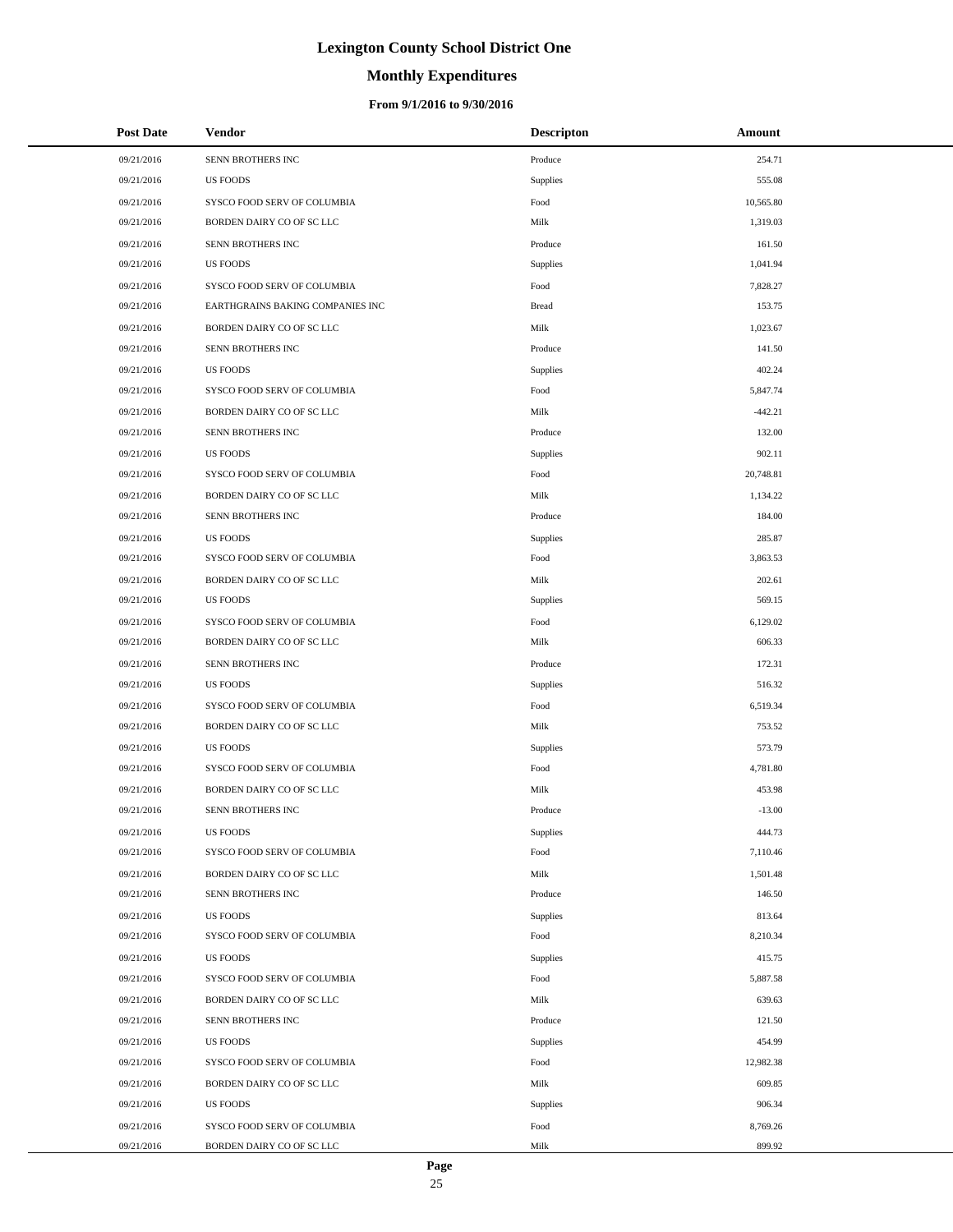# **Monthly Expenditures**

| <b>Post Date</b> | Vendor                           | <b>Descripton</b> | Amount    |
|------------------|----------------------------------|-------------------|-----------|
| 09/21/2016       | SENN BROTHERS INC                | Produce           | 254.71    |
| 09/21/2016       | <b>US FOODS</b>                  | Supplies          | 555.08    |
| 09/21/2016       | SYSCO FOOD SERV OF COLUMBIA      | Food              | 10,565.80 |
| 09/21/2016       | BORDEN DAIRY CO OF SC LLC        | Milk              | 1,319.03  |
| 09/21/2016       | SENN BROTHERS INC                | Produce           | 161.50    |
| 09/21/2016       | <b>US FOODS</b>                  | Supplies          | 1,041.94  |
| 09/21/2016       | SYSCO FOOD SERV OF COLUMBIA      | Food              | 7,828.27  |
| 09/21/2016       | EARTHGRAINS BAKING COMPANIES INC | <b>Bread</b>      | 153.75    |
| 09/21/2016       | BORDEN DAIRY CO OF SC LLC        | Milk              | 1,023.67  |
| 09/21/2016       | SENN BROTHERS INC                | Produce           | 141.50    |
| 09/21/2016       | <b>US FOODS</b>                  | Supplies          | 402.24    |
| 09/21/2016       | SYSCO FOOD SERV OF COLUMBIA      | Food              | 5,847.74  |
| 09/21/2016       | BORDEN DAIRY CO OF SC LLC        | Milk              | $-442.21$ |
| 09/21/2016       | SENN BROTHERS INC                | Produce           | 132.00    |
| 09/21/2016       | <b>US FOODS</b>                  | Supplies          | 902.11    |
| 09/21/2016       | SYSCO FOOD SERV OF COLUMBIA      | Food              | 20,748.81 |
| 09/21/2016       | BORDEN DAIRY CO OF SC LLC        | Milk              | 1,134.22  |
| 09/21/2016       | SENN BROTHERS INC                | Produce           | 184.00    |
| 09/21/2016       | <b>US FOODS</b>                  | Supplies          | 285.87    |
| 09/21/2016       | SYSCO FOOD SERV OF COLUMBIA      | Food              | 3,863.53  |
| 09/21/2016       | BORDEN DAIRY CO OF SC LLC        | Milk              | 202.61    |
| 09/21/2016       | <b>US FOODS</b>                  | Supplies          | 569.15    |
| 09/21/2016       | SYSCO FOOD SERV OF COLUMBIA      | Food              | 6,129.02  |
| 09/21/2016       | BORDEN DAIRY CO OF SC LLC        | Milk              | 606.33    |
| 09/21/2016       | SENN BROTHERS INC                | Produce           | 172.31    |
| 09/21/2016       | <b>US FOODS</b>                  | Supplies          | 516.32    |
| 09/21/2016       | SYSCO FOOD SERV OF COLUMBIA      | Food              | 6,519.34  |
| 09/21/2016       | BORDEN DAIRY CO OF SC LLC        | Milk              | 753.52    |
| 09/21/2016       | <b>US FOODS</b>                  | Supplies          | 573.79    |
| 09/21/2016       | SYSCO FOOD SERV OF COLUMBIA      | Food              | 4,781.80  |
| 09/21/2016       | BORDEN DAIRY CO OF SC LLC        | Milk              | 453.98    |
| 09/21/2016       | SENN BROTHERS INC                | Produce           | $-13.00$  |
| 09/21/2016       | US FOODS                         | Supplies          | 444.73    |
| 09/21/2016       | SYSCO FOOD SERV OF COLUMBIA      | Food              | 7,110.46  |
| 09/21/2016       | BORDEN DAIRY CO OF SC LLC        | Milk              | 1,501.48  |
| 09/21/2016       | SENN BROTHERS INC                | Produce           | 146.50    |
| 09/21/2016       | <b>US FOODS</b>                  | Supplies          | 813.64    |
| 09/21/2016       | SYSCO FOOD SERV OF COLUMBIA      | Food              | 8,210.34  |
| 09/21/2016       | <b>US FOODS</b>                  | Supplies          | 415.75    |
| 09/21/2016       | SYSCO FOOD SERV OF COLUMBIA      | Food              | 5,887.58  |
| 09/21/2016       | BORDEN DAIRY CO OF SC LLC        | Milk              | 639.63    |
| 09/21/2016       | SENN BROTHERS INC                | Produce           | 121.50    |
| 09/21/2016       | <b>US FOODS</b>                  | Supplies          | 454.99    |
| 09/21/2016       | SYSCO FOOD SERV OF COLUMBIA      | Food              | 12,982.38 |
| 09/21/2016       | BORDEN DAIRY CO OF SC LLC        | Milk              | 609.85    |
| 09/21/2016       | <b>US FOODS</b>                  | Supplies          | 906.34    |
| 09/21/2016       | SYSCO FOOD SERV OF COLUMBIA      | Food              | 8,769.26  |
| 09/21/2016       | BORDEN DAIRY CO OF SC LLC        | Milk              | 899.92    |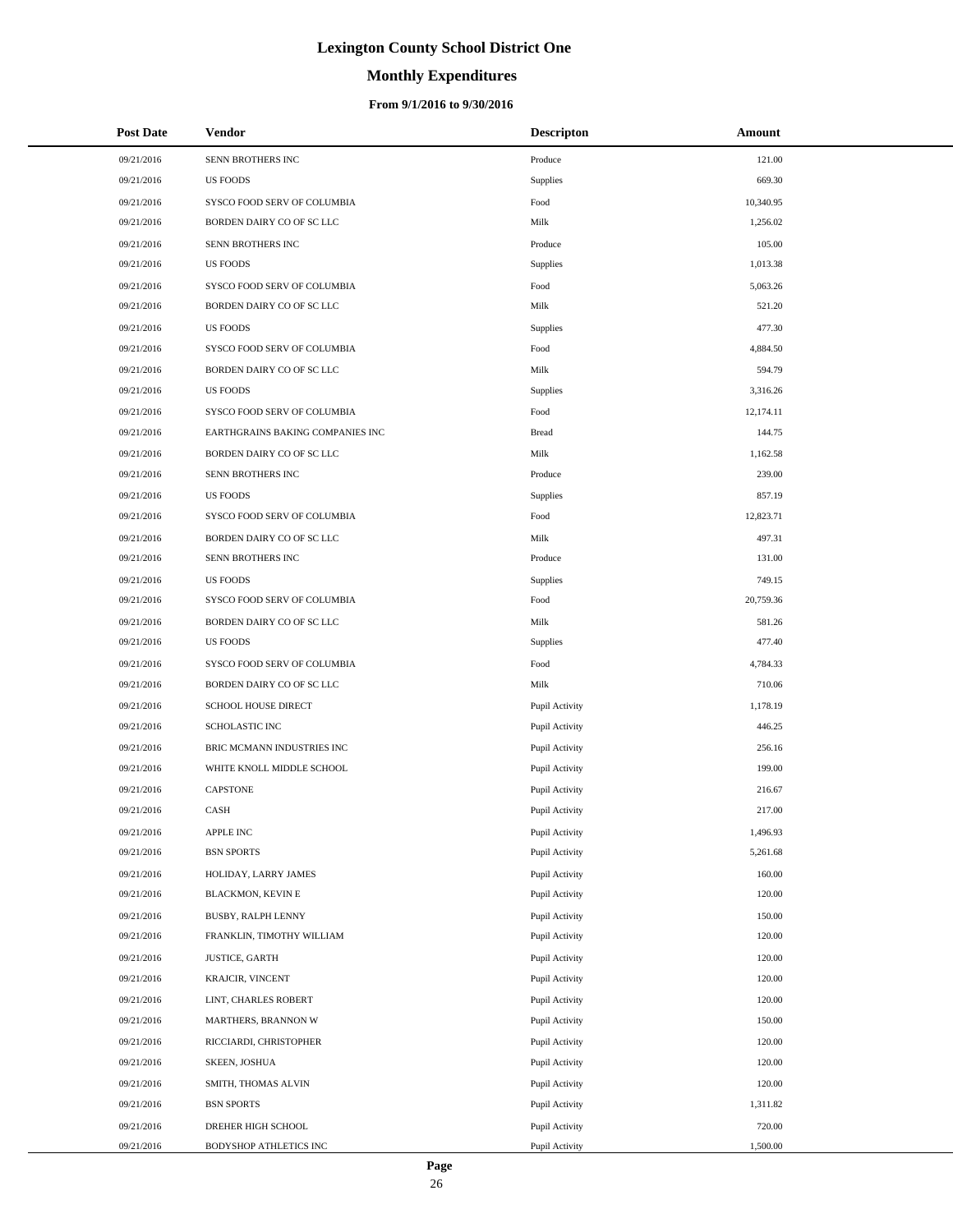# **Monthly Expenditures**

### **From 9/1/2016 to 9/30/2016**

| <b>Post Date</b> | Vendor                           | <b>Descripton</b> | Amount    |
|------------------|----------------------------------|-------------------|-----------|
| 09/21/2016       | SENN BROTHERS INC                | Produce           | 121.00    |
| 09/21/2016       | <b>US FOODS</b>                  | Supplies          | 669.30    |
| 09/21/2016       | SYSCO FOOD SERV OF COLUMBIA      | Food              | 10,340.95 |
| 09/21/2016       | BORDEN DAIRY CO OF SC LLC        | Milk              | 1,256.02  |
| 09/21/2016       | SENN BROTHERS INC                | Produce           | 105.00    |
| 09/21/2016       | <b>US FOODS</b>                  | Supplies          | 1,013.38  |
| 09/21/2016       | SYSCO FOOD SERV OF COLUMBIA      | Food              | 5,063.26  |
| 09/21/2016       | BORDEN DAIRY CO OF SC LLC        | Milk              | 521.20    |
| 09/21/2016       | <b>US FOODS</b>                  | Supplies          | 477.30    |
| 09/21/2016       | SYSCO FOOD SERV OF COLUMBIA      | Food              | 4,884.50  |
| 09/21/2016       | BORDEN DAIRY CO OF SC LLC        | Milk              | 594.79    |
| 09/21/2016       | <b>US FOODS</b>                  | Supplies          | 3,316.26  |
| 09/21/2016       | SYSCO FOOD SERV OF COLUMBIA      | Food              | 12,174.11 |
| 09/21/2016       | EARTHGRAINS BAKING COMPANIES INC | <b>Bread</b>      | 144.75    |
| 09/21/2016       | BORDEN DAIRY CO OF SC LLC        | Milk              | 1,162.58  |
| 09/21/2016       | SENN BROTHERS INC                | Produce           | 239.00    |
| 09/21/2016       | <b>US FOODS</b>                  | Supplies          | 857.19    |
| 09/21/2016       | SYSCO FOOD SERV OF COLUMBIA      | Food              | 12,823.71 |
| 09/21/2016       | BORDEN DAIRY CO OF SC LLC        | Milk              | 497.31    |
| 09/21/2016       | SENN BROTHERS INC                | Produce           | 131.00    |
| 09/21/2016       | <b>US FOODS</b>                  | Supplies          | 749.15    |
| 09/21/2016       | SYSCO FOOD SERV OF COLUMBIA      | Food              | 20,759.36 |
| 09/21/2016       | BORDEN DAIRY CO OF SC LLC        | Milk              | 581.26    |
| 09/21/2016       | <b>US FOODS</b>                  | Supplies          | 477.40    |
| 09/21/2016       | SYSCO FOOD SERV OF COLUMBIA      | Food              | 4,784.33  |
| 09/21/2016       | BORDEN DAIRY CO OF SC LLC        | Milk              | 710.06    |
| 09/21/2016       | SCHOOL HOUSE DIRECT              | Pupil Activity    | 1,178.19  |
| 09/21/2016       | <b>SCHOLASTIC INC</b>            | Pupil Activity    | 446.25    |
| 09/21/2016       | BRIC MCMANN INDUSTRIES INC       | Pupil Activity    | 256.16    |
| 09/21/2016       | WHITE KNOLL MIDDLE SCHOOL        | Pupil Activity    | 199.00    |
| 09/21/2016       | <b>CAPSTONE</b>                  | Pupil Activity    | 216.67    |
| 09/21/2016       | CASH                             | Pupil Activity    | 217.00    |
| 09/21/2016       | APPLE INC                        | Pupil Activity    | 1,496.93  |
| 09/21/2016       | <b>BSN SPORTS</b>                | Pupil Activity    | 5,261.68  |
| 09/21/2016       | HOLIDAY, LARRY JAMES             | Pupil Activity    | 160.00    |
| 09/21/2016       | <b>BLACKMON, KEVIN E</b>         | Pupil Activity    | 120.00    |
| 09/21/2016       | BUSBY, RALPH LENNY               | Pupil Activity    | 150.00    |
| 09/21/2016       | FRANKLIN, TIMOTHY WILLIAM        | Pupil Activity    | 120.00    |
| 09/21/2016       | <b>JUSTICE, GARTH</b>            | Pupil Activity    | 120.00    |
| 09/21/2016       | KRAJCIR, VINCENT                 | Pupil Activity    | 120.00    |
| 09/21/2016       | LINT, CHARLES ROBERT             | Pupil Activity    | 120.00    |
| 09/21/2016       | MARTHERS, BRANNON W              | Pupil Activity    | 150.00    |
| 09/21/2016       | RICCIARDI, CHRISTOPHER           | Pupil Activity    | 120.00    |
| 09/21/2016       | SKEEN, JOSHUA                    | Pupil Activity    | 120.00    |
| 09/21/2016       | SMITH, THOMAS ALVIN              | Pupil Activity    | 120.00    |
| 09/21/2016       | <b>BSN SPORTS</b>                | Pupil Activity    | 1,311.82  |
| 09/21/2016       | DREHER HIGH SCHOOL               | Pupil Activity    | 720.00    |
| 09/21/2016       | BODYSHOP ATHLETICS INC           | Pupil Activity    | 1,500.00  |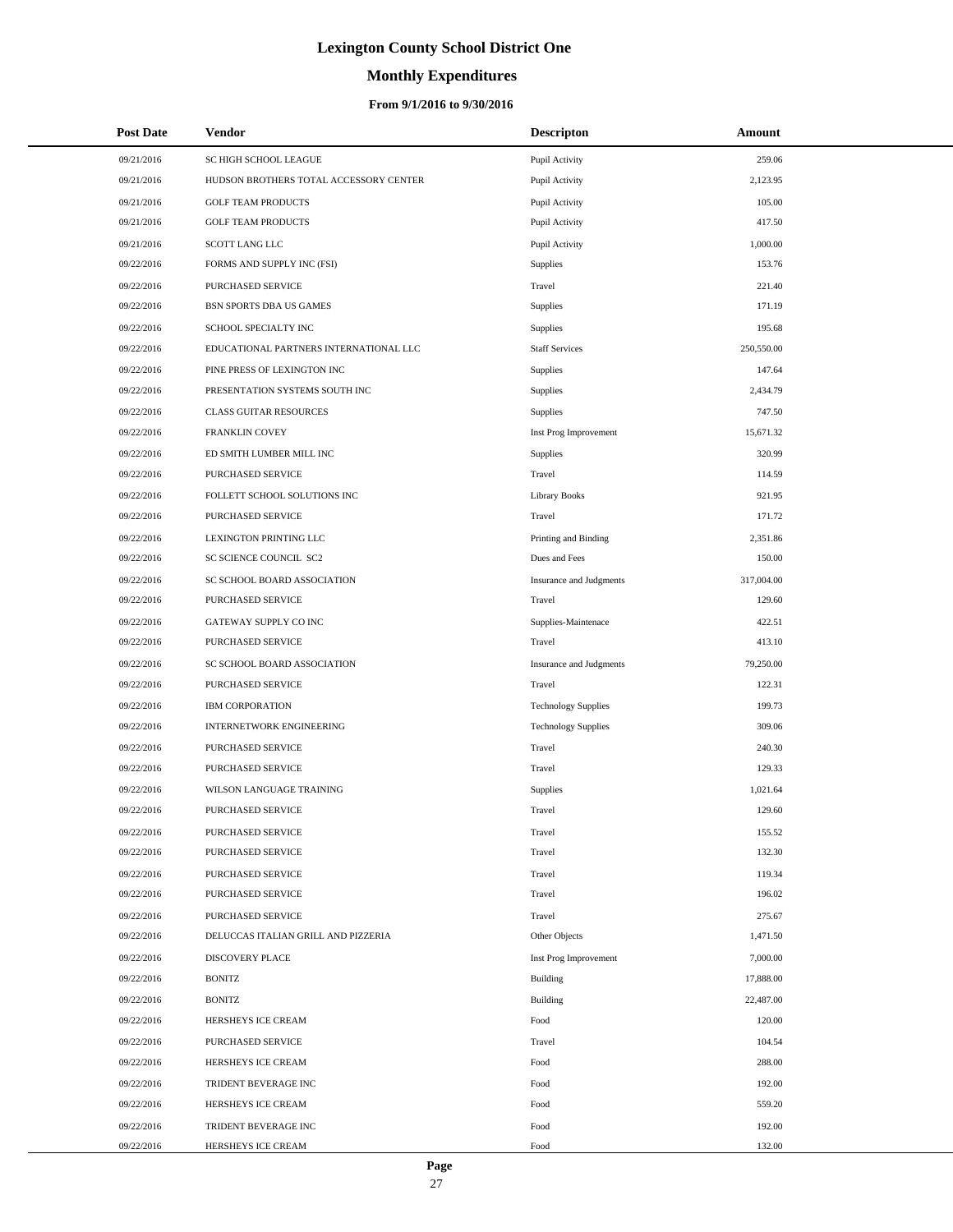# **Monthly Expenditures**

| Post Date  | <b>Vendor</b>                          | <b>Descripton</b>          | Amount     |
|------------|----------------------------------------|----------------------------|------------|
| 09/21/2016 | SC HIGH SCHOOL LEAGUE                  | Pupil Activity             | 259.06     |
| 09/21/2016 | HUDSON BROTHERS TOTAL ACCESSORY CENTER | Pupil Activity             | 2,123.95   |
| 09/21/2016 | <b>GOLF TEAM PRODUCTS</b>              | Pupil Activity             | 105.00     |
| 09/21/2016 | <b>GOLF TEAM PRODUCTS</b>              | Pupil Activity             | 417.50     |
| 09/21/2016 | SCOTT LANG LLC                         | Pupil Activity             | 1,000.00   |
| 09/22/2016 | FORMS AND SUPPLY INC (FSI)             | Supplies                   | 153.76     |
| 09/22/2016 | PURCHASED SERVICE                      | Travel                     | 221.40     |
| 09/22/2016 | BSN SPORTS DBA US GAMES                | <b>Supplies</b>            | 171.19     |
| 09/22/2016 | SCHOOL SPECIALTY INC                   | <b>Supplies</b>            | 195.68     |
| 09/22/2016 | EDUCATIONAL PARTNERS INTERNATIONAL LLC | <b>Staff Services</b>      | 250,550.00 |
| 09/22/2016 | PINE PRESS OF LEXINGTON INC            | Supplies                   | 147.64     |
| 09/22/2016 | PRESENTATION SYSTEMS SOUTH INC         | <b>Supplies</b>            | 2,434.79   |
| 09/22/2016 | <b>CLASS GUITAR RESOURCES</b>          | Supplies                   | 747.50     |
| 09/22/2016 | <b>FRANKLIN COVEY</b>                  | Inst Prog Improvement      | 15.671.32  |
| 09/22/2016 | ED SMITH LUMBER MILL INC               | Supplies                   | 320.99     |
| 09/22/2016 | PURCHASED SERVICE                      | Travel                     | 114.59     |
| 09/22/2016 | FOLLETT SCHOOL SOLUTIONS INC           | <b>Library Books</b>       | 921.95     |
| 09/22/2016 | PURCHASED SERVICE                      | Travel                     | 171.72     |
| 09/22/2016 | LEXINGTON PRINTING LLC                 | Printing and Binding       | 2,351.86   |
| 09/22/2016 | SC SCIENCE COUNCIL SC2                 | Dues and Fees              | 150.00     |
| 09/22/2016 | SC SCHOOL BOARD ASSOCIATION            | Insurance and Judgments    | 317,004.00 |
| 09/22/2016 | PURCHASED SERVICE                      | Travel                     | 129.60     |
| 09/22/2016 | GATEWAY SUPPLY CO INC                  | Supplies-Maintenace        | 422.51     |
| 09/22/2016 | PURCHASED SERVICE                      | Travel                     | 413.10     |
| 09/22/2016 | SC SCHOOL BOARD ASSOCIATION            | Insurance and Judgments    | 79,250.00  |
| 09/22/2016 | PURCHASED SERVICE                      | Travel                     | 122.31     |
| 09/22/2016 | <b>IBM CORPORATION</b>                 | <b>Technology Supplies</b> | 199.73     |
| 09/22/2016 | <b>INTERNETWORK ENGINEERING</b>        | <b>Technology Supplies</b> | 309.06     |
| 09/22/2016 | PURCHASED SERVICE                      | Travel                     | 240.30     |
| 09/22/2016 | PURCHASED SERVICE                      | Travel                     | 129.33     |
| 09/22/2016 | WILSON LANGUAGE TRAINING               | Supplies                   | 1,021.64   |
| 09/22/2016 | <b>PURCHASED SERVICE</b>               | Travel                     | 129.60     |
| 09/22/2016 | PURCHASED SERVICE                      | Travel                     | 155.52     |
| 09/22/2016 | PURCHASED SERVICE                      | Travel                     | 132.30     |
| 09/22/2016 | PURCHASED SERVICE                      | Travel                     | 119.34     |
| 09/22/2016 | PURCHASED SERVICE                      | Travel                     | 196.02     |
| 09/22/2016 | PURCHASED SERVICE                      | Travel                     | 275.67     |
| 09/22/2016 | DELUCCAS ITALIAN GRILL AND PIZZERIA    | Other Objects              | 1,471.50   |
| 09/22/2016 | DISCOVERY PLACE                        | Inst Prog Improvement      | 7,000.00   |
| 09/22/2016 | <b>BONITZ</b>                          | Building                   | 17,888.00  |
| 09/22/2016 | <b>BONITZ</b>                          | Building                   | 22,487.00  |
| 09/22/2016 | HERSHEYS ICE CREAM                     | Food                       | 120.00     |
| 09/22/2016 | PURCHASED SERVICE                      | Travel                     | 104.54     |
| 09/22/2016 | HERSHEYS ICE CREAM                     | Food                       | 288.00     |
| 09/22/2016 | TRIDENT BEVERAGE INC                   | Food                       | 192.00     |
| 09/22/2016 | HERSHEYS ICE CREAM                     | Food                       | 559.20     |
| 09/22/2016 | TRIDENT BEVERAGE INC                   | Food                       | 192.00     |
| 09/22/2016 | HERSHEYS ICE CREAM                     | Food                       | 132.00     |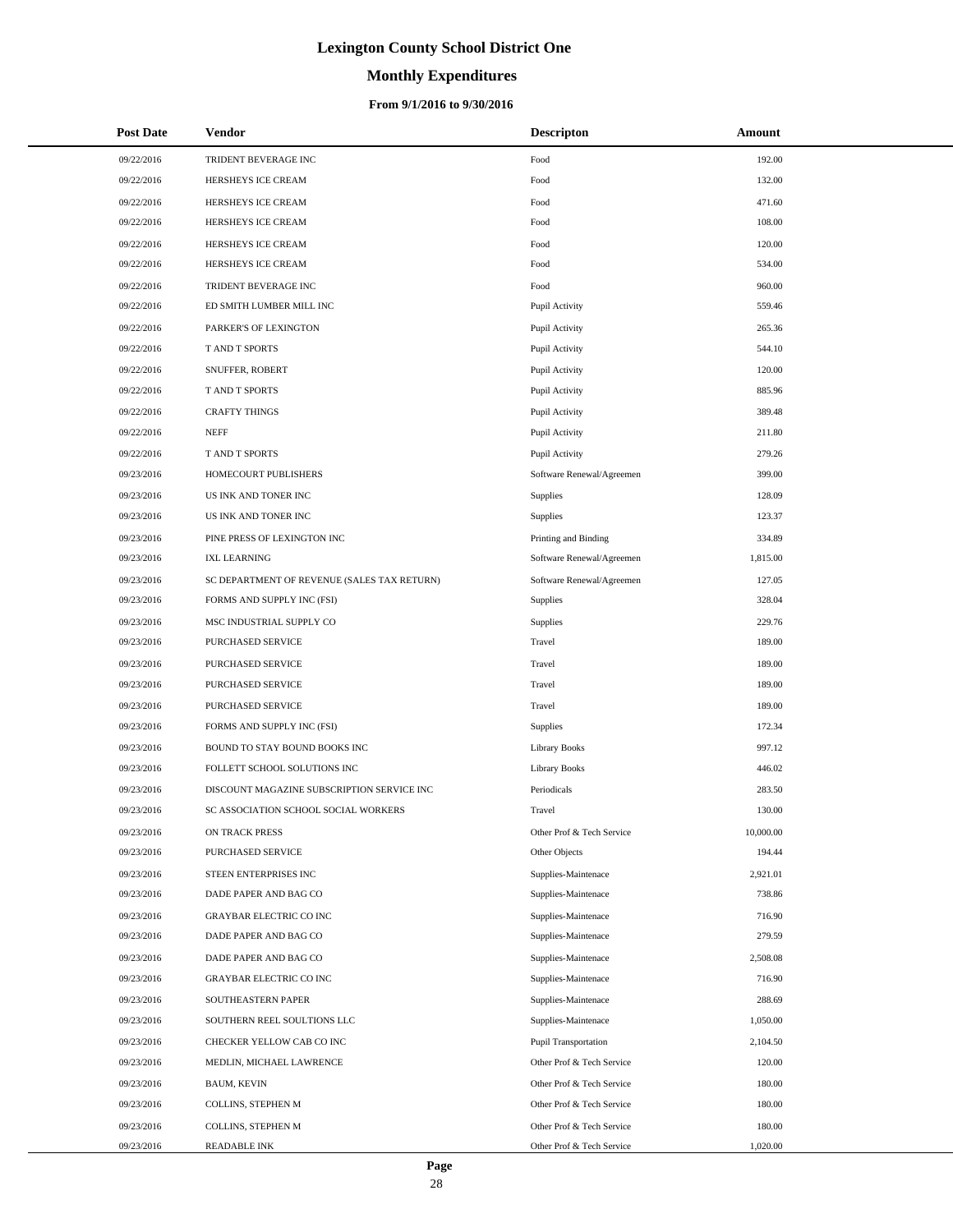# **Monthly Expenditures**

| <b>Post Date</b> | Vendor                                      | <b>Descripton</b>           | Amount    |
|------------------|---------------------------------------------|-----------------------------|-----------|
| 09/22/2016       | TRIDENT BEVERAGE INC                        | Food                        | 192.00    |
| 09/22/2016       | HERSHEYS ICE CREAM                          | Food                        | 132.00    |
| 09/22/2016       | HERSHEYS ICE CREAM                          | Food                        | 471.60    |
| 09/22/2016       | HERSHEYS ICE CREAM                          | Food                        | 108.00    |
| 09/22/2016       | HERSHEYS ICE CREAM                          | Food                        | 120.00    |
| 09/22/2016       | HERSHEYS ICE CREAM                          | Food                        | 534.00    |
| 09/22/2016       | TRIDENT BEVERAGE INC                        | Food                        | 960.00    |
| 09/22/2016       | ED SMITH LUMBER MILL INC                    | Pupil Activity              | 559.46    |
| 09/22/2016       | PARKER'S OF LEXINGTON                       | Pupil Activity              | 265.36    |
| 09/22/2016       | T AND T SPORTS                              | Pupil Activity              | 544.10    |
| 09/22/2016       | SNUFFER, ROBERT                             | Pupil Activity              | 120.00    |
| 09/22/2016       | T AND T SPORTS                              | Pupil Activity              | 885.96    |
| 09/22/2016       | <b>CRAFTY THINGS</b>                        | Pupil Activity              | 389.48    |
| 09/22/2016       | <b>NEFF</b>                                 | Pupil Activity              | 211.80    |
| 09/22/2016       | T AND T SPORTS                              | Pupil Activity              | 279.26    |
| 09/23/2016       | HOMECOURT PUBLISHERS                        | Software Renewal/Agreemen   | 399.00    |
| 09/23/2016       | US INK AND TONER INC                        | Supplies                    | 128.09    |
| 09/23/2016       | US INK AND TONER INC                        | Supplies                    | 123.37    |
| 09/23/2016       | PINE PRESS OF LEXINGTON INC                 | Printing and Binding        | 334.89    |
| 09/23/2016       | <b>IXL LEARNING</b>                         | Software Renewal/Agreemen   | 1,815.00  |
| 09/23/2016       | SC DEPARTMENT OF REVENUE (SALES TAX RETURN) | Software Renewal/Agreemen   | 127.05    |
| 09/23/2016       | FORMS AND SUPPLY INC (FSI)                  | Supplies                    | 328.04    |
| 09/23/2016       | MSC INDUSTRIAL SUPPLY CO                    | Supplies                    | 229.76    |
| 09/23/2016       | PURCHASED SERVICE                           | Travel                      | 189.00    |
| 09/23/2016       | PURCHASED SERVICE                           | Travel                      | 189.00    |
| 09/23/2016       | PURCHASED SERVICE                           | Travel                      | 189.00    |
| 09/23/2016       | PURCHASED SERVICE                           | Travel                      | 189.00    |
| 09/23/2016       | FORMS AND SUPPLY INC (FSI)                  | Supplies                    | 172.34    |
| 09/23/2016       | BOUND TO STAY BOUND BOOKS INC               | <b>Library Books</b>        | 997.12    |
| 09/23/2016       | FOLLETT SCHOOL SOLUTIONS INC                | <b>Library Books</b>        | 446.02    |
| 09/23/2016       | DISCOUNT MAGAZINE SUBSCRIPTION SERVICE INC  | Periodicals                 | 283.50    |
| 09/23/2016       | SC ASSOCIATION SCHOOL SOCIAL WORKERS        | Travel                      | 130.00    |
| 09/23/2016       | ON TRACK PRESS                              | Other Prof & Tech Service   | 10,000.00 |
| 09/23/2016       | PURCHASED SERVICE                           | Other Objects               | 194.44    |
| 09/23/2016       | STEEN ENTERPRISES INC                       | Supplies-Maintenace         | 2,921.01  |
| 09/23/2016       | DADE PAPER AND BAG CO                       | Supplies-Maintenace         | 738.86    |
| 09/23/2016       | <b>GRAYBAR ELECTRIC CO INC</b>              | Supplies-Maintenace         | 716.90    |
| 09/23/2016       | DADE PAPER AND BAG CO                       | Supplies-Maintenace         | 279.59    |
| 09/23/2016       | DADE PAPER AND BAG CO                       | Supplies-Maintenace         | 2,508.08  |
| 09/23/2016       | GRAYBAR ELECTRIC CO INC                     | Supplies-Maintenace         | 716.90    |
| 09/23/2016       | SOUTHEASTERN PAPER                          | Supplies-Maintenace         | 288.69    |
| 09/23/2016       | SOUTHERN REEL SOULTIONS LLC                 | Supplies-Maintenace         | 1,050.00  |
| 09/23/2016       | CHECKER YELLOW CAB CO INC                   | <b>Pupil Transportation</b> | 2,104.50  |
| 09/23/2016       | MEDLIN, MICHAEL LAWRENCE                    | Other Prof & Tech Service   | 120.00    |
| 09/23/2016       | <b>BAUM, KEVIN</b>                          | Other Prof & Tech Service   | 180.00    |
| 09/23/2016       | COLLINS, STEPHEN M                          | Other Prof & Tech Service   | 180.00    |
| 09/23/2016       | COLLINS, STEPHEN M                          | Other Prof & Tech Service   | 180.00    |
| 09/23/2016       | READABLE INK                                | Other Prof & Tech Service   | 1,020.00  |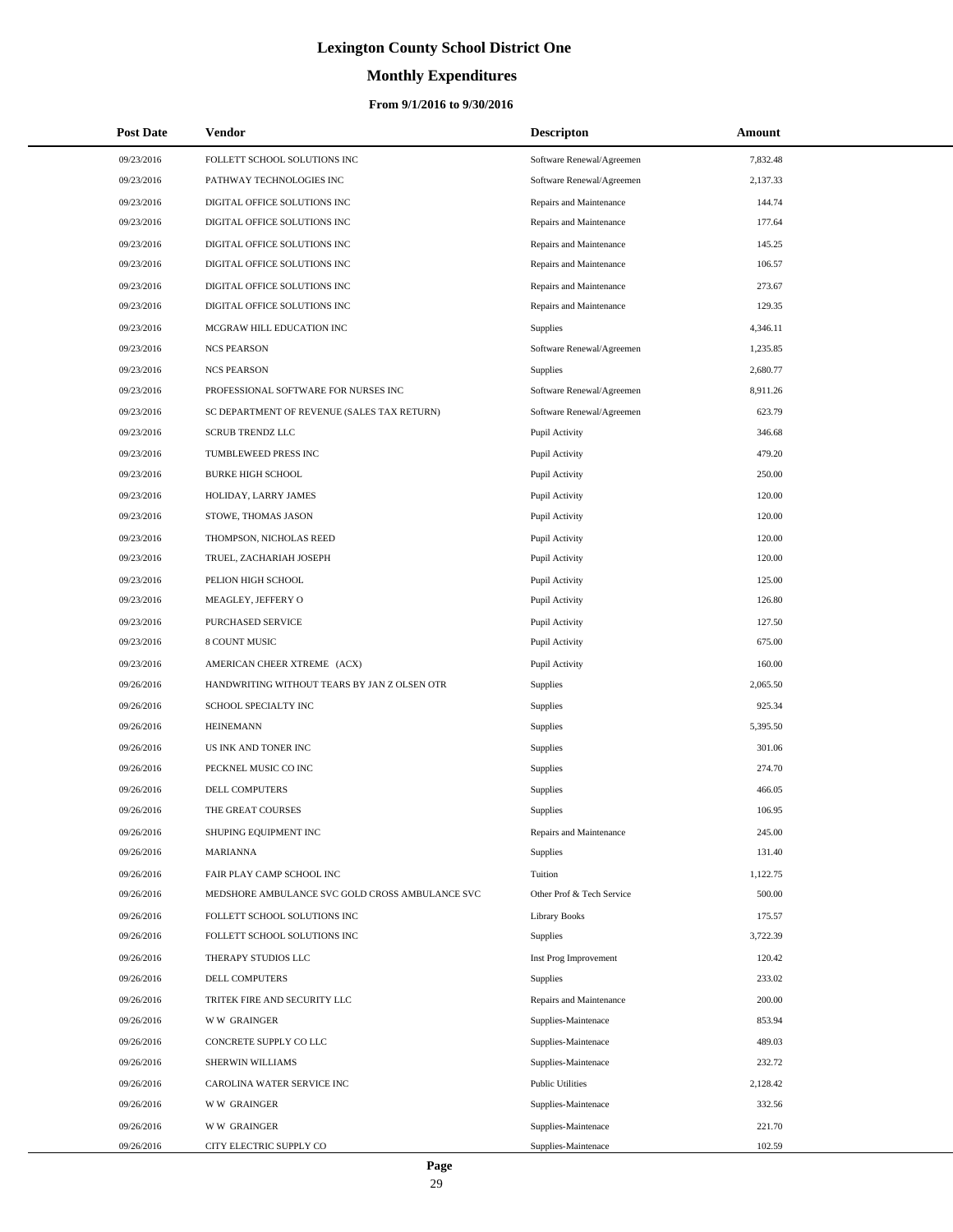# **Monthly Expenditures**

| <b>Post Date</b> | Vendor                                          | <b>Descripton</b>         | Amount   |
|------------------|-------------------------------------------------|---------------------------|----------|
| 09/23/2016       | FOLLETT SCHOOL SOLUTIONS INC                    | Software Renewal/Agreemen | 7,832.48 |
| 09/23/2016       | PATHWAY TECHNOLOGIES INC                        | Software Renewal/Agreemen | 2,137.33 |
| 09/23/2016       | DIGITAL OFFICE SOLUTIONS INC                    | Repairs and Maintenance   | 144.74   |
| 09/23/2016       | DIGITAL OFFICE SOLUTIONS INC                    | Repairs and Maintenance   | 177.64   |
| 09/23/2016       | DIGITAL OFFICE SOLUTIONS INC                    | Repairs and Maintenance   | 145.25   |
| 09/23/2016       | DIGITAL OFFICE SOLUTIONS INC                    | Repairs and Maintenance   | 106.57   |
| 09/23/2016       | DIGITAL OFFICE SOLUTIONS INC                    | Repairs and Maintenance   | 273.67   |
| 09/23/2016       | DIGITAL OFFICE SOLUTIONS INC                    | Repairs and Maintenance   | 129.35   |
| 09/23/2016       | MCGRAW HILL EDUCATION INC                       | Supplies                  | 4,346.11 |
| 09/23/2016       | <b>NCS PEARSON</b>                              | Software Renewal/Agreemen | 1,235.85 |
| 09/23/2016       | <b>NCS PEARSON</b>                              | <b>Supplies</b>           | 2,680.77 |
| 09/23/2016       | PROFESSIONAL SOFTWARE FOR NURSES INC            | Software Renewal/Agreemen | 8,911.26 |
| 09/23/2016       | SC DEPARTMENT OF REVENUE (SALES TAX RETURN)     | Software Renewal/Agreemen | 623.79   |
| 09/23/2016       | <b>SCRUB TRENDZ LLC</b>                         | Pupil Activity            | 346.68   |
| 09/23/2016       | TUMBLEWEED PRESS INC                            | Pupil Activity            | 479.20   |
| 09/23/2016       | <b>BURKE HIGH SCHOOL</b>                        | Pupil Activity            | 250.00   |
| 09/23/2016       | HOLIDAY, LARRY JAMES                            | Pupil Activity            | 120.00   |
| 09/23/2016       | STOWE, THOMAS JASON                             | Pupil Activity            | 120.00   |
| 09/23/2016       | THOMPSON, NICHOLAS REED                         | Pupil Activity            | 120.00   |
| 09/23/2016       | TRUEL, ZACHARIAH JOSEPH                         | Pupil Activity            | 120.00   |
| 09/23/2016       | PELION HIGH SCHOOL                              | Pupil Activity            | 125.00   |
| 09/23/2016       | MEAGLEY, JEFFERY O                              | Pupil Activity            | 126.80   |
| 09/23/2016       | PURCHASED SERVICE                               | Pupil Activity            | 127.50   |
| 09/23/2016       | 8 COUNT MUSIC                                   | Pupil Activity            | 675.00   |
| 09/23/2016       | AMERICAN CHEER XTREME (ACX)                     | Pupil Activity            | 160.00   |
| 09/26/2016       | HANDWRITING WITHOUT TEARS BY JAN Z OLSEN OTR    | Supplies                  | 2,065.50 |
| 09/26/2016       | SCHOOL SPECIALTY INC                            | Supplies                  | 925.34   |
| 09/26/2016       | <b>HEINEMANN</b>                                | Supplies                  | 5,395.50 |
| 09/26/2016       | US INK AND TONER INC                            | <b>Supplies</b>           | 301.06   |
| 09/26/2016       | PECKNEL MUSIC CO INC                            | Supplies                  | 274.70   |
| 09/26/2016       | <b>DELL COMPUTERS</b>                           | Supplies                  | 466.05   |
| 09/26/2016       | THE GREAT COURSES                               | Supplies                  | 106.95   |
| 09/26/2016       | SHUPING EQUIPMENT INC                           | Repairs and Maintenance   | 245.00   |
| 09/26/2016       | <b>MARIANNA</b>                                 | Supplies                  | 131.40   |
| 09/26/2016       | FAIR PLAY CAMP SCHOOL INC                       | Tuition                   | 1,122.75 |
| 09/26/2016       | MEDSHORE AMBULANCE SVC GOLD CROSS AMBULANCE SVC | Other Prof & Tech Service | 500.00   |
| 09/26/2016       | FOLLETT SCHOOL SOLUTIONS INC                    | Library Books             | 175.57   |
| 09/26/2016       | FOLLETT SCHOOL SOLUTIONS INC                    | Supplies                  | 3,722.39 |
| 09/26/2016       | THERAPY STUDIOS LLC                             | Inst Prog Improvement     | 120.42   |
| 09/26/2016       | <b>DELL COMPUTERS</b>                           | <b>Supplies</b>           | 233.02   |
| 09/26/2016       | TRITEK FIRE AND SECURITY LLC                    | Repairs and Maintenance   | 200.00   |
| 09/26/2016       | <b>WW GRAINGER</b>                              | Supplies-Maintenace       | 853.94   |
| 09/26/2016       | CONCRETE SUPPLY CO LLC                          | Supplies-Maintenace       | 489.03   |
| 09/26/2016       | SHERWIN WILLIAMS                                | Supplies-Maintenace       | 232.72   |
| 09/26/2016       | CAROLINA WATER SERVICE INC                      | <b>Public Utilities</b>   | 2,128.42 |
| 09/26/2016       | <b>WW GRAINGER</b>                              | Supplies-Maintenace       | 332.56   |
| 09/26/2016       | <b>WW GRAINGER</b>                              | Supplies-Maintenace       | 221.70   |
| 09/26/2016       | CITY ELECTRIC SUPPLY CO                         | Supplies-Maintenace       | 102.59   |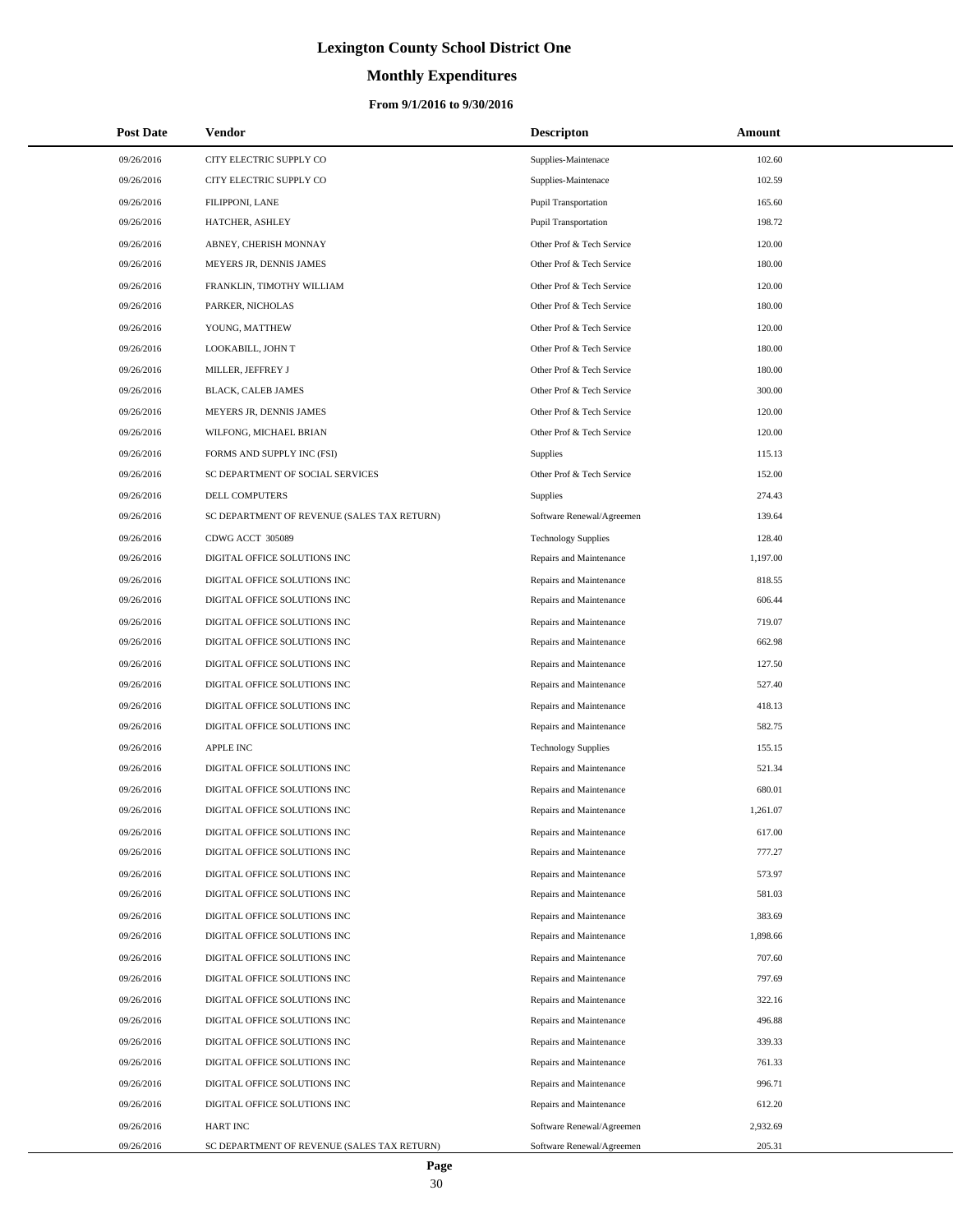# **Monthly Expenditures**

### **From 9/1/2016 to 9/30/2016**

| <b>Post Date</b> | <b>Vendor</b>                               | <b>Descripton</b>           | Amount   |
|------------------|---------------------------------------------|-----------------------------|----------|
| 09/26/2016       | CITY ELECTRIC SUPPLY CO                     | Supplies-Maintenace         | 102.60   |
| 09/26/2016       | CITY ELECTRIC SUPPLY CO                     | Supplies-Maintenace         | 102.59   |
| 09/26/2016       | FILIPPONI, LANE                             | <b>Pupil Transportation</b> | 165.60   |
| 09/26/2016       | HATCHER, ASHLEY                             | <b>Pupil Transportation</b> | 198.72   |
| 09/26/2016       | ABNEY, CHERISH MONNAY                       | Other Prof & Tech Service   | 120.00   |
| 09/26/2016       | MEYERS JR, DENNIS JAMES                     | Other Prof & Tech Service   | 180.00   |
| 09/26/2016       | FRANKLIN, TIMOTHY WILLIAM                   | Other Prof & Tech Service   | 120.00   |
| 09/26/2016       | PARKER, NICHOLAS                            | Other Prof & Tech Service   | 180.00   |
| 09/26/2016       | YOUNG, MATTHEW                              | Other Prof & Tech Service   | 120.00   |
| 09/26/2016       | LOOKABILL, JOHN T                           | Other Prof & Tech Service   | 180.00   |
| 09/26/2016       | MILLER, JEFFREY J                           | Other Prof & Tech Service   | 180.00   |
| 09/26/2016       | BLACK, CALEB JAMES                          | Other Prof & Tech Service   | 300.00   |
| 09/26/2016       | MEYERS JR, DENNIS JAMES                     | Other Prof & Tech Service   | 120.00   |
| 09/26/2016       | WILFONG, MICHAEL BRIAN                      | Other Prof & Tech Service   | 120.00   |
| 09/26/2016       | FORMS AND SUPPLY INC (FSI)                  | Supplies                    | 115.13   |
| 09/26/2016       | SC DEPARTMENT OF SOCIAL SERVICES            | Other Prof & Tech Service   | 152.00   |
| 09/26/2016       | DELL COMPUTERS                              | Supplies                    | 274.43   |
| 09/26/2016       | SC DEPARTMENT OF REVENUE (SALES TAX RETURN) | Software Renewal/Agreemen   | 139.64   |
| 09/26/2016       | CDWG ACCT 305089                            | <b>Technology Supplies</b>  | 128.40   |
| 09/26/2016       | DIGITAL OFFICE SOLUTIONS INC                | Repairs and Maintenance     | 1,197.00 |
| 09/26/2016       | DIGITAL OFFICE SOLUTIONS INC                | Repairs and Maintenance     | 818.55   |
| 09/26/2016       | DIGITAL OFFICE SOLUTIONS INC                | Repairs and Maintenance     | 606.44   |
| 09/26/2016       | DIGITAL OFFICE SOLUTIONS INC                | Repairs and Maintenance     | 719.07   |
| 09/26/2016       | DIGITAL OFFICE SOLUTIONS INC                | Repairs and Maintenance     | 662.98   |
| 09/26/2016       | DIGITAL OFFICE SOLUTIONS INC                | Repairs and Maintenance     | 127.50   |
| 09/26/2016       | DIGITAL OFFICE SOLUTIONS INC                | Repairs and Maintenance     | 527.40   |
| 09/26/2016       | DIGITAL OFFICE SOLUTIONS INC                | Repairs and Maintenance     | 418.13   |
| 09/26/2016       | DIGITAL OFFICE SOLUTIONS INC                | Repairs and Maintenance     | 582.75   |
| 09/26/2016       | <b>APPLE INC</b>                            | <b>Technology Supplies</b>  | 155.15   |
| 09/26/2016       | DIGITAL OFFICE SOLUTIONS INC                | Repairs and Maintenance     | 521.34   |
| 09/26/2016       | DIGITAL OFFICE SOLUTIONS INC                | Repairs and Maintenance     | 680.01   |
| 09/26/2016       | DIGITAL OFFICE SOLUTIONS INC                | Repairs and Maintenance     | 1,261.07 |
| 09/26/2016       | DIGITAL OFFICE SOLUTIONS INC                | Repairs and Maintenance     | 617.00   |
| 09/26/2016       | DIGITAL OFFICE SOLUTIONS INC                | Repairs and Maintenance     | 777.27   |
| 09/26/2016       | DIGITAL OFFICE SOLUTIONS INC                | Repairs and Maintenance     | 573.97   |
| 09/26/2016       | DIGITAL OFFICE SOLUTIONS INC                | Repairs and Maintenance     | 581.03   |
| 09/26/2016       | DIGITAL OFFICE SOLUTIONS INC                | Repairs and Maintenance     | 383.69   |
| 09/26/2016       | DIGITAL OFFICE SOLUTIONS INC                | Repairs and Maintenance     | 1,898.66 |
| 09/26/2016       | DIGITAL OFFICE SOLUTIONS INC                | Repairs and Maintenance     | 707.60   |
| 09/26/2016       | DIGITAL OFFICE SOLUTIONS INC                | Repairs and Maintenance     | 797.69   |
| 09/26/2016       | DIGITAL OFFICE SOLUTIONS INC                | Repairs and Maintenance     | 322.16   |
| 09/26/2016       | DIGITAL OFFICE SOLUTIONS INC                | Repairs and Maintenance     | 496.88   |
| 09/26/2016       | DIGITAL OFFICE SOLUTIONS INC                | Repairs and Maintenance     | 339.33   |
| 09/26/2016       | DIGITAL OFFICE SOLUTIONS INC                | Repairs and Maintenance     | 761.33   |
| 09/26/2016       | DIGITAL OFFICE SOLUTIONS INC                | Repairs and Maintenance     | 996.71   |
| 09/26/2016       | DIGITAL OFFICE SOLUTIONS INC                | Repairs and Maintenance     | 612.20   |
| 09/26/2016       | <b>HART INC</b>                             | Software Renewal/Agreemen   | 2,932.69 |
| 09/26/2016       | SC DEPARTMENT OF REVENUE (SALES TAX RETURN) | Software Renewal/Agreemen   | 205.31   |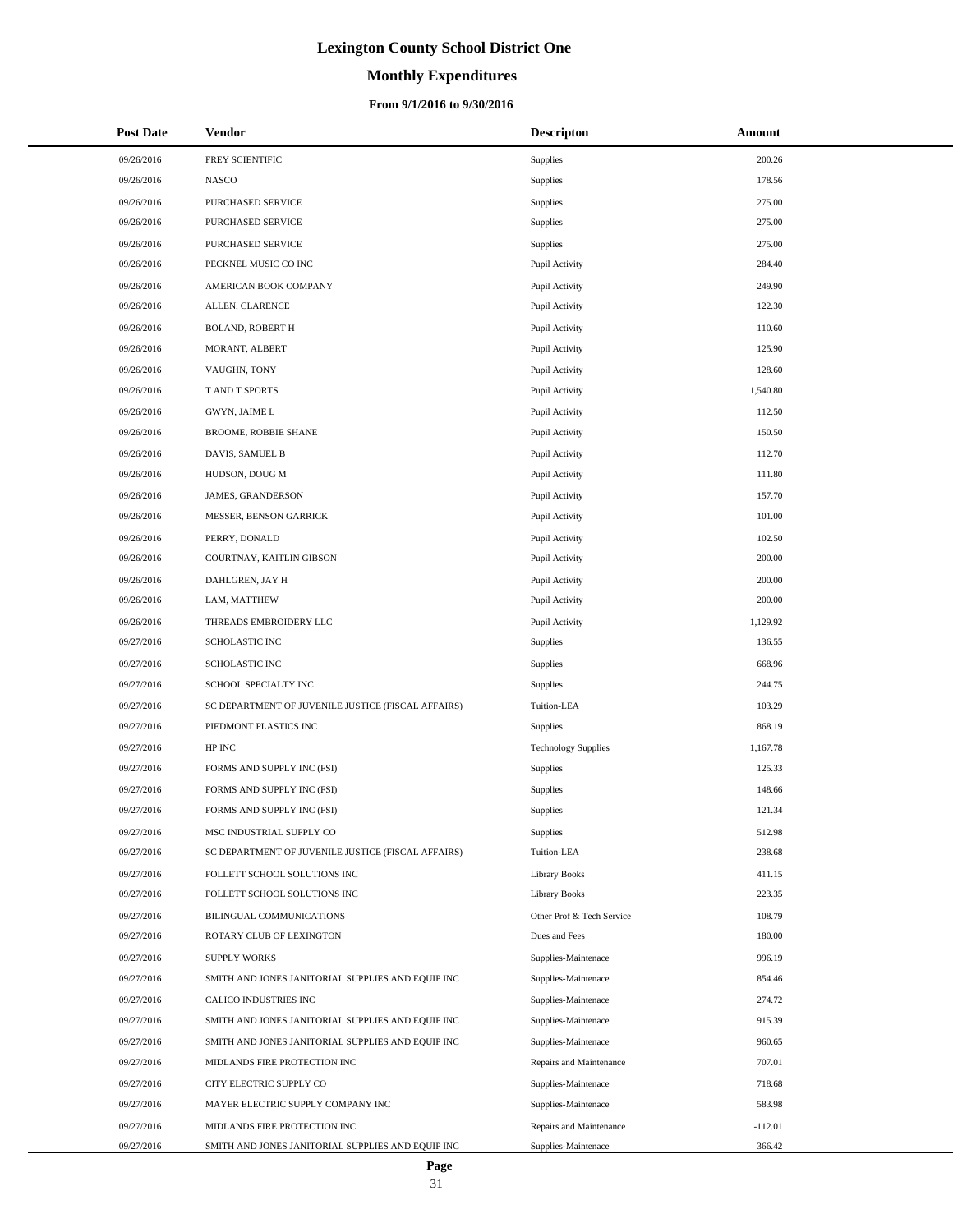# **Monthly Expenditures**

| <b>Post Date</b> | Vendor                                             | <b>Descripton</b>          | Amount    |
|------------------|----------------------------------------------------|----------------------------|-----------|
| 09/26/2016       | FREY SCIENTIFIC                                    | <b>Supplies</b>            | 200.26    |
| 09/26/2016       | <b>NASCO</b>                                       | <b>Supplies</b>            | 178.56    |
| 09/26/2016       | PURCHASED SERVICE                                  | <b>Supplies</b>            | 275.00    |
| 09/26/2016       | PURCHASED SERVICE                                  | <b>Supplies</b>            | 275.00    |
| 09/26/2016       | PURCHASED SERVICE                                  | <b>Supplies</b>            | 275.00    |
| 09/26/2016       | PECKNEL MUSIC CO INC                               | Pupil Activity             | 284.40    |
| 09/26/2016       | AMERICAN BOOK COMPANY                              | Pupil Activity             | 249.90    |
| 09/26/2016       | ALLEN, CLARENCE                                    | Pupil Activity             | 122.30    |
| 09/26/2016       | <b>BOLAND, ROBERT H</b>                            | Pupil Activity             | 110.60    |
| 09/26/2016       | MORANT, ALBERT                                     | Pupil Activity             | 125.90    |
| 09/26/2016       | VAUGHN, TONY                                       | Pupil Activity             | 128.60    |
| 09/26/2016       | T AND T SPORTS                                     | Pupil Activity             | 1,540.80  |
| 09/26/2016       | GWYN, JAIME L                                      | Pupil Activity             | 112.50    |
| 09/26/2016       | BROOME, ROBBIE SHANE                               | Pupil Activity             | 150.50    |
| 09/26/2016       | DAVIS, SAMUEL B                                    | Pupil Activity             | 112.70    |
| 09/26/2016       | HUDSON, DOUG M                                     | Pupil Activity             | 111.80    |
| 09/26/2016       | JAMES, GRANDERSON                                  | Pupil Activity             | 157.70    |
| 09/26/2016       | MESSER, BENSON GARRICK                             | Pupil Activity             | 101.00    |
| 09/26/2016       | PERRY, DONALD                                      | Pupil Activity             | 102.50    |
| 09/26/2016       | COURTNAY, KAITLIN GIBSON                           | Pupil Activity             | 200.00    |
| 09/26/2016       | DAHLGREN, JAY H                                    | Pupil Activity             | 200.00    |
| 09/26/2016       | LAM, MATTHEW                                       | Pupil Activity             | 200.00    |
| 09/26/2016       | THREADS EMBROIDERY LLC                             | Pupil Activity             | 1,129.92  |
| 09/27/2016       | SCHOLASTIC INC                                     | <b>Supplies</b>            | 136.55    |
| 09/27/2016       | <b>SCHOLASTIC INC</b>                              | <b>Supplies</b>            | 668.96    |
| 09/27/2016       | SCHOOL SPECIALTY INC                               | <b>Supplies</b>            | 244.75    |
| 09/27/2016       | SC DEPARTMENT OF JUVENILE JUSTICE (FISCAL AFFAIRS) | Tuition-LEA                | 103.29    |
| 09/27/2016       | PIEDMONT PLASTICS INC                              | <b>Supplies</b>            | 868.19    |
| 09/27/2016       | HP INC                                             | <b>Technology Supplies</b> | 1,167.78  |
| 09/27/2016       | FORMS AND SUPPLY INC (FSI)                         | <b>Supplies</b>            | 125.33    |
| 09/27/2016       | FORMS AND SUPPLY INC (FSI)                         | <b>Supplies</b>            | 148.66    |
| 09/27/2016       | FORMS AND SUPPLY INC (FSI)                         | <b>Supplies</b>            | 121.34    |
| 09/27/2016       | MSC INDUSTRIAL SUPPLY CO                           | <b>Supplies</b>            | 512.98    |
| 09/27/2016       | SC DEPARTMENT OF JUVENILE JUSTICE (FISCAL AFFAIRS) | Tuition-LEA                | 238.68    |
| 09/27/2016       | FOLLETT SCHOOL SOLUTIONS INC                       | <b>Library Books</b>       | 411.15    |
| 09/27/2016       | FOLLETT SCHOOL SOLUTIONS INC                       | <b>Library Books</b>       | 223.35    |
| 09/27/2016       | BILINGUAL COMMUNICATIONS                           | Other Prof & Tech Service  | 108.79    |
| 09/27/2016       | ROTARY CLUB OF LEXINGTON                           | Dues and Fees              | 180.00    |
| 09/27/2016       | <b>SUPPLY WORKS</b>                                | Supplies-Maintenace        | 996.19    |
| 09/27/2016       | SMITH AND JONES JANITORIAL SUPPLIES AND EQUIP INC  | Supplies-Maintenace        | 854.46    |
| 09/27/2016       | CALICO INDUSTRIES INC                              | Supplies-Maintenace        | 274.72    |
| 09/27/2016       | SMITH AND JONES JANITORIAL SUPPLIES AND EQUIP INC  | Supplies-Maintenace        | 915.39    |
| 09/27/2016       | SMITH AND JONES JANITORIAL SUPPLIES AND EQUIP INC  | Supplies-Maintenace        | 960.65    |
| 09/27/2016       | MIDLANDS FIRE PROTECTION INC                       | Repairs and Maintenance    | 707.01    |
| 09/27/2016       | CITY ELECTRIC SUPPLY CO                            | Supplies-Maintenace        | 718.68    |
| 09/27/2016       | MAYER ELECTRIC SUPPLY COMPANY INC                  | Supplies-Maintenace        | 583.98    |
| 09/27/2016       | MIDLANDS FIRE PROTECTION INC                       | Repairs and Maintenance    | $-112.01$ |
| 09/27/2016       | SMITH AND JONES JANITORIAL SUPPLIES AND EQUIP INC  | Supplies-Maintenace        | 366.42    |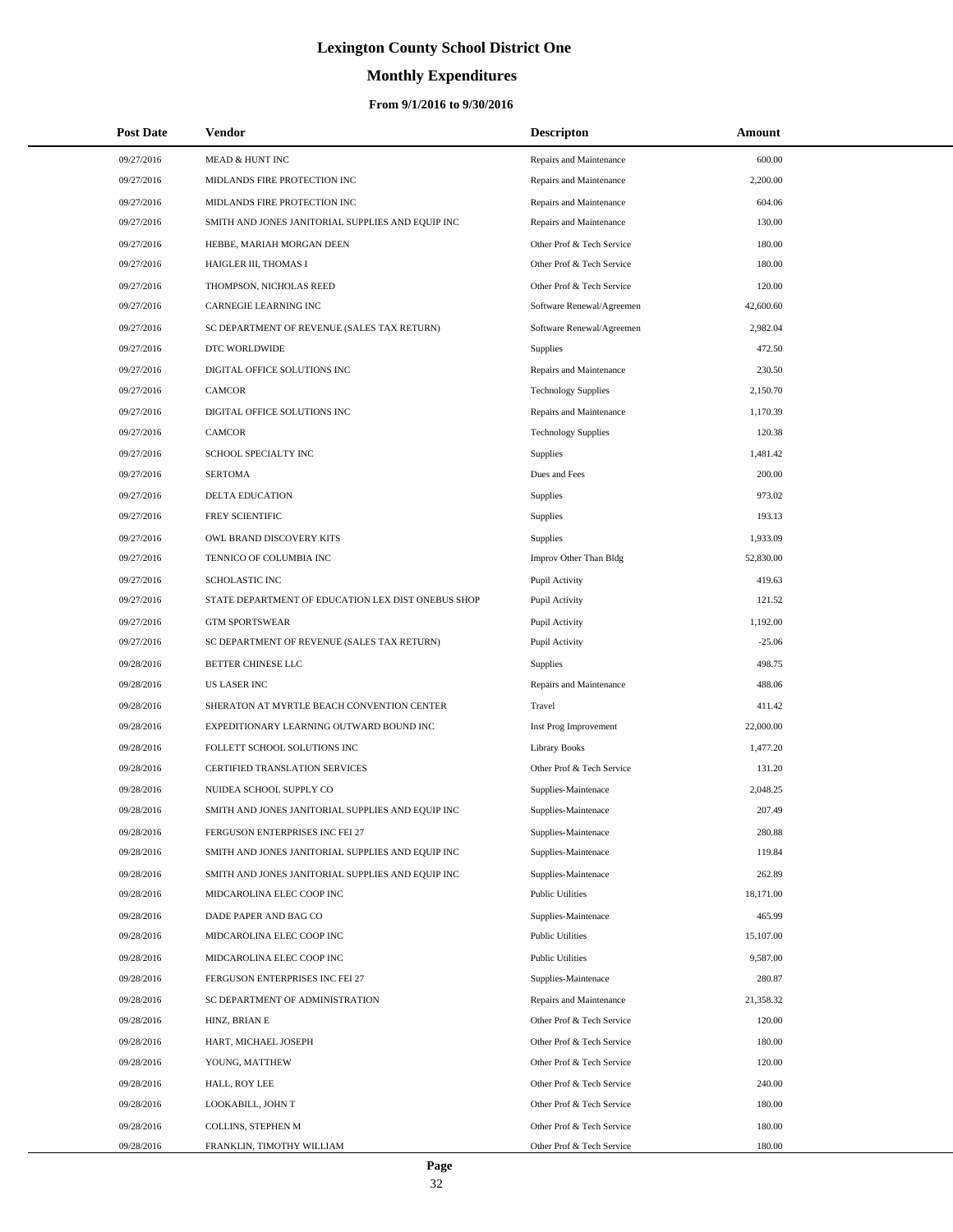# **Monthly Expenditures**

| <b>Post Date</b> | Vendor                                             | <b>Descripton</b>          | Amount    |
|------------------|----------------------------------------------------|----------------------------|-----------|
| 09/27/2016       | MEAD & HUNT INC                                    | Repairs and Maintenance    | 600.00    |
| 09/27/2016       | MIDLANDS FIRE PROTECTION INC                       | Repairs and Maintenance    | 2,200.00  |
| 09/27/2016       | MIDLANDS FIRE PROTECTION INC                       | Repairs and Maintenance    | 604.06    |
| 09/27/2016       | SMITH AND JONES JANITORIAL SUPPLIES AND EQUIP INC  | Repairs and Maintenance    | 130.00    |
| 09/27/2016       | HEBBE, MARIAH MORGAN DEEN                          | Other Prof & Tech Service  | 180.00    |
| 09/27/2016       | HAIGLER III, THOMAS I                              | Other Prof & Tech Service  | 180.00    |
| 09/27/2016       | THOMPSON, NICHOLAS REED                            | Other Prof & Tech Service  | 120.00    |
| 09/27/2016       | <b>CARNEGIE LEARNING INC</b>                       | Software Renewal/Agreemen  | 42,600.60 |
| 09/27/2016       | SC DEPARTMENT OF REVENUE (SALES TAX RETURN)        | Software Renewal/Agreemen  | 2,982.04  |
| 09/27/2016       | DTC WORLDWIDE                                      | Supplies                   | 472.50    |
| 09/27/2016       | DIGITAL OFFICE SOLUTIONS INC                       | Repairs and Maintenance    | 230.50    |
| 09/27/2016       | <b>CAMCOR</b>                                      | <b>Technology Supplies</b> | 2,150.70  |
| 09/27/2016       | DIGITAL OFFICE SOLUTIONS INC                       | Repairs and Maintenance    | 1,170.39  |
| 09/27/2016       | <b>CAMCOR</b>                                      | <b>Technology Supplies</b> | 120.38    |
| 09/27/2016       | SCHOOL SPECIALTY INC                               | Supplies                   | 1,481.42  |
| 09/27/2016       | <b>SERTOMA</b>                                     | Dues and Fees              | 200.00    |
| 09/27/2016       | DELTA EDUCATION                                    | Supplies                   | 973.02    |
| 09/27/2016       | FREY SCIENTIFIC                                    | Supplies                   | 193.13    |
| 09/27/2016       | OWL BRAND DISCOVERY KITS                           | Supplies                   | 1,933.09  |
| 09/27/2016       | TENNICO OF COLUMBIA INC                            | Improv Other Than Bldg     | 52,830.00 |
| 09/27/2016       | <b>SCHOLASTIC INC</b>                              | Pupil Activity             | 419.63    |
| 09/27/2016       | STATE DEPARTMENT OF EDUCATION LEX DIST ONEBUS SHOP | Pupil Activity             | 121.52    |
| 09/27/2016       | <b>GTM SPORTSWEAR</b>                              | Pupil Activity             | 1,192.00  |
| 09/27/2016       | SC DEPARTMENT OF REVENUE (SALES TAX RETURN)        | Pupil Activity             | $-25.06$  |
| 09/28/2016       | BETTER CHINESE LLC                                 | Supplies                   | 498.75    |
| 09/28/2016       | <b>US LASER INC</b>                                | Repairs and Maintenance    | 488.06    |
| 09/28/2016       | SHERATON AT MYRTLE BEACH CONVENTION CENTER         | Travel                     | 411.42    |
| 09/28/2016       | EXPEDITIONARY LEARNING OUTWARD BOUND INC           | Inst Prog Improvement      | 22,000.00 |
| 09/28/2016       | FOLLETT SCHOOL SOLUTIONS INC                       | <b>Library Books</b>       | 1,477.20  |
| 09/28/2016       | <b>CERTIFIED TRANSLATION SERVICES</b>              | Other Prof & Tech Service  | 131.20    |
| 09/28/2016       | NUIDEA SCHOOL SUPPLY CO                            | Supplies-Maintenace        | 2,048.25  |
| 09/28/2016       | SMITH AND JONES JANITORIAL SUPPLIES AND EQUIP INC  | Supplies-Maintenace        | 207.49    |
| 09/28/2016       | FERGUSON ENTERPRISES INC FEI 27                    | Supplies-Maintenace        | 280.88    |
| 09/28/2016       | SMITH AND JONES JANITORIAL SUPPLIES AND EQUIP INC  | Supplies-Maintenace        | 119.84    |
| 09/28/2016       | SMITH AND JONES JANITORIAL SUPPLIES AND EQUIP INC  | Supplies-Maintenace        | 262.89    |
| 09/28/2016       | MIDCAROLINA ELEC COOP INC                          | <b>Public Utilities</b>    | 18,171.00 |
| 09/28/2016       | DADE PAPER AND BAG CO                              | Supplies-Maintenace        | 465.99    |
| 09/28/2016       | MIDCAROLINA ELEC COOP INC                          | <b>Public Utilities</b>    | 15,107.00 |
| 09/28/2016       | MIDCAROLINA ELEC COOP INC                          | <b>Public Utilities</b>    | 9,587.00  |
| 09/28/2016       | FERGUSON ENTERPRISES INC FEI 27                    | Supplies-Maintenace        | 280.87    |
| 09/28/2016       | SC DEPARTMENT OF ADMINISTRATION                    | Repairs and Maintenance    | 21,358.32 |
| 09/28/2016       | HINZ, BRIAN E                                      | Other Prof & Tech Service  | 120.00    |
| 09/28/2016       | HART, MICHAEL JOSEPH                               | Other Prof & Tech Service  | 180.00    |
| 09/28/2016       | YOUNG, MATTHEW                                     | Other Prof & Tech Service  | 120.00    |
| 09/28/2016       | HALL, ROY LEE                                      | Other Prof & Tech Service  | 240.00    |
| 09/28/2016       | LOOKABILL, JOHN T                                  | Other Prof & Tech Service  | 180.00    |
| 09/28/2016       | COLLINS, STEPHEN M                                 | Other Prof & Tech Service  | 180.00    |
| 09/28/2016       | FRANKLIN, TIMOTHY WILLIAM                          | Other Prof & Tech Service  | 180.00    |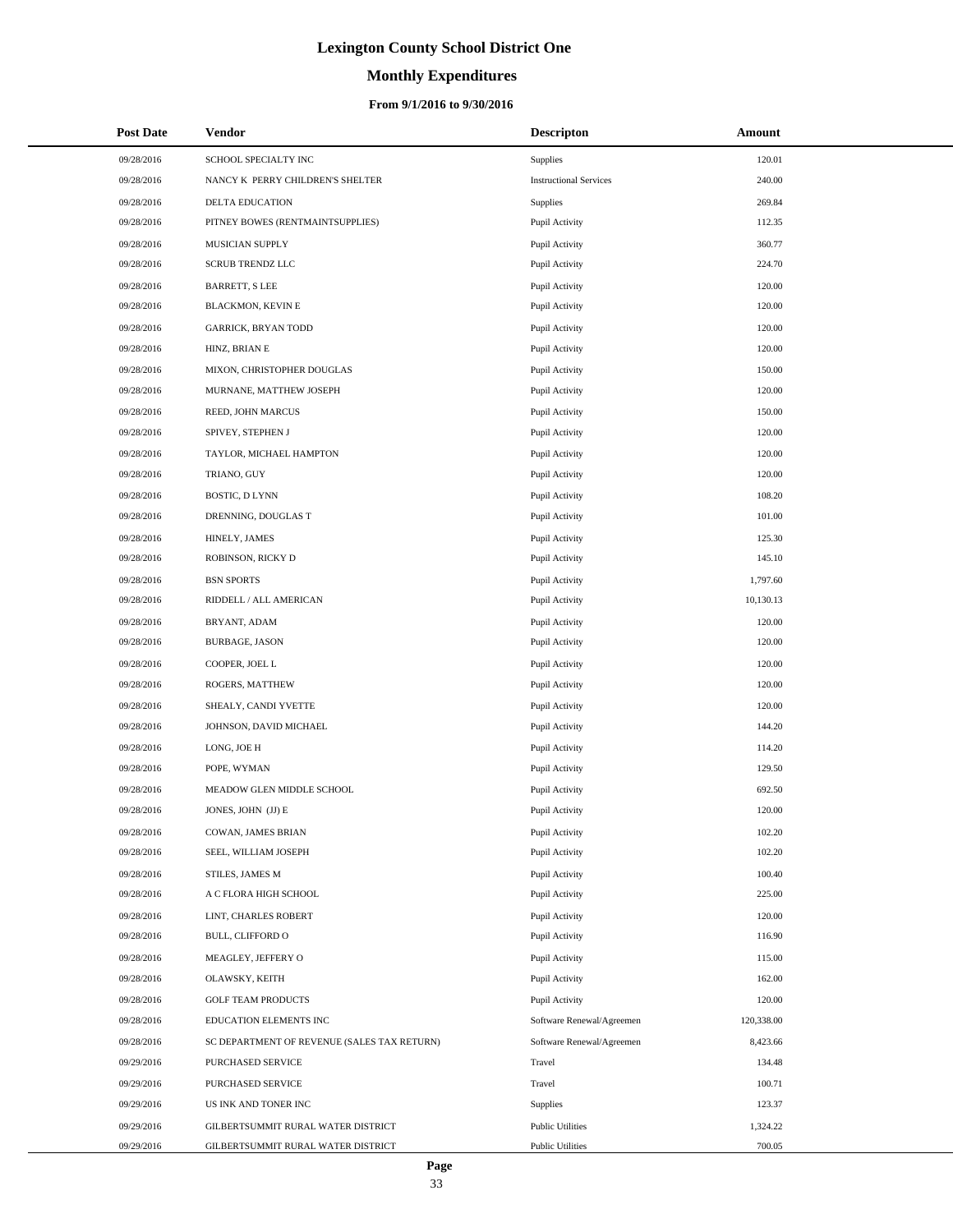# **Monthly Expenditures**

### **From 9/1/2016 to 9/30/2016**

| <b>Post Date</b> | Vendor                                      | <b>Descripton</b>             | Amount     |
|------------------|---------------------------------------------|-------------------------------|------------|
| 09/28/2016       | SCHOOL SPECIALTY INC                        | Supplies                      | 120.01     |
| 09/28/2016       | NANCY K PERRY CHILDREN'S SHELTER            | <b>Instructional Services</b> | 240.00     |
| 09/28/2016       | DELTA EDUCATION                             | Supplies                      | 269.84     |
| 09/28/2016       | PITNEY BOWES (RENTMAINTSUPPLIES)            | Pupil Activity                | 112.35     |
| 09/28/2016       | MUSICIAN SUPPLY                             | Pupil Activity                | 360.77     |
| 09/28/2016       | <b>SCRUB TRENDZ LLC</b>                     | Pupil Activity                | 224.70     |
| 09/28/2016       | <b>BARRETT, S LEE</b>                       | Pupil Activity                | 120.00     |
| 09/28/2016       | BLACKMON, KEVIN E                           | Pupil Activity                | 120.00     |
| 09/28/2016       | <b>GARRICK, BRYAN TODD</b>                  | Pupil Activity                | 120.00     |
| 09/28/2016       | HINZ, BRIAN E                               | Pupil Activity                | 120.00     |
| 09/28/2016       | MIXON, CHRISTOPHER DOUGLAS                  | Pupil Activity                | 150.00     |
| 09/28/2016       | MURNANE, MATTHEW JOSEPH                     | Pupil Activity                | 120.00     |
| 09/28/2016       | REED, JOHN MARCUS                           | Pupil Activity                | 150.00     |
| 09/28/2016       | SPIVEY, STEPHEN J                           | Pupil Activity                | 120.00     |
| 09/28/2016       | TAYLOR, MICHAEL HAMPTON                     | Pupil Activity                | 120.00     |
| 09/28/2016       | TRIANO, GUY                                 | Pupil Activity                | 120.00     |
| 09/28/2016       | BOSTIC, D LYNN                              | Pupil Activity                | 108.20     |
| 09/28/2016       | DRENNING, DOUGLAS T                         | Pupil Activity                | 101.00     |
| 09/28/2016       | HINELY, JAMES                               | Pupil Activity                | 125.30     |
| 09/28/2016       | ROBINSON, RICKY D                           | Pupil Activity                | 145.10     |
| 09/28/2016       | <b>BSN SPORTS</b>                           | Pupil Activity                | 1,797.60   |
| 09/28/2016       | RIDDELL / ALL AMERICAN                      | Pupil Activity                | 10,130.13  |
| 09/28/2016       | BRYANT, ADAM                                | Pupil Activity                | 120.00     |
| 09/28/2016       | <b>BURBAGE, JASON</b>                       | Pupil Activity                | 120.00     |
| 09/28/2016       | COOPER, JOEL L                              | Pupil Activity                | 120.00     |
| 09/28/2016       | ROGERS, MATTHEW                             | Pupil Activity                | 120.00     |
| 09/28/2016       | SHEALY, CANDI YVETTE                        | Pupil Activity                | 120.00     |
| 09/28/2016       | JOHNSON, DAVID MICHAEL                      | Pupil Activity                | 144.20     |
| 09/28/2016       | LONG, JOE H                                 | Pupil Activity                | 114.20     |
| 09/28/2016       | POPE, WYMAN                                 | Pupil Activity                | 129.50     |
| 09/28/2016       | MEADOW GLEN MIDDLE SCHOOL                   | Pupil Activity                | 692.50     |
| 09/28/2016       | JONES, JOHN (JJ) E                          | Pupil Activity                | 120.00     |
| 09/28/2016       | COWAN, JAMES BRIAN                          | Pupil Activity                | 102.20     |
| 09/28/2016       | SEEL, WILLIAM JOSEPH                        | Pupil Activity                | 102.20     |
| 09/28/2016       | STILES, JAMES M                             | Pupil Activity                | 100.40     |
| 09/28/2016       | A C FLORA HIGH SCHOOL                       | Pupil Activity                | 225.00     |
| 09/28/2016       | LINT, CHARLES ROBERT                        | Pupil Activity                | 120.00     |
| 09/28/2016       | <b>BULL, CLIFFORD O</b>                     | Pupil Activity                | 116.90     |
| 09/28/2016       | MEAGLEY, JEFFERY O                          | Pupil Activity                | 115.00     |
| 09/28/2016       | <b>OLAWSKY, KEITH</b>                       | Pupil Activity                | 162.00     |
| 09/28/2016       | <b>GOLF TEAM PRODUCTS</b>                   | Pupil Activity                | 120.00     |
| 09/28/2016       | EDUCATION ELEMENTS INC                      | Software Renewal/Agreemen     | 120,338.00 |
| 09/28/2016       | SC DEPARTMENT OF REVENUE (SALES TAX RETURN) | Software Renewal/Agreemen     | 8,423.66   |
| 09/29/2016       | PURCHASED SERVICE                           | Travel                        | 134.48     |
| 09/29/2016       | PURCHASED SERVICE                           | Travel                        | 100.71     |
| 09/29/2016       | US INK AND TONER INC                        | Supplies                      | 123.37     |
| 09/29/2016       | GILBERTSUMMIT RURAL WATER DISTRICT          | <b>Public Utilities</b>       | 1,324.22   |
| 09/29/2016       | GILBERTSUMMIT RURAL WATER DISTRICT          | <b>Public Utilities</b>       | 700.05     |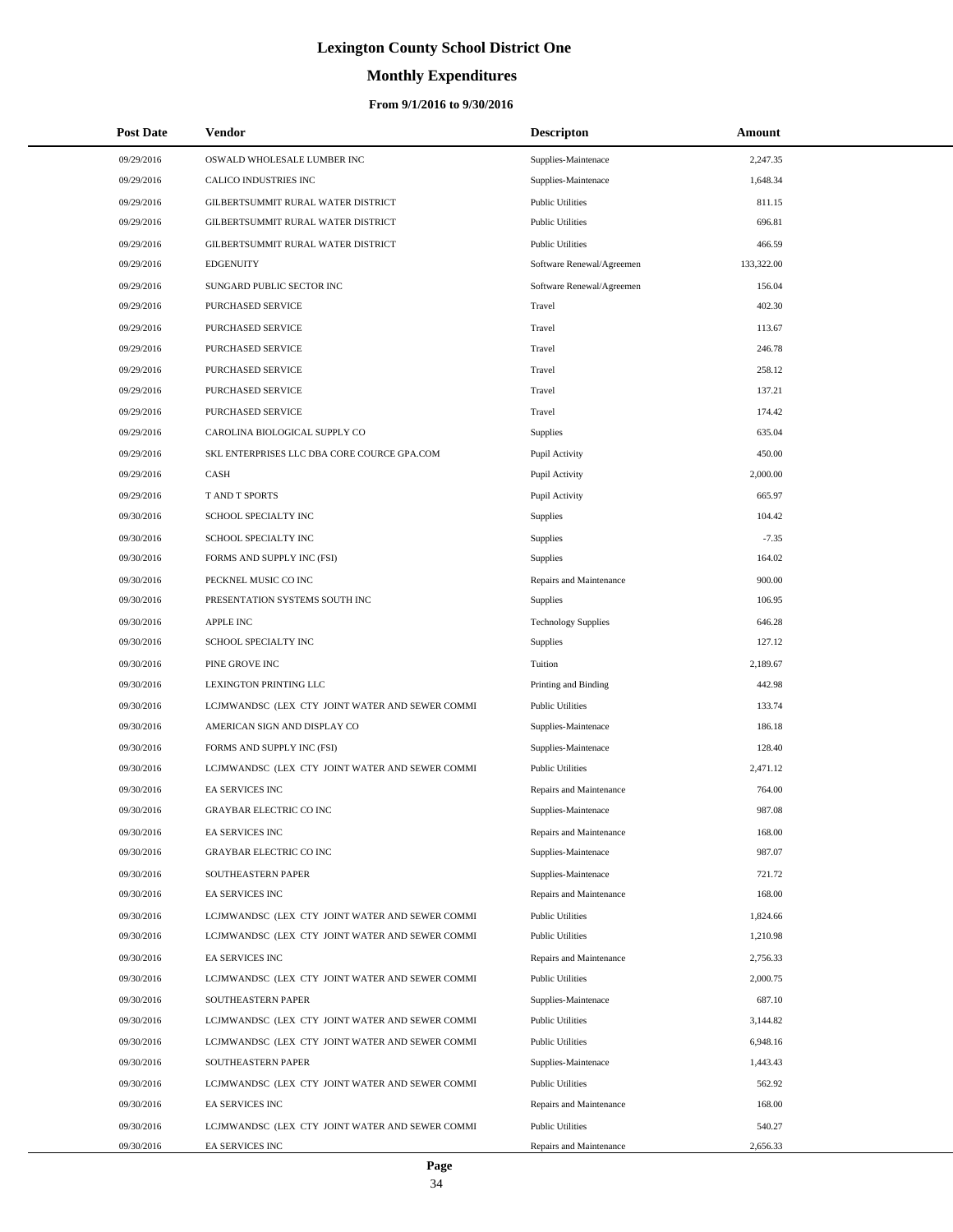# **Monthly Expenditures**

| <b>Post Date</b>         | Vendor                                                             | <b>Descripton</b>                                  | Amount             |
|--------------------------|--------------------------------------------------------------------|----------------------------------------------------|--------------------|
| 09/29/2016               | OSWALD WHOLESALE LUMBER INC                                        | Supplies-Maintenace                                | 2,247.35           |
| 09/29/2016               | CALICO INDUSTRIES INC                                              | Supplies-Maintenace                                | 1,648.34           |
| 09/29/2016               | GILBERTSUMMIT RURAL WATER DISTRICT                                 | <b>Public Utilities</b>                            | 811.15             |
| 09/29/2016               | GILBERTSUMMIT RURAL WATER DISTRICT                                 | <b>Public Utilities</b>                            | 696.81             |
| 09/29/2016               | GILBERTSUMMIT RURAL WATER DISTRICT                                 | <b>Public Utilities</b>                            | 466.59             |
| 09/29/2016               | <b>EDGENUITY</b>                                                   | Software Renewal/Agreemen                          | 133,322.00         |
| 09/29/2016               | SUNGARD PUBLIC SECTOR INC                                          | Software Renewal/Agreemen                          | 156.04             |
| 09/29/2016               | PURCHASED SERVICE                                                  | Travel                                             | 402.30             |
| 09/29/2016               | PURCHASED SERVICE                                                  | Travel                                             | 113.67             |
| 09/29/2016               | PURCHASED SERVICE                                                  | Travel                                             | 246.78             |
| 09/29/2016               | PURCHASED SERVICE                                                  | Travel                                             | 258.12             |
| 09/29/2016               | PURCHASED SERVICE                                                  | Travel                                             | 137.21             |
| 09/29/2016               | PURCHASED SERVICE                                                  | Travel                                             | 174.42             |
| 09/29/2016               | CAROLINA BIOLOGICAL SUPPLY CO                                      | Supplies                                           | 635.04             |
| 09/29/2016               | SKL ENTERPRISES LLC DBA CORE COURCE GPA.COM                        | Pupil Activity                                     | 450.00             |
| 09/29/2016               | CASH                                                               | Pupil Activity                                     | 2,000.00           |
| 09/29/2016               | T AND T SPORTS                                                     | Pupil Activity                                     | 665.97             |
| 09/30/2016               | SCHOOL SPECIALTY INC                                               | Supplies                                           | 104.42             |
| 09/30/2016               | SCHOOL SPECIALTY INC                                               | Supplies                                           | $-7.35$            |
| 09/30/2016               | FORMS AND SUPPLY INC (FSI)                                         | Supplies                                           | 164.02             |
| 09/30/2016               | PECKNEL MUSIC CO INC                                               | Repairs and Maintenance                            | 900.00             |
| 09/30/2016               | PRESENTATION SYSTEMS SOUTH INC                                     | Supplies                                           | 106.95             |
| 09/30/2016               | <b>APPLE INC</b>                                                   | <b>Technology Supplies</b>                         | 646.28             |
| 09/30/2016               | SCHOOL SPECIALTY INC                                               | Supplies                                           | 127.12             |
| 09/30/2016               | PINE GROVE INC                                                     | Tuition                                            | 2,189.67           |
| 09/30/2016               | LEXINGTON PRINTING LLC                                             | Printing and Binding                               | 442.98             |
| 09/30/2016               | LCJMWANDSC (LEX CTY JOINT WATER AND SEWER COMMI                    | <b>Public Utilities</b>                            | 133.74             |
| 09/30/2016               | AMERICAN SIGN AND DISPLAY CO                                       | Supplies-Maintenace                                | 186.18             |
| 09/30/2016               | FORMS AND SUPPLY INC (FSI)                                         | Supplies-Maintenace                                | 128.40             |
| 09/30/2016               | LCJMWANDSC (LEX CTY JOINT WATER AND SEWER COMMI                    | <b>Public Utilities</b>                            | 2,471.12           |
| 09/30/2016               | EA SERVICES INC                                                    | Repairs and Maintenance                            | 764.00             |
| 09/30/2016               | <b>GRAYBAR ELECTRIC CO INC</b>                                     | Supplies-Maintenace                                | 987.08             |
| 09/30/2016               | EA SERVICES INC                                                    | Repairs and Maintenance                            | 168.00             |
| 09/30/2016               | <b>GRAYBAR ELECTRIC CO INC</b>                                     | Supplies-Maintenace                                | 987.07             |
| 09/30/2016               | SOUTHEASTERN PAPER                                                 | Supplies-Maintenace                                | 721.72             |
| 09/30/2016               | EA SERVICES INC                                                    | Repairs and Maintenance                            | 168.00             |
| 09/30/2016               | LCJMWANDSC (LEX CTY JOINT WATER AND SEWER COMMI                    | <b>Public Utilities</b>                            | 1,824.66           |
| 09/30/2016               | LCJMWANDSC (LEX CTY JOINT WATER AND SEWER COMMI                    | <b>Public Utilities</b>                            | 1,210.98           |
| 09/30/2016               | EA SERVICES INC                                                    | Repairs and Maintenance                            | 2,756.33           |
| 09/30/2016               | LCJMWANDSC (LEX CTY JOINT WATER AND SEWER COMMI                    | <b>Public Utilities</b>                            | 2,000.75           |
| 09/30/2016               | SOUTHEASTERN PAPER                                                 | Supplies-Maintenace                                | 687.10             |
| 09/30/2016               | LCJMWANDSC (LEX CTY JOINT WATER AND SEWER COMMI                    | <b>Public Utilities</b>                            | 3,144.82           |
| 09/30/2016               | LCJMWANDSC (LEX CTY JOINT WATER AND SEWER COMMI                    | <b>Public Utilities</b>                            | 6,948.16           |
| 09/30/2016               | SOUTHEASTERN PAPER                                                 | Supplies-Maintenace                                | 1,443.43           |
| 09/30/2016               | LCJMWANDSC (LEX CTY JOINT WATER AND SEWER COMMI                    | <b>Public Utilities</b>                            | 562.92             |
| 09/30/2016               | EA SERVICES INC                                                    | Repairs and Maintenance                            | 168.00             |
| 09/30/2016<br>09/30/2016 | LCJMWANDSC (LEX CTY JOINT WATER AND SEWER COMMI<br>EA SERVICES INC | <b>Public Utilities</b><br>Repairs and Maintenance | 540.27<br>2,656.33 |
|                          |                                                                    |                                                    |                    |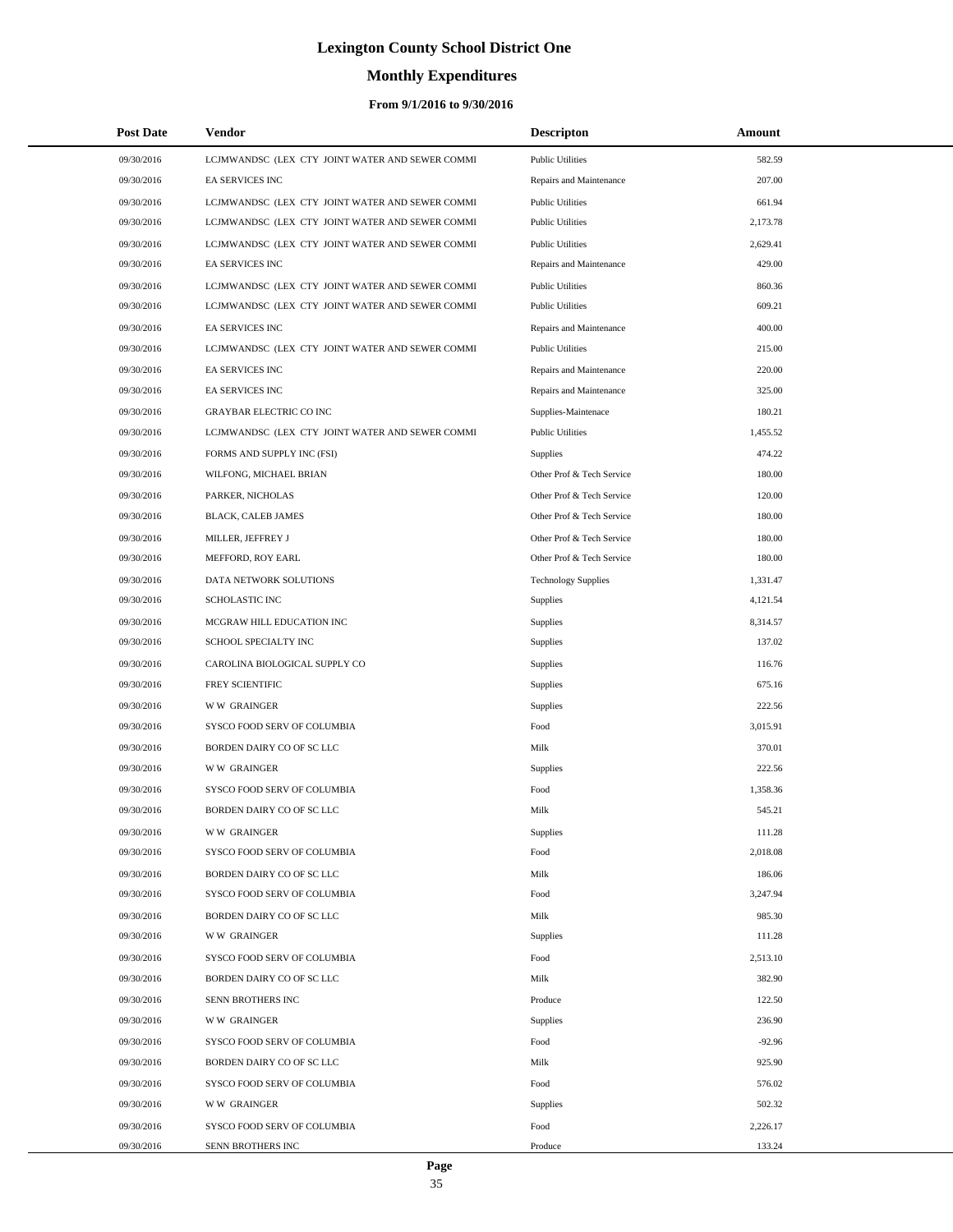# **Monthly Expenditures**

### **From 9/1/2016 to 9/30/2016**

| <b>Post Date</b> | <b>Vendor</b>                                   | <b>Descripton</b>          | Amount   |
|------------------|-------------------------------------------------|----------------------------|----------|
| 09/30/2016       | LCJMWANDSC (LEX CTY JOINT WATER AND SEWER COMMI | <b>Public Utilities</b>    | 582.59   |
| 09/30/2016       | EA SERVICES INC                                 | Repairs and Maintenance    | 207.00   |
| 09/30/2016       | LCJMWANDSC (LEX CTY JOINT WATER AND SEWER COMMI | <b>Public Utilities</b>    | 661.94   |
| 09/30/2016       | LCJMWANDSC (LEX CTY JOINT WATER AND SEWER COMMI | <b>Public Utilities</b>    | 2,173.78 |
| 09/30/2016       | LCJMWANDSC (LEX CTY JOINT WATER AND SEWER COMMI | <b>Public Utilities</b>    | 2,629.41 |
| 09/30/2016       | EA SERVICES INC                                 | Repairs and Maintenance    | 429.00   |
| 09/30/2016       | LCJMWANDSC (LEX CTY JOINT WATER AND SEWER COMMI | <b>Public Utilities</b>    | 860.36   |
| 09/30/2016       | LCJMWANDSC (LEX CTY JOINT WATER AND SEWER COMMI | <b>Public Utilities</b>    | 609.21   |
| 09/30/2016       | EA SERVICES INC                                 | Repairs and Maintenance    | 400.00   |
| 09/30/2016       | LCJMWANDSC (LEX CTY JOINT WATER AND SEWER COMMI | <b>Public Utilities</b>    | 215.00   |
| 09/30/2016       | EA SERVICES INC                                 | Repairs and Maintenance    | 220.00   |
| 09/30/2016       | EA SERVICES INC                                 | Repairs and Maintenance    | 325.00   |
| 09/30/2016       | <b>GRAYBAR ELECTRIC CO INC</b>                  | Supplies-Maintenace        | 180.21   |
| 09/30/2016       | LCJMWANDSC (LEX CTY JOINT WATER AND SEWER COMMI | <b>Public Utilities</b>    | 1,455.52 |
| 09/30/2016       | FORMS AND SUPPLY INC (FSI)                      | Supplies                   | 474.22   |
| 09/30/2016       | WILFONG, MICHAEL BRIAN                          | Other Prof & Tech Service  | 180.00   |
| 09/30/2016       | PARKER, NICHOLAS                                | Other Prof & Tech Service  | 120.00   |
| 09/30/2016       | BLACK, CALEB JAMES                              | Other Prof & Tech Service  | 180.00   |
| 09/30/2016       | MILLER, JEFFREY J                               | Other Prof & Tech Service  | 180.00   |
| 09/30/2016       | MEFFORD, ROY EARL                               | Other Prof & Tech Service  | 180.00   |
| 09/30/2016       | DATA NETWORK SOLUTIONS                          | <b>Technology Supplies</b> | 1,331.47 |
| 09/30/2016       | SCHOLASTIC INC                                  | <b>Supplies</b>            | 4,121.54 |
| 09/30/2016       | MCGRAW HILL EDUCATION INC                       | Supplies                   | 8,314.57 |
| 09/30/2016       | SCHOOL SPECIALTY INC                            | Supplies                   | 137.02   |
| 09/30/2016       | CAROLINA BIOLOGICAL SUPPLY CO                   | Supplies                   | 116.76   |
| 09/30/2016       | FREY SCIENTIFIC                                 | Supplies                   | 675.16   |
| 09/30/2016       | <b>WW GRAINGER</b>                              | Supplies                   | 222.56   |
| 09/30/2016       | SYSCO FOOD SERV OF COLUMBIA                     | Food                       | 3,015.91 |
| 09/30/2016       | BORDEN DAIRY CO OF SC LLC                       | Milk                       | 370.01   |
| 09/30/2016       | <b>WW GRAINGER</b>                              | Supplies                   | 222.56   |
| 09/30/2016       | SYSCO FOOD SERV OF COLUMBIA                     | Food                       | 1,358.36 |
| 09/30/2016       | BORDEN DAIRY CO OF SC LLC                       | Milk                       | 545.21   |
| 09/30/2016       | <b>WW GRAINGER</b>                              | Supplies                   | 111.28   |
| 09/30/2016       | SYSCO FOOD SERV OF COLUMBIA                     | Food                       | 2,018.08 |
| 09/30/2016       | BORDEN DAIRY CO OF SC LLC                       | Milk                       | 186.06   |
| 09/30/2016       | SYSCO FOOD SERV OF COLUMBIA                     | Food                       | 3,247.94 |
| 09/30/2016       | BORDEN DAIRY CO OF SC LLC                       | Milk                       | 985.30   |
| 09/30/2016       | <b>WW GRAINGER</b>                              | Supplies                   | 111.28   |
| 09/30/2016       | SYSCO FOOD SERV OF COLUMBIA                     | Food                       | 2,513.10 |
| 09/30/2016       | BORDEN DAIRY CO OF SC LLC                       | Milk                       | 382.90   |
| 09/30/2016       | SENN BROTHERS INC                               | Produce                    | 122.50   |
| 09/30/2016       | <b>WW GRAINGER</b>                              | Supplies                   | 236.90   |
| 09/30/2016       | SYSCO FOOD SERV OF COLUMBIA                     | Food                       | $-92.96$ |
| 09/30/2016       | BORDEN DAIRY CO OF SC LLC                       | Milk                       | 925.90   |
| 09/30/2016       | SYSCO FOOD SERV OF COLUMBIA                     | Food                       | 576.02   |
| 09/30/2016       | <b>WW GRAINGER</b>                              | Supplies                   | 502.32   |
| 09/30/2016       | SYSCO FOOD SERV OF COLUMBIA                     | Food                       | 2,226.17 |
| 09/30/2016       | SENN BROTHERS INC                               | Produce                    | 133.24   |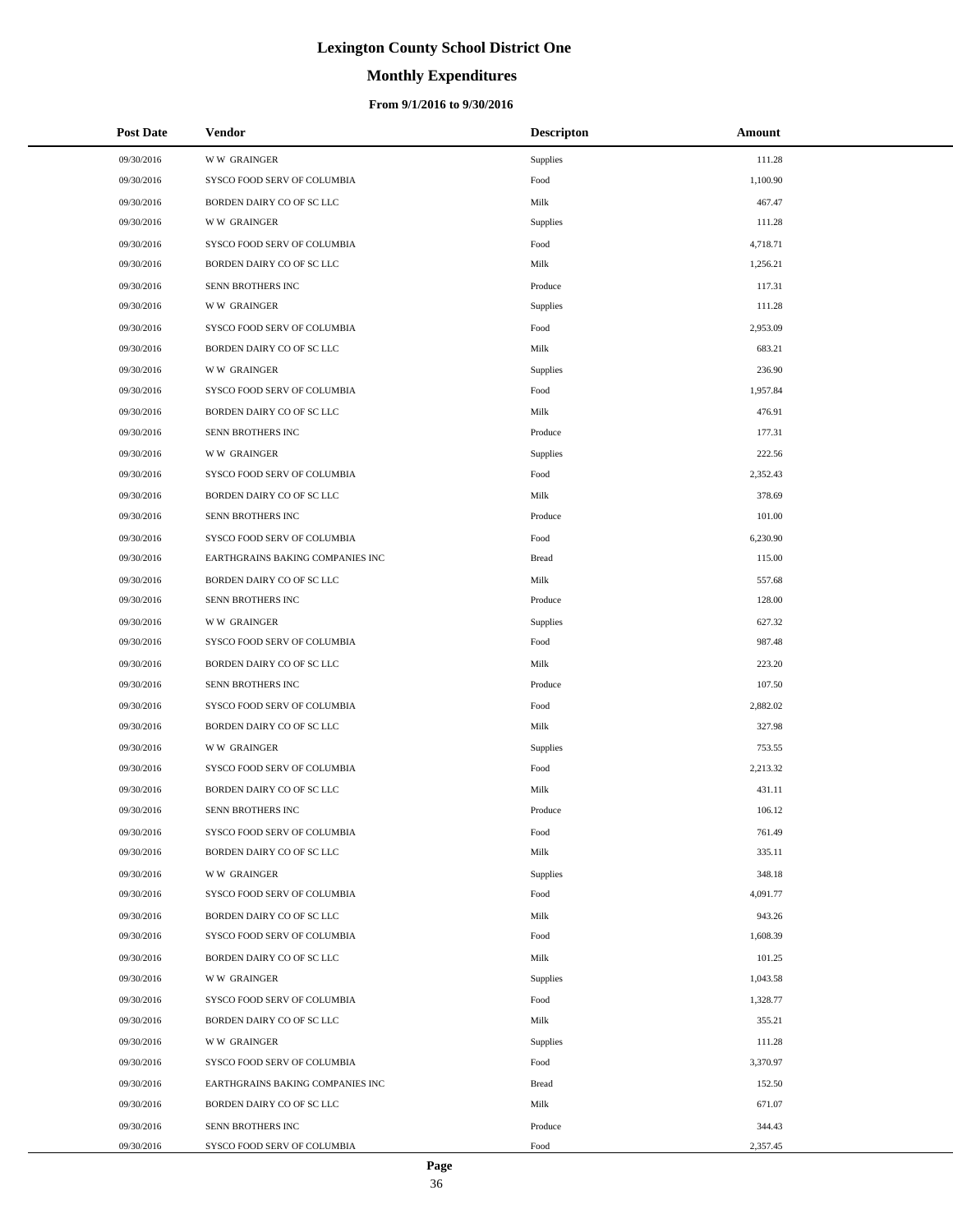# **Monthly Expenditures**

| <b>Post Date</b> | <b>Vendor</b>                    | <b>Descripton</b> | Amount   |
|------------------|----------------------------------|-------------------|----------|
| 09/30/2016       | <b>WW GRAINGER</b>               | Supplies          | 111.28   |
| 09/30/2016       | SYSCO FOOD SERV OF COLUMBIA      | Food              | 1,100.90 |
| 09/30/2016       | BORDEN DAIRY CO OF SC LLC        | Milk              | 467.47   |
| 09/30/2016       | <b>WW GRAINGER</b>               | Supplies          | 111.28   |
| 09/30/2016       | SYSCO FOOD SERV OF COLUMBIA      | Food              | 4,718.71 |
| 09/30/2016       | BORDEN DAIRY CO OF SC LLC        | Milk              | 1,256.21 |
| 09/30/2016       | SENN BROTHERS INC                | Produce           | 117.31   |
| 09/30/2016       | <b>WW GRAINGER</b>               | Supplies          | 111.28   |
| 09/30/2016       | SYSCO FOOD SERV OF COLUMBIA      | Food              | 2,953.09 |
| 09/30/2016       | BORDEN DAIRY CO OF SC LLC        | Milk              | 683.21   |
| 09/30/2016       | <b>WW GRAINGER</b>               | Supplies          | 236.90   |
| 09/30/2016       | SYSCO FOOD SERV OF COLUMBIA      | Food              | 1,957.84 |
| 09/30/2016       | BORDEN DAIRY CO OF SC LLC        | Milk              | 476.91   |
| 09/30/2016       | SENN BROTHERS INC                | Produce           | 177.31   |
| 09/30/2016       | <b>WW GRAINGER</b>               | Supplies          | 222.56   |
| 09/30/2016       | SYSCO FOOD SERV OF COLUMBIA      | Food              | 2,352.43 |
| 09/30/2016       | BORDEN DAIRY CO OF SC LLC        | Milk              | 378.69   |
| 09/30/2016       | SENN BROTHERS INC                | Produce           | 101.00   |
| 09/30/2016       | SYSCO FOOD SERV OF COLUMBIA      | Food              | 6,230.90 |
| 09/30/2016       | EARTHGRAINS BAKING COMPANIES INC | <b>Bread</b>      | 115.00   |
| 09/30/2016       | BORDEN DAIRY CO OF SC LLC        | Milk              | 557.68   |
| 09/30/2016       | SENN BROTHERS INC                | Produce           | 128.00   |
| 09/30/2016       | <b>WW GRAINGER</b>               | Supplies          | 627.32   |
| 09/30/2016       | SYSCO FOOD SERV OF COLUMBIA      | Food              | 987.48   |
| 09/30/2016       | BORDEN DAIRY CO OF SC LLC        | Milk              | 223.20   |
| 09/30/2016       | SENN BROTHERS INC                | Produce           | 107.50   |
| 09/30/2016       | SYSCO FOOD SERV OF COLUMBIA      | Food              | 2,882.02 |
| 09/30/2016       | BORDEN DAIRY CO OF SC LLC        | Milk              | 327.98   |
| 09/30/2016       | <b>WW GRAINGER</b>               | Supplies          | 753.55   |
| 09/30/2016       | SYSCO FOOD SERV OF COLUMBIA      | Food              | 2,213.32 |
| 09/30/2016       | BORDEN DAIRY CO OF SC LLC        | Milk              | 431.11   |
| 09/30/2016       | <b>SENN BROTHERS INC</b>         | Produce           | 106.12   |
| 09/30/2016       | SYSCO FOOD SERV OF COLUMBIA      | Food              | 761.49   |
| 09/30/2016       | BORDEN DAIRY CO OF SC LLC        | Milk              | 335.11   |
| 09/30/2016       | <b>WW GRAINGER</b>               | Supplies          | 348.18   |
| 09/30/2016       | SYSCO FOOD SERV OF COLUMBIA      | Food              | 4,091.77 |
| 09/30/2016       | BORDEN DAIRY CO OF SC LLC        | Milk              | 943.26   |
| 09/30/2016       | SYSCO FOOD SERV OF COLUMBIA      | Food              | 1,608.39 |
| 09/30/2016       | BORDEN DAIRY CO OF SC LLC        | Milk              | 101.25   |
| 09/30/2016       | <b>WW GRAINGER</b>               | Supplies          | 1,043.58 |
| 09/30/2016       | SYSCO FOOD SERV OF COLUMBIA      | Food              | 1,328.77 |
| 09/30/2016       | BORDEN DAIRY CO OF SC LLC        | Milk              | 355.21   |
| 09/30/2016       | <b>WW GRAINGER</b>               | Supplies          | 111.28   |
| 09/30/2016       | SYSCO FOOD SERV OF COLUMBIA      | Food              | 3,370.97 |
| 09/30/2016       | EARTHGRAINS BAKING COMPANIES INC | <b>Bread</b>      | 152.50   |
| 09/30/2016       | BORDEN DAIRY CO OF SC LLC        | Milk              | 671.07   |
| 09/30/2016       | SENN BROTHERS INC                | Produce           | 344.43   |
| 09/30/2016       | SYSCO FOOD SERV OF COLUMBIA      | Food              | 2,357.45 |